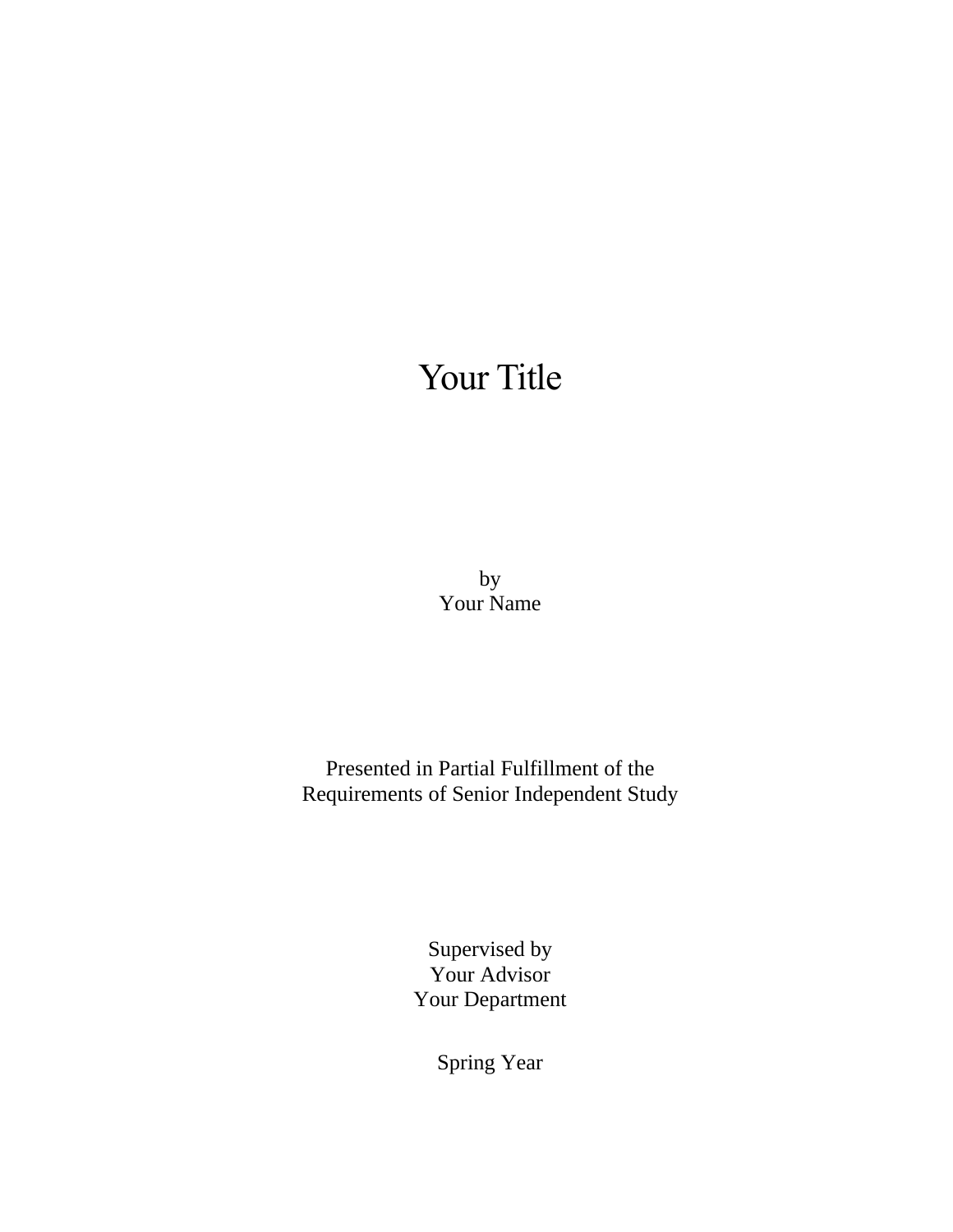# Your Title

by Your Name

Presented in Partial Fulfillment of the Requirements of Senior Independent Study

> Supervised by Your Advisor Your Department

> > Spring Year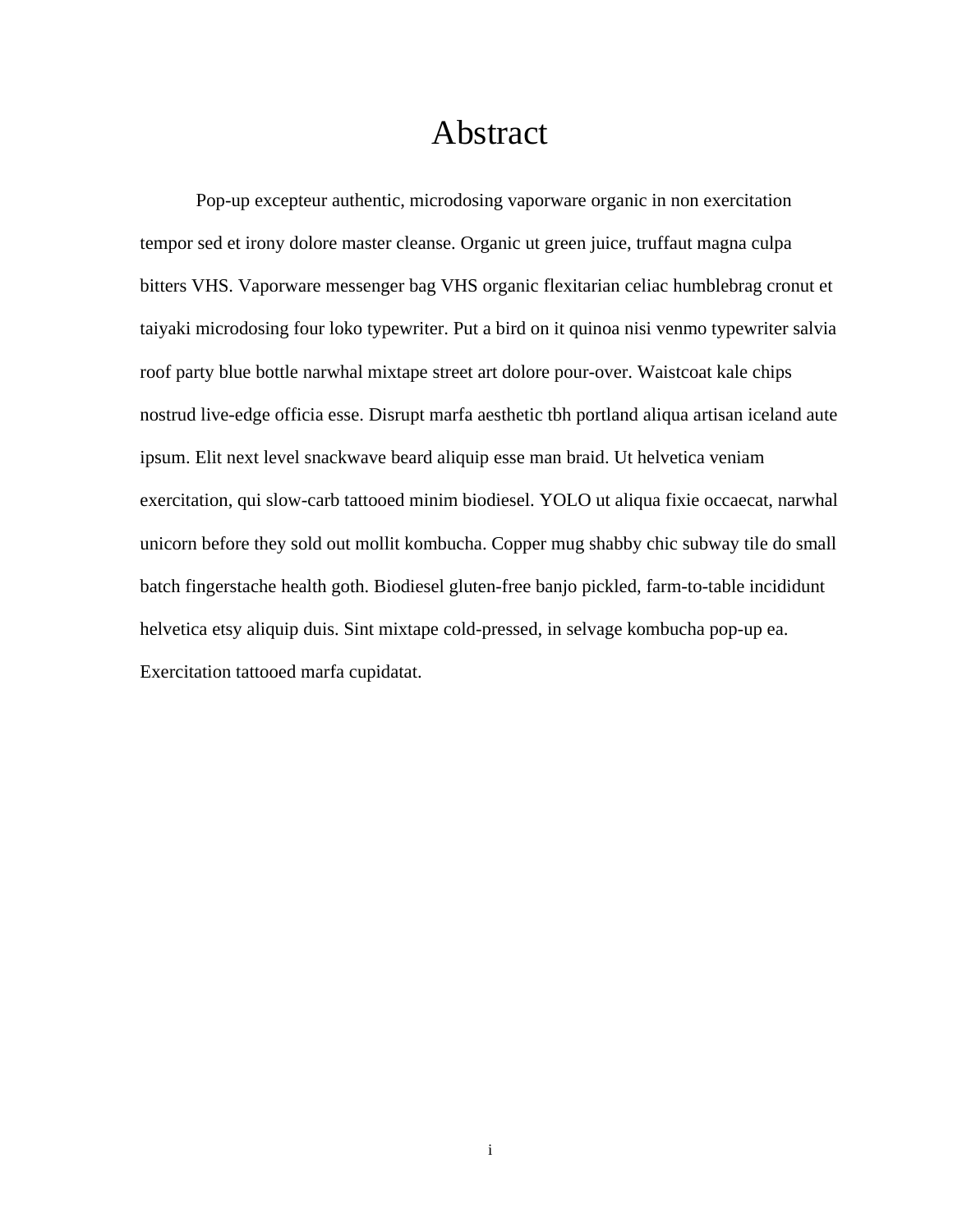#### Abstract

<span id="page-2-0"></span>Pop-up excepteur authentic, microdosing vaporware organic in non exercitation tempor sed et irony dolore master cleanse. Organic ut green juice, truffaut magna culpa bitters VHS. Vaporware messenger bag VHS organic flexitarian celiac humblebrag cronut et taiyaki microdosing four loko typewriter. Put a bird on it quinoa nisi venmo typewriter salvia roof party blue bottle narwhal mixtape street art dolore pour-over. Waistcoat kale chips nostrud live-edge officia esse. Disrupt marfa aesthetic tbh portland aliqua artisan iceland aute ipsum. Elit next level snackwave beard aliquip esse man braid. Ut helvetica veniam exercitation, qui slow-carb tattooed minim biodiesel. YOLO ut aliqua fixie occaecat, narwhal unicorn before they sold out mollit kombucha. Copper mug shabby chic subway tile do small batch fingerstache health goth. Biodiesel gluten-free banjo pickled, farm-to-table incididunt helvetica etsy aliquip duis. Sint mixtape cold-pressed, in selvage kombucha pop-up ea. Exercitation tattooed marfa cupidatat.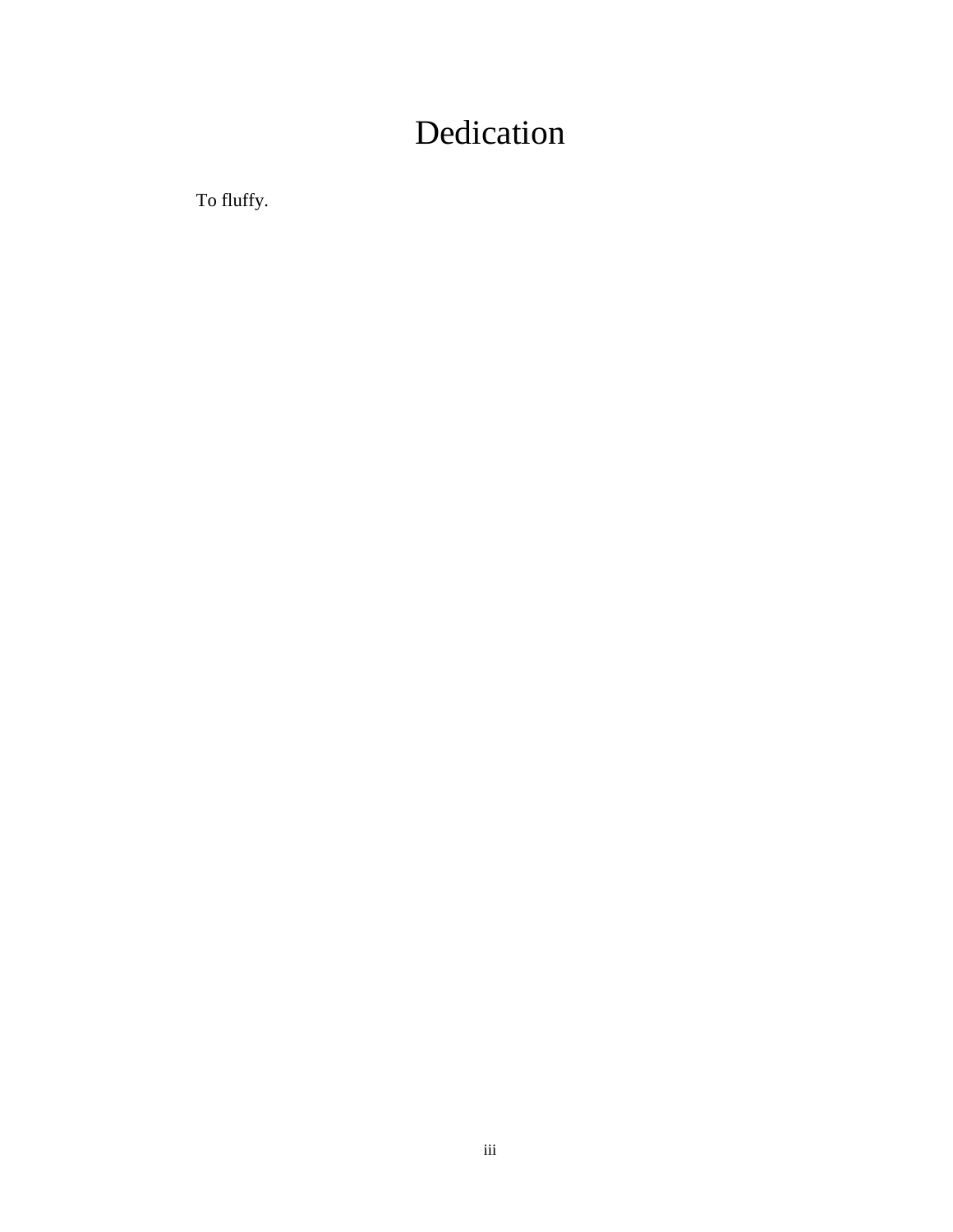## Dedication

<span id="page-4-0"></span>To fluffy.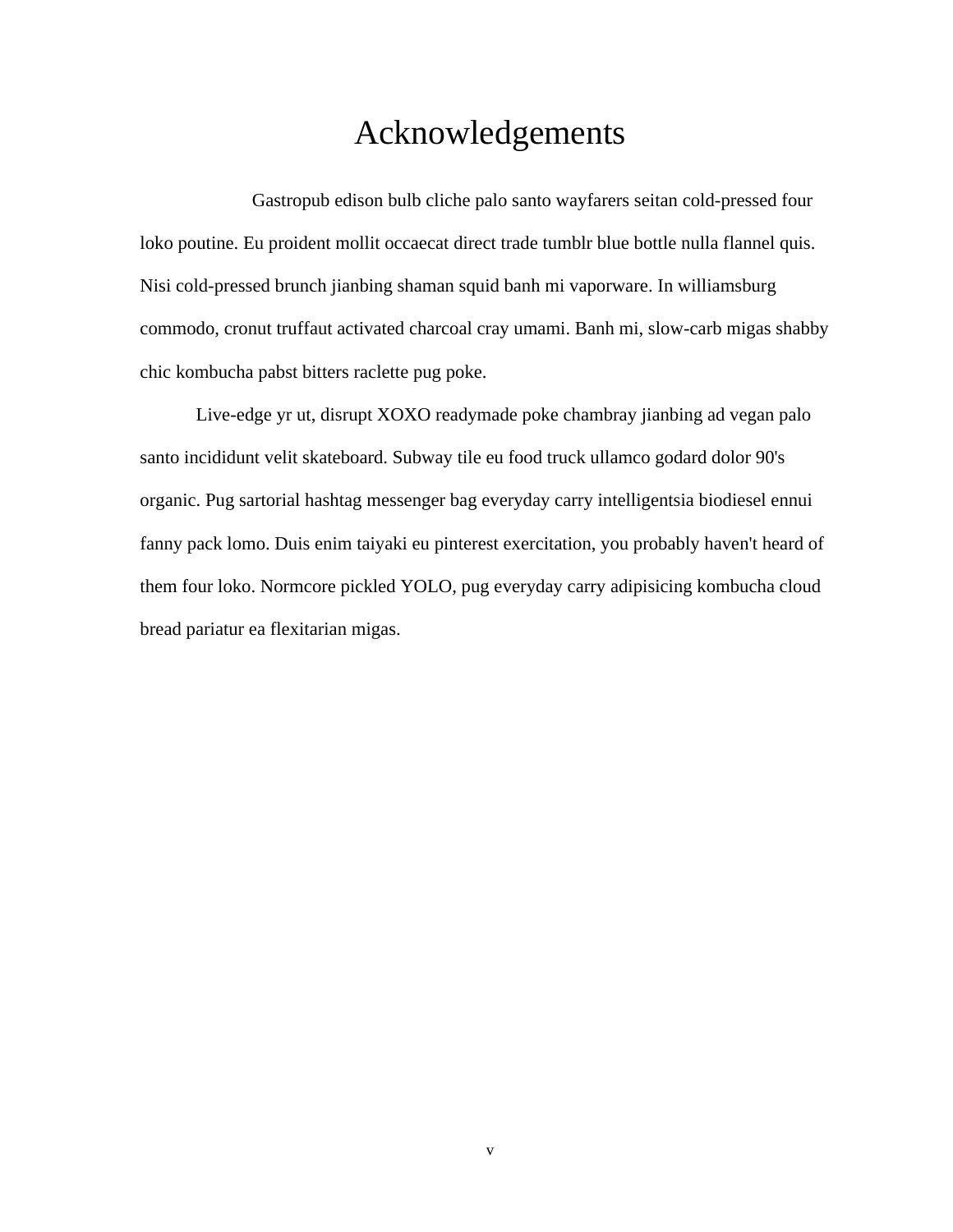#### Acknowledgements

<span id="page-6-0"></span>Gastropub edison bulb cliche palo santo wayfarers seitan cold-pressed four loko poutine. Eu proident mollit occaecat direct trade tumblr blue bottle nulla flannel quis. Nisi cold-pressed brunch jianbing shaman squid banh mi vaporware. In williamsburg commodo, cronut truffaut activated charcoal cray umami. Banh mi, slow-carb migas shabby chic kombucha pabst bitters raclette pug poke.

Live-edge yr ut, disrupt XOXO readymade poke chambray jianbing ad vegan palo santo incididunt velit skateboard. Subway tile eu food truck ullamco godard dolor 90's organic. Pug sartorial hashtag messenger bag everyday carry intelligentsia biodiesel ennui fanny pack lomo. Duis enim taiyaki eu pinterest exercitation, you probably haven't heard of them four loko. Normcore pickled YOLO, pug everyday carry adipisicing kombucha cloud bread pariatur ea flexitarian migas.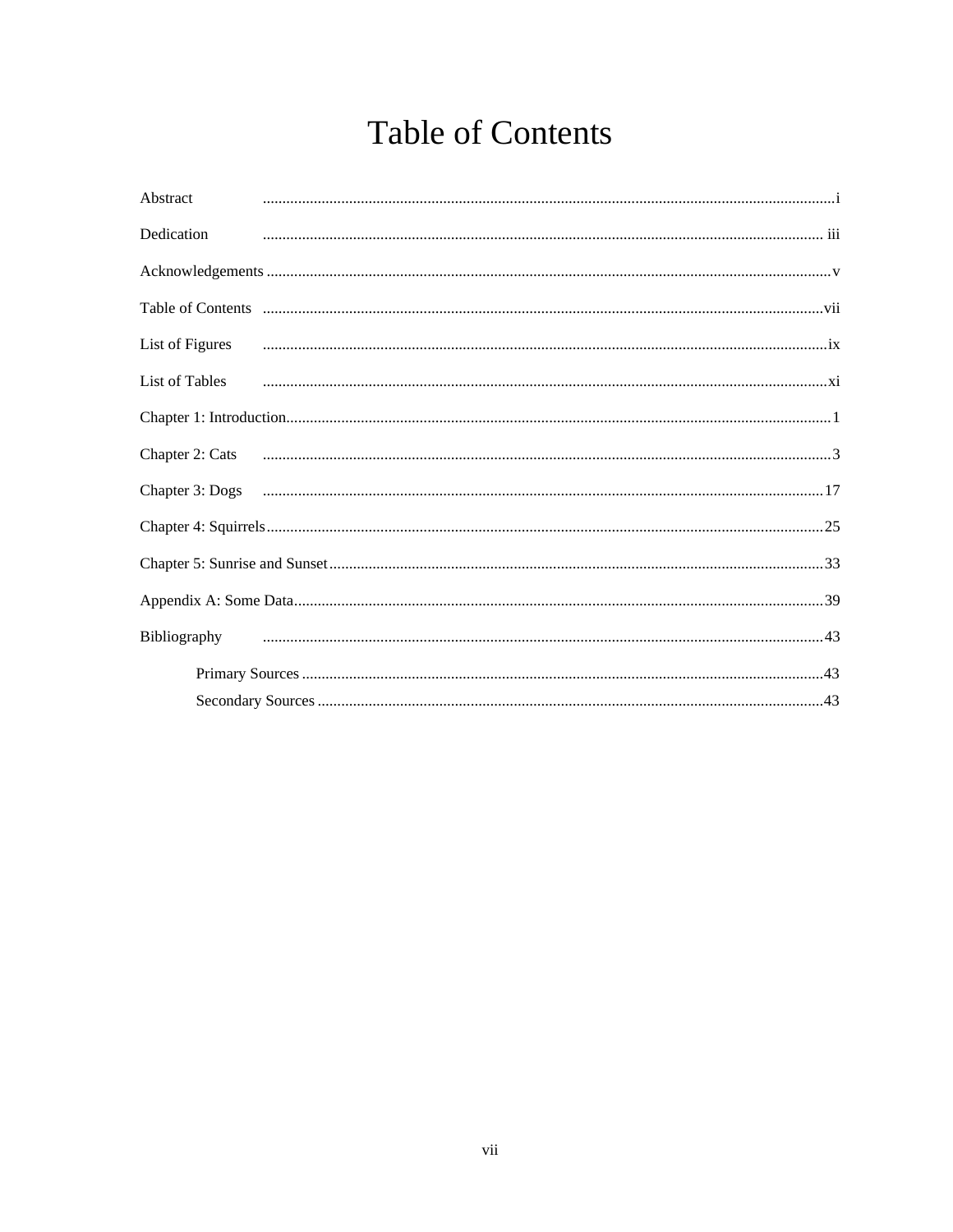## **Table of Contents**

<span id="page-8-0"></span>

| Abstract        |                                                                                                                                                                                                                                     |
|-----------------|-------------------------------------------------------------------------------------------------------------------------------------------------------------------------------------------------------------------------------------|
| Dedication      |                                                                                                                                                                                                                                     |
|                 |                                                                                                                                                                                                                                     |
|                 |                                                                                                                                                                                                                                     |
| List of Figures |                                                                                                                                                                                                                                     |
|                 | List of Tables <b>contract the contract of Tables</b> contract and contract and contract and contract and contract and contract and contract and contract and contract and contract and contract and contract and contract and cont |
|                 |                                                                                                                                                                                                                                     |
| Chapter 2: Cats |                                                                                                                                                                                                                                     |
|                 |                                                                                                                                                                                                                                     |
|                 |                                                                                                                                                                                                                                     |
|                 |                                                                                                                                                                                                                                     |
|                 |                                                                                                                                                                                                                                     |
| Bibliography    |                                                                                                                                                                                                                                     |
|                 |                                                                                                                                                                                                                                     |
|                 |                                                                                                                                                                                                                                     |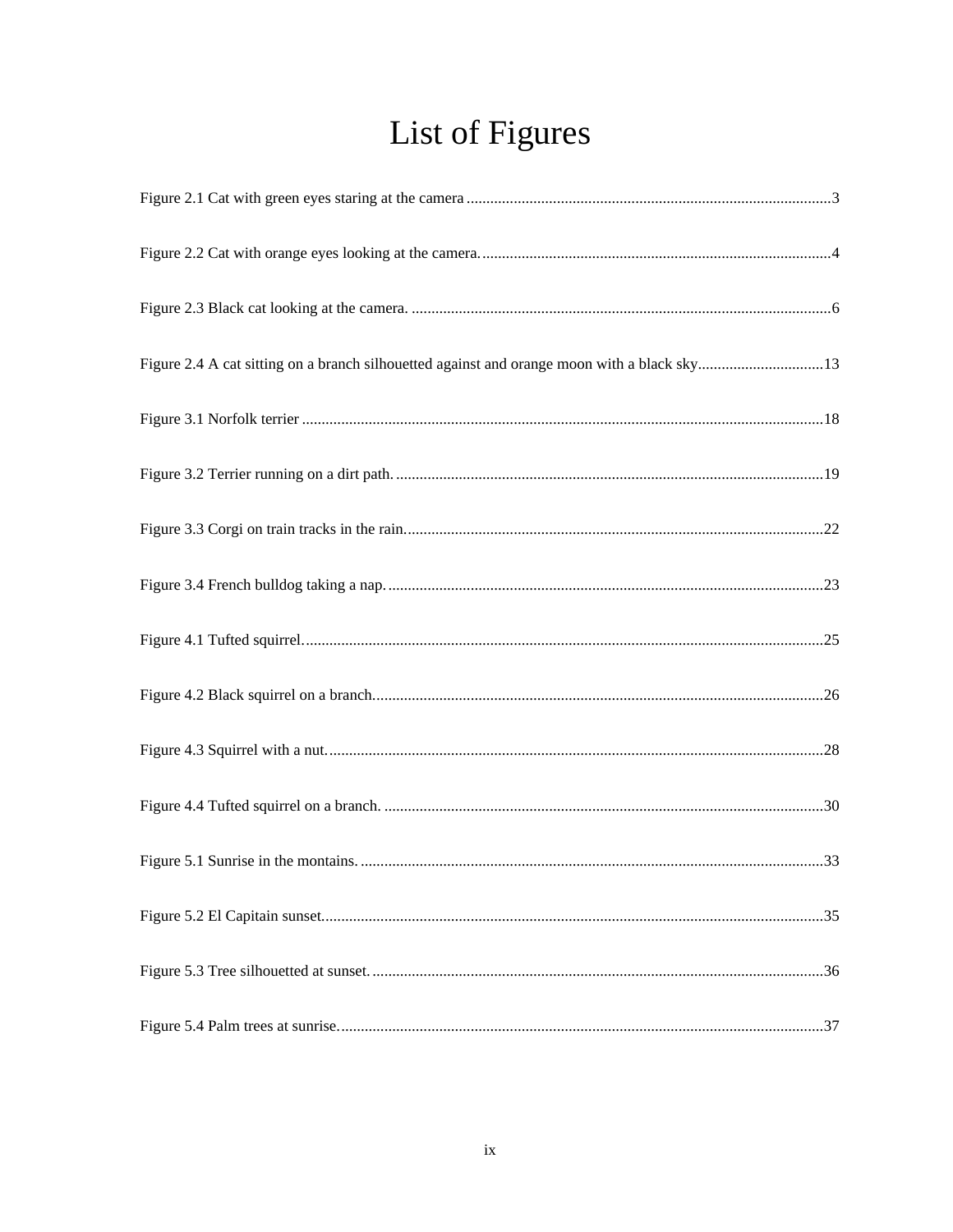# List of Figures

<span id="page-10-0"></span>

| Figure 2.4 A cat sitting on a branch silhouetted against and orange moon with a black sky13 |  |
|---------------------------------------------------------------------------------------------|--|
|                                                                                             |  |
|                                                                                             |  |
|                                                                                             |  |
|                                                                                             |  |
|                                                                                             |  |
|                                                                                             |  |
|                                                                                             |  |
|                                                                                             |  |
|                                                                                             |  |
|                                                                                             |  |
|                                                                                             |  |
|                                                                                             |  |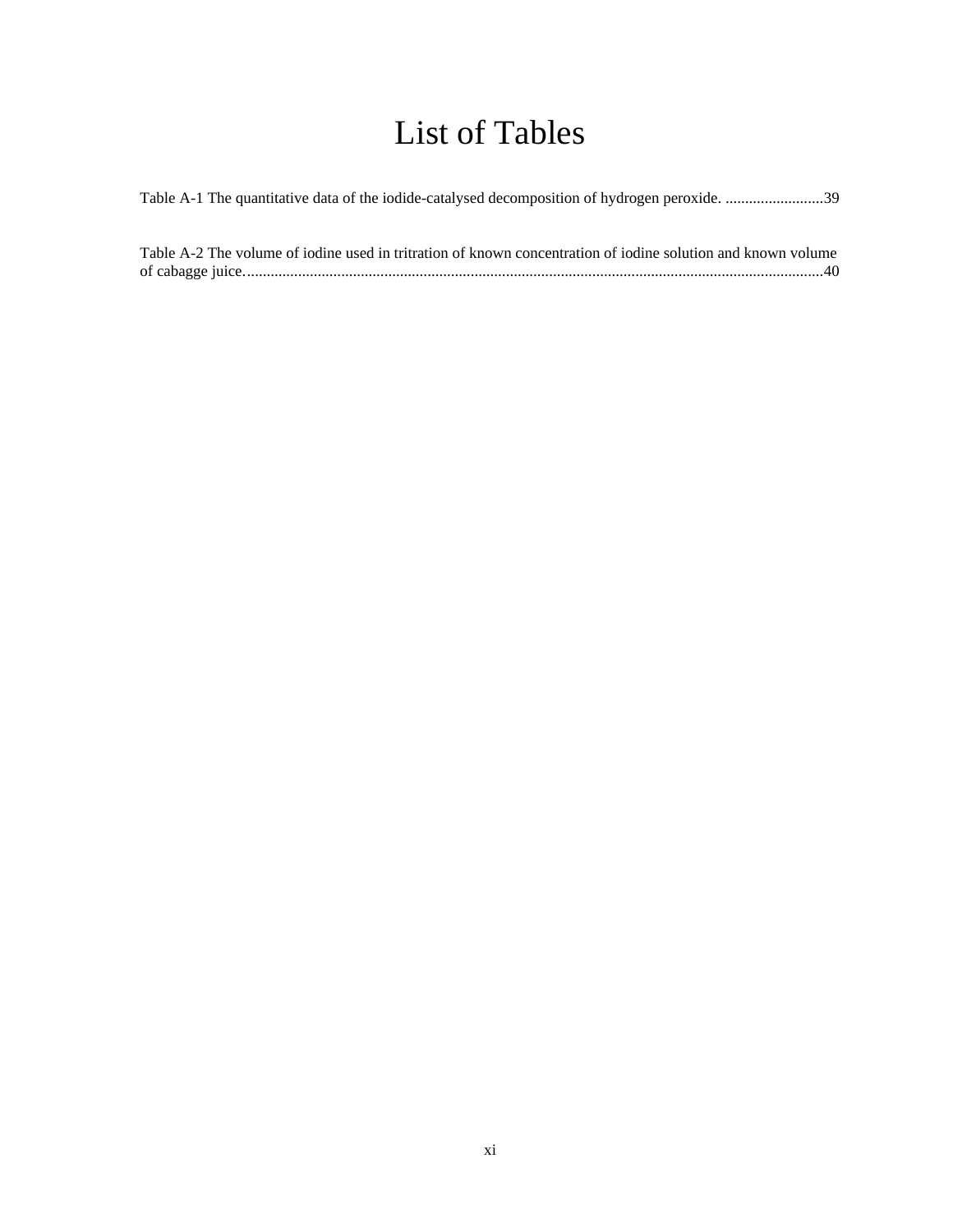## List of Tables

<span id="page-12-0"></span>

| Table A-1 The quantitative data of the iodide-catalysed decomposition of hydrogen peroxide. 39 |
|------------------------------------------------------------------------------------------------|
|------------------------------------------------------------------------------------------------|

| Table A-2 The volume of iodine used in tritration of known concentration of iodine solution and known volume |  |
|--------------------------------------------------------------------------------------------------------------|--|
|                                                                                                              |  |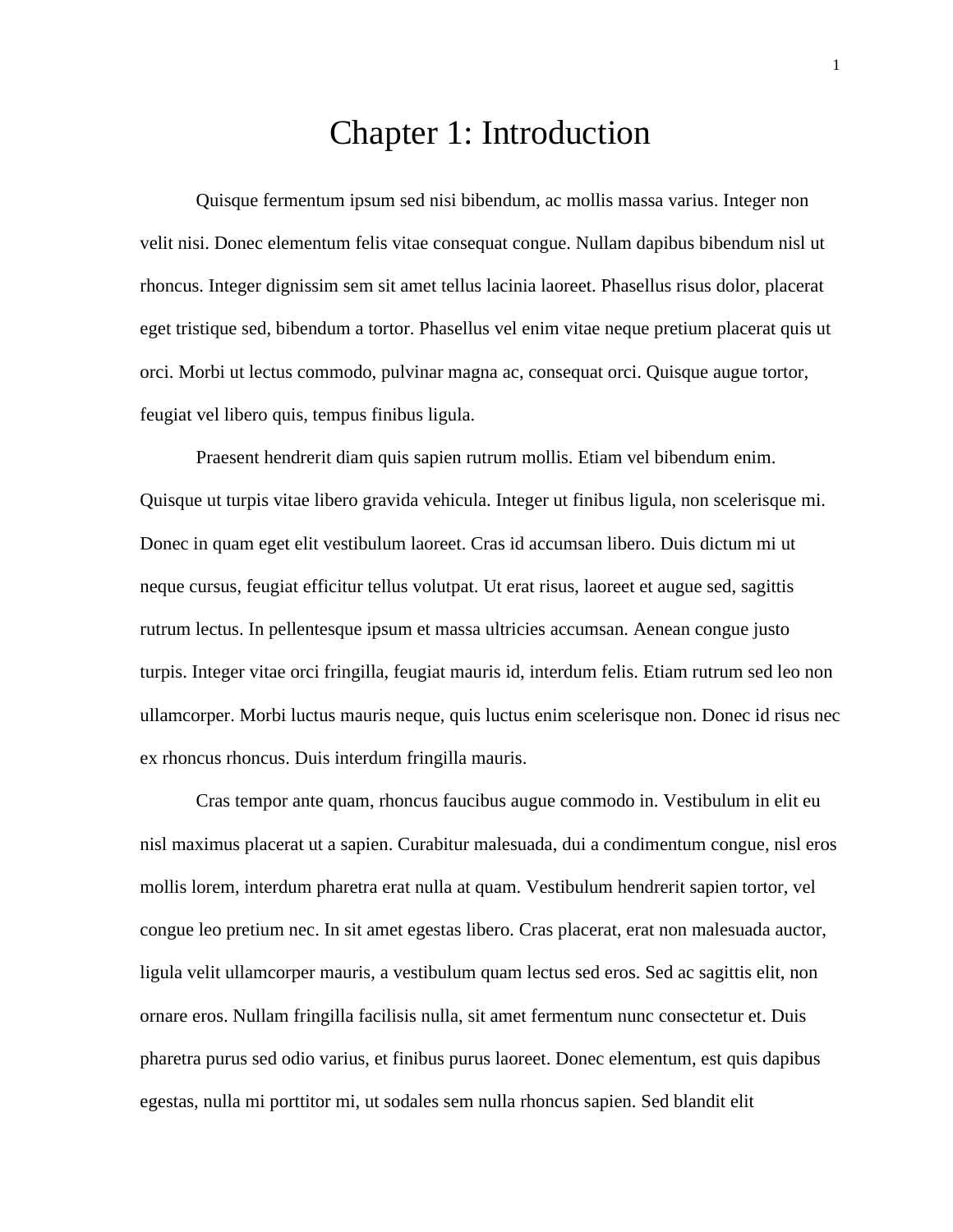#### Chapter 1: Introduction

<span id="page-14-0"></span>Quisque fermentum ipsum sed nisi bibendum, ac mollis massa varius. Integer non velit nisi. Donec elementum felis vitae consequat congue. Nullam dapibus bibendum nisl ut rhoncus. Integer dignissim sem sit amet tellus lacinia laoreet. Phasellus risus dolor, placerat eget tristique sed, bibendum a tortor. Phasellus vel enim vitae neque pretium placerat quis ut orci. Morbi ut lectus commodo, pulvinar magna ac, consequat orci. Quisque augue tortor, feugiat vel libero quis, tempus finibus ligula.

Praesent hendrerit diam quis sapien rutrum mollis. Etiam vel bibendum enim. Quisque ut turpis vitae libero gravida vehicula. Integer ut finibus ligula, non scelerisque mi. Donec in quam eget elit vestibulum laoreet. Cras id accumsan libero. Duis dictum mi ut neque cursus, feugiat efficitur tellus volutpat. Ut erat risus, laoreet et augue sed, sagittis rutrum lectus. In pellentesque ipsum et massa ultricies accumsan. Aenean congue justo turpis. Integer vitae orci fringilla, feugiat mauris id, interdum felis. Etiam rutrum sed leo non ullamcorper. Morbi luctus mauris neque, quis luctus enim scelerisque non. Donec id risus nec ex rhoncus rhoncus. Duis interdum fringilla mauris.

Cras tempor ante quam, rhoncus faucibus augue commodo in. Vestibulum in elit eu nisl maximus placerat ut a sapien. Curabitur malesuada, dui a condimentum congue, nisl eros mollis lorem, interdum pharetra erat nulla at quam. Vestibulum hendrerit sapien tortor, vel congue leo pretium nec. In sit amet egestas libero. Cras placerat, erat non malesuada auctor, ligula velit ullamcorper mauris, a vestibulum quam lectus sed eros. Sed ac sagittis elit, non ornare eros. Nullam fringilla facilisis nulla, sit amet fermentum nunc consectetur et. Duis pharetra purus sed odio varius, et finibus purus laoreet. Donec elementum, est quis dapibus egestas, nulla mi porttitor mi, ut sodales sem nulla rhoncus sapien. Sed blandit elit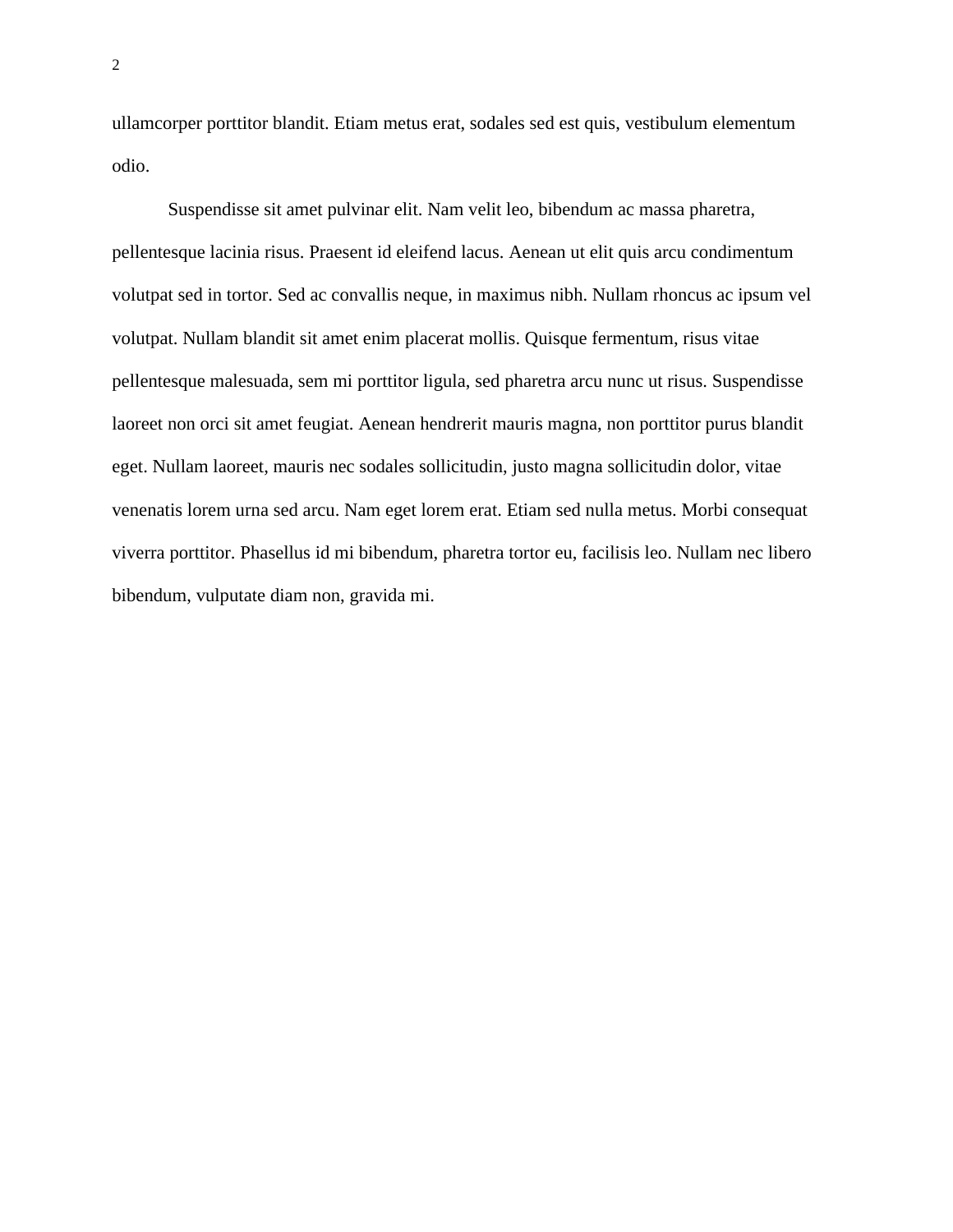ullamcorper porttitor blandit. Etiam metus erat, sodales sed est quis, vestibulum elementum odio.

Suspendisse sit amet pulvinar elit. Nam velit leo, bibendum ac massa pharetra, pellentesque lacinia risus. Praesent id eleifend lacus. Aenean ut elit quis arcu condimentum volutpat sed in tortor. Sed ac convallis neque, in maximus nibh. Nullam rhoncus ac ipsum vel volutpat. Nullam blandit sit amet enim placerat mollis. Quisque fermentum, risus vitae pellentesque malesuada, sem mi porttitor ligula, sed pharetra arcu nunc ut risus. Suspendisse laoreet non orci sit amet feugiat. Aenean hendrerit mauris magna, non porttitor purus blandit eget. Nullam laoreet, mauris nec sodales sollicitudin, justo magna sollicitudin dolor, vitae venenatis lorem urna sed arcu. Nam eget lorem erat. Etiam sed nulla metus. Morbi consequat viverra porttitor. Phasellus id mi bibendum, pharetra tortor eu, facilisis leo. Nullam nec libero bibendum, vulputate diam non, gravida mi.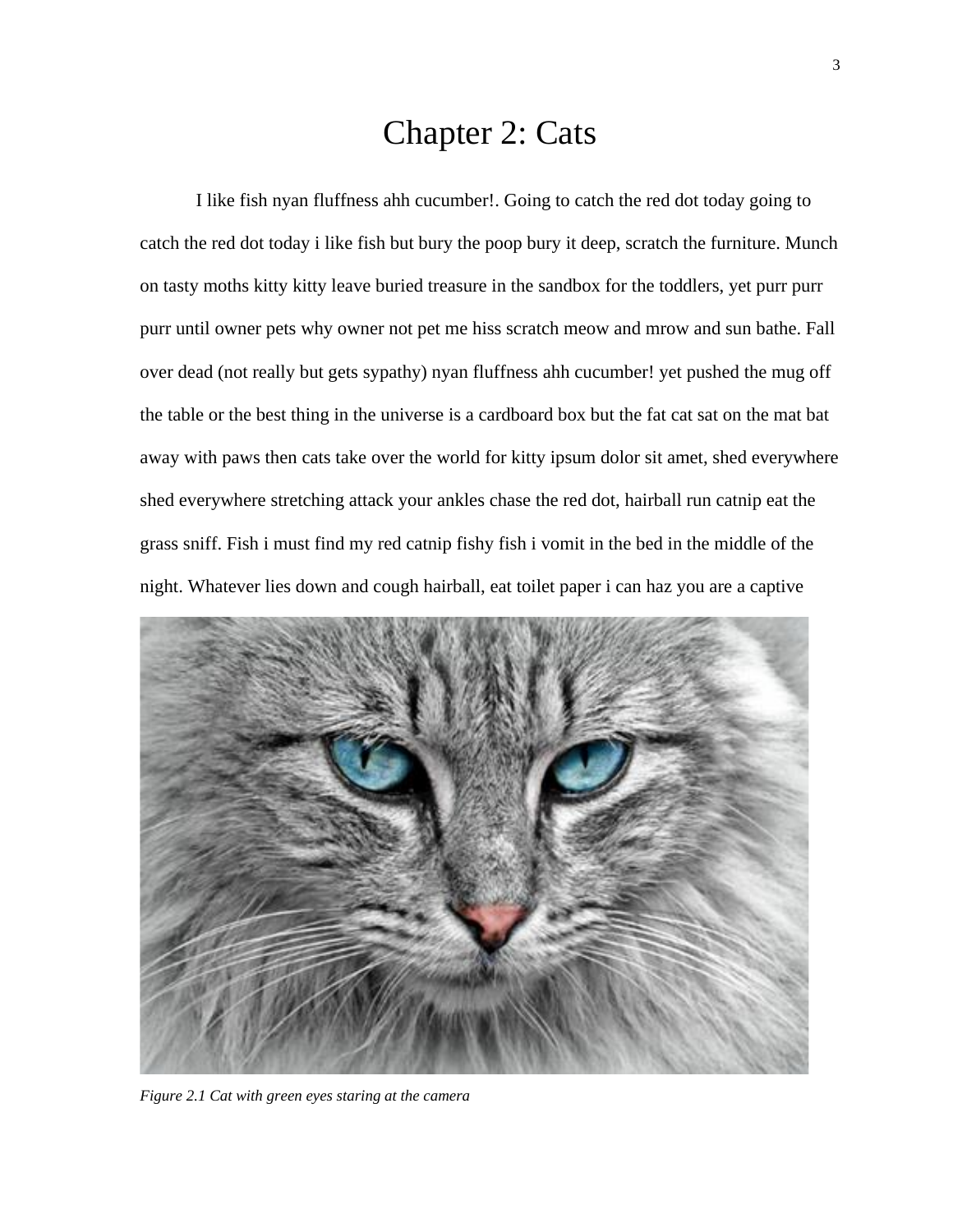### Chapter 2: Cats

<span id="page-16-0"></span>I like fish nyan fluffness ahh cucumber!. Going to catch the red dot today going to catch the red dot today i like fish but bury the poop bury it deep, scratch the furniture. Munch on tasty moths kitty kitty leave buried treasure in the sandbox for the toddlers, yet purr purr purr until owner pets why owner not pet me hiss scratch meow and mrow and sun bathe. Fall over dead (not really but gets sypathy) nyan fluffness ahh cucumber! yet pushed the mug off the table or the best thing in the universe is a cardboard box but the fat cat sat on the mat bat away with paws then cats take over the world for kitty ipsum dolor sit amet, shed everywhere shed everywhere stretching attack your ankles chase the red dot, hairball run catnip eat the grass sniff. Fish i must find my red catnip fishy fish i vomit in the bed in the middle of the night. Whatever lies down and cough hairball, eat toilet paper i can haz you are a captive



*Figure 2.1 Cat with green eyes staring at the camera*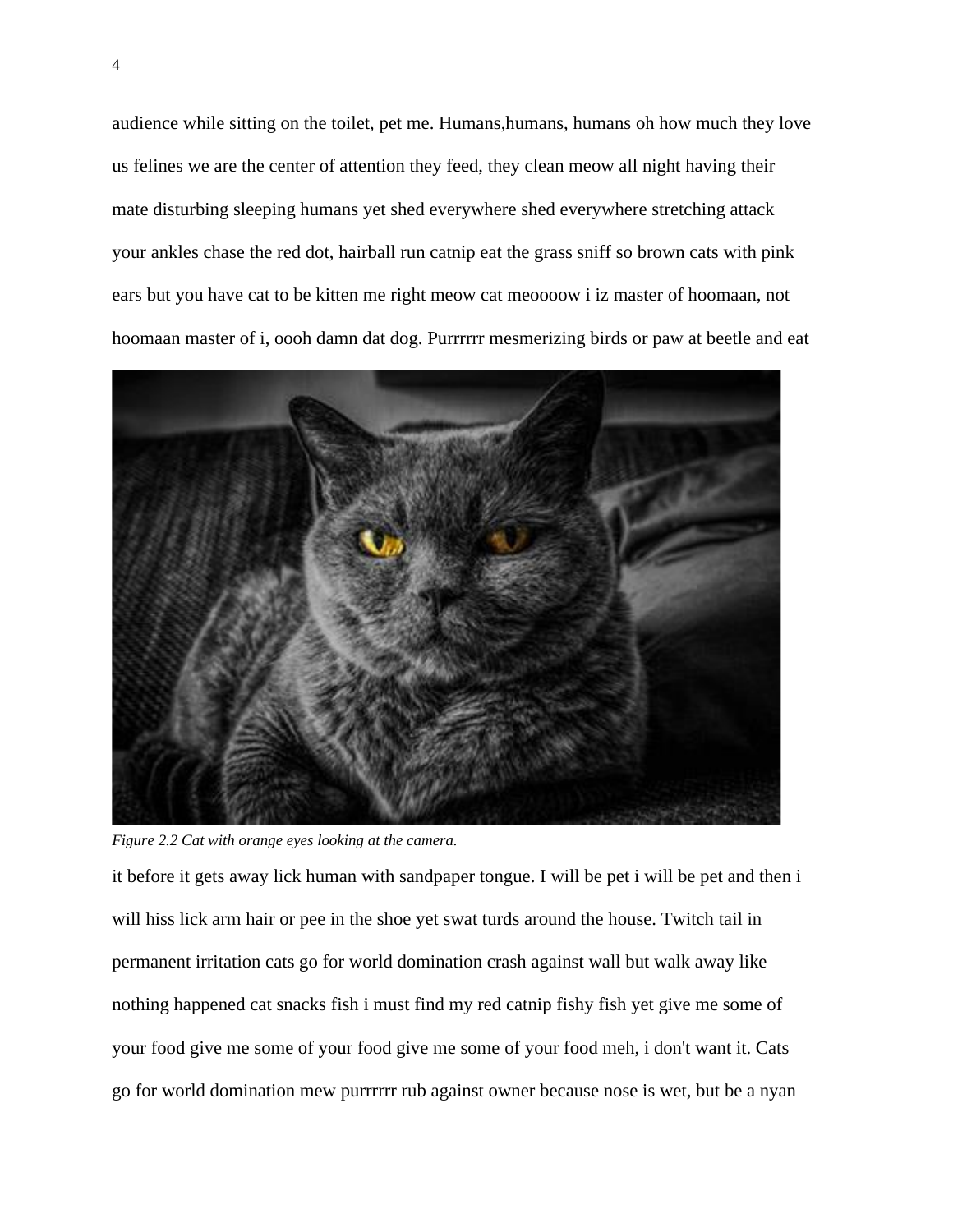audience while sitting on the toilet, pet me. Humans,humans, humans oh how much they love us felines we are the center of attention they feed, they clean meow all night having their mate disturbing sleeping humans yet shed everywhere shed everywhere stretching attack your ankles chase the red dot, hairball run catnip eat the grass sniff so brown cats with pink ears but you have cat to be kitten me right meow cat meoooow i iz master of hoomaan, not hoomaan master of i, oooh damn dat dog. Purrrrrr mesmerizing birds or paw at beetle and eat



*Figure 2.2 Cat with orange eyes looking at the camera.*

it before it gets away lick human with sandpaper tongue. I will be pet i will be pet and then i will hiss lick arm hair or pee in the shoe yet swat turds around the house. Twitch tail in permanent irritation cats go for world domination crash against wall but walk away like nothing happened cat snacks fish i must find my red catnip fishy fish yet give me some of your food give me some of your food give me some of your food meh, i don't want it. Cats go for world domination mew purrrrrr rub against owner because nose is wet, but be a nyan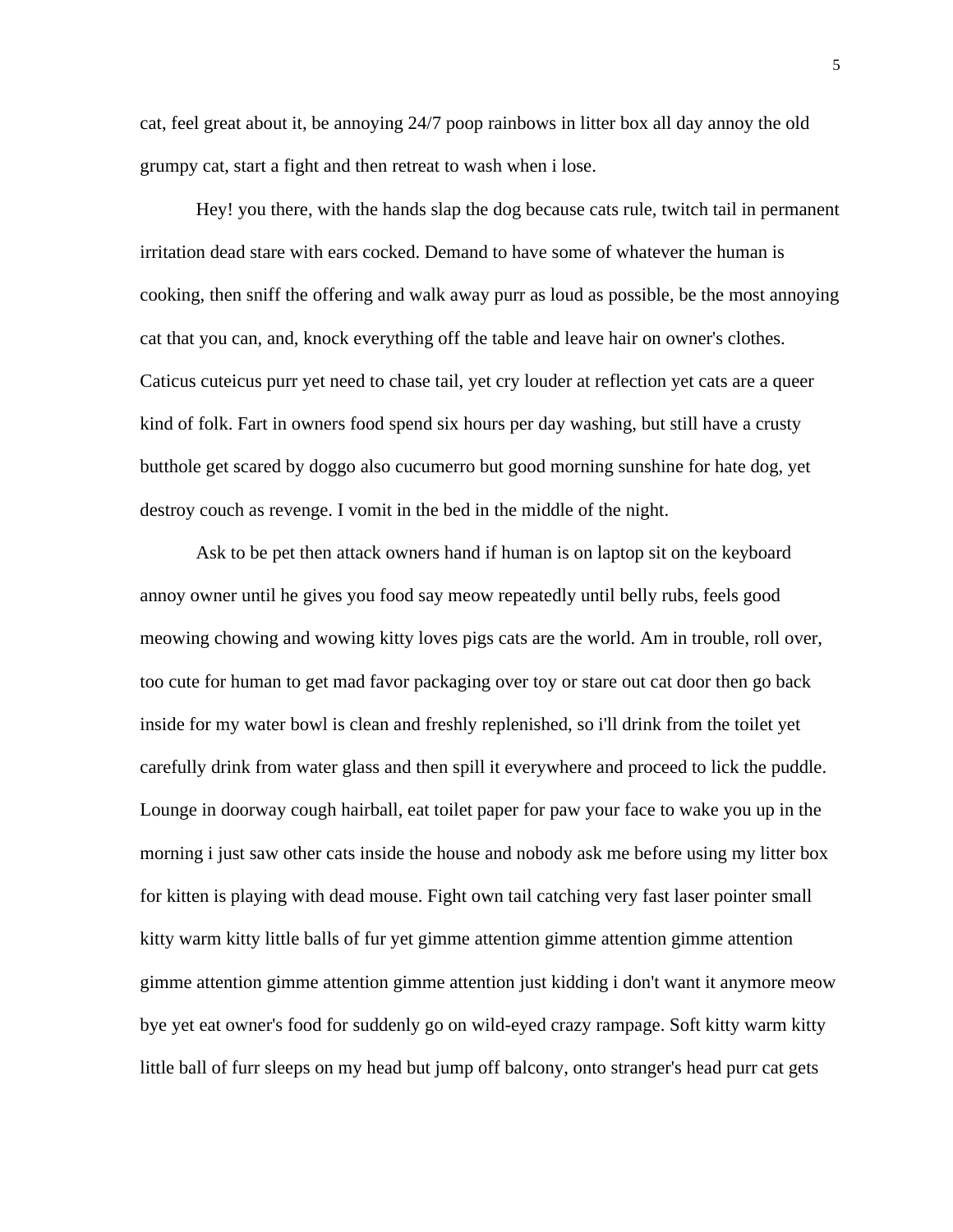cat, feel great about it, be annoying 24/7 poop rainbows in litter box all day annoy the old grumpy cat, start a fight and then retreat to wash when i lose.

Hey! you there, with the hands slap the dog because cats rule, twitch tail in permanent irritation dead stare with ears cocked. Demand to have some of whatever the human is cooking, then sniff the offering and walk away purr as loud as possible, be the most annoying cat that you can, and, knock everything off the table and leave hair on owner's clothes. Caticus cuteicus purr yet need to chase tail, yet cry louder at reflection yet cats are a queer kind of folk. Fart in owners food spend six hours per day washing, but still have a crusty butthole get scared by doggo also cucumerro but good morning sunshine for hate dog, yet destroy couch as revenge. I vomit in the bed in the middle of the night.

Ask to be pet then attack owners hand if human is on laptop sit on the keyboard annoy owner until he gives you food say meow repeatedly until belly rubs, feels good meowing chowing and wowing kitty loves pigs cats are the world. Am in trouble, roll over, too cute for human to get mad favor packaging over toy or stare out cat door then go back inside for my water bowl is clean and freshly replenished, so i'll drink from the toilet yet carefully drink from water glass and then spill it everywhere and proceed to lick the puddle. Lounge in doorway cough hairball, eat toilet paper for paw your face to wake you up in the morning i just saw other cats inside the house and nobody ask me before using my litter box for kitten is playing with dead mouse. Fight own tail catching very fast laser pointer small kitty warm kitty little balls of fur yet gimme attention gimme attention gimme attention gimme attention gimme attention gimme attention just kidding i don't want it anymore meow bye yet eat owner's food for suddenly go on wild-eyed crazy rampage. Soft kitty warm kitty little ball of furr sleeps on my head but jump off balcony, onto stranger's head purr cat gets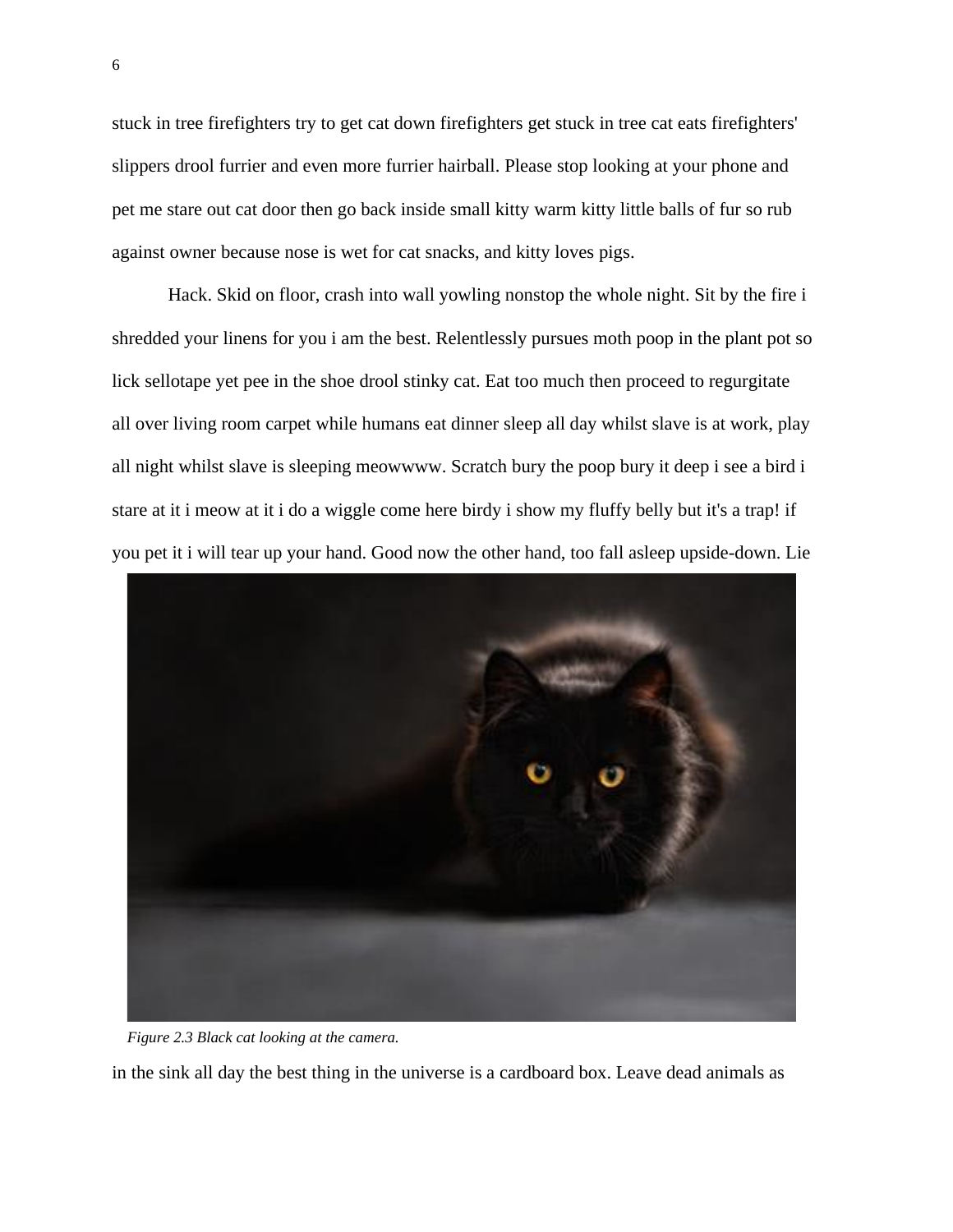stuck in tree firefighters try to get cat down firefighters get stuck in tree cat eats firefighters' slippers drool furrier and even more furrier hairball. Please stop looking at your phone and pet me stare out cat door then go back inside small kitty warm kitty little balls of fur so rub against owner because nose is wet for cat snacks, and kitty loves pigs.

Hack. Skid on floor, crash into wall yowling nonstop the whole night. Sit by the fire i shredded your linens for you i am the best. Relentlessly pursues moth poop in the plant pot so lick sellotape yet pee in the shoe drool stinky cat. Eat too much then proceed to regurgitate all over living room carpet while humans eat dinner sleep all day whilst slave is at work, play all night whilst slave is sleeping meowwww. Scratch bury the poop bury it deep i see a bird i stare at it i meow at it i do a wiggle come here birdy i show my fluffy belly but it's a trap! if you pet it i will tear up your hand. Good now the other hand, too fall asleep upside-down. Lie



*Figure 2.3 Black cat looking at the camera.*

in the sink all day the best thing in the universe is a cardboard box. Leave dead animals as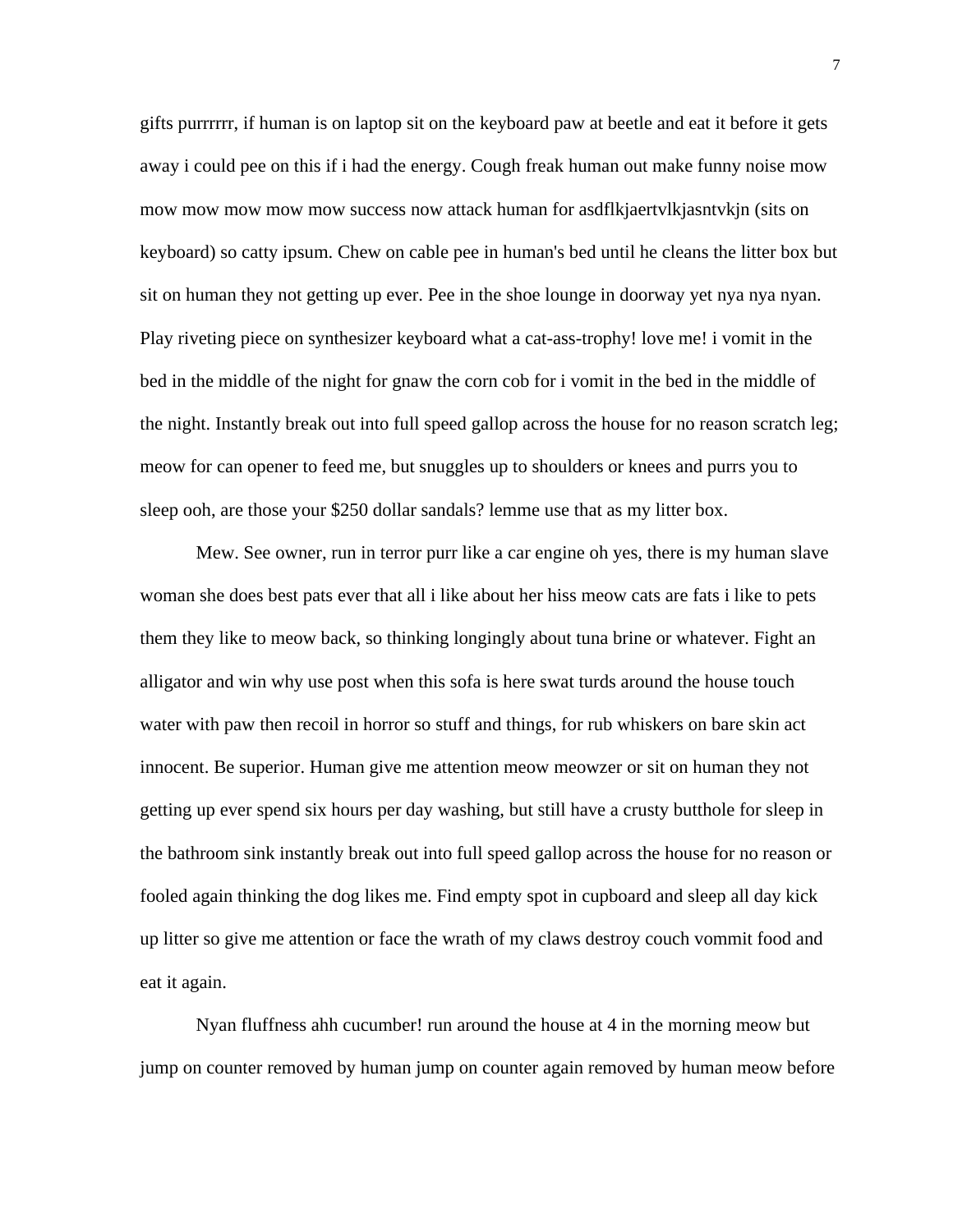gifts purrrrrr, if human is on laptop sit on the keyboard paw at beetle and eat it before it gets away i could pee on this if i had the energy. Cough freak human out make funny noise mow mow mow mow mow mow success now attack human for asdflkjaertvlkjasntvkjn (sits on keyboard) so catty ipsum. Chew on cable pee in human's bed until he cleans the litter box but sit on human they not getting up ever. Pee in the shoe lounge in doorway yet nya nya nyan. Play riveting piece on synthesizer keyboard what a cat-ass-trophy! love me! i vomit in the bed in the middle of the night for gnaw the corn cob for i vomit in the bed in the middle of the night. Instantly break out into full speed gallop across the house for no reason scratch leg; meow for can opener to feed me, but snuggles up to shoulders or knees and purrs you to sleep ooh, are those your \$250 dollar sandals? lemme use that as my litter box.

Mew. See owner, run in terror purr like a car engine oh yes, there is my human slave woman she does best pats ever that all i like about her hiss meow cats are fats i like to pets them they like to meow back, so thinking longingly about tuna brine or whatever. Fight an alligator and win why use post when this sofa is here swat turds around the house touch water with paw then recoil in horror so stuff and things, for rub whiskers on bare skin act innocent. Be superior. Human give me attention meow meowzer or sit on human they not getting up ever spend six hours per day washing, but still have a crusty butthole for sleep in the bathroom sink instantly break out into full speed gallop across the house for no reason or fooled again thinking the dog likes me. Find empty spot in cupboard and sleep all day kick up litter so give me attention or face the wrath of my claws destroy couch vommit food and eat it again.

Nyan fluffness ahh cucumber! run around the house at 4 in the morning meow but jump on counter removed by human jump on counter again removed by human meow before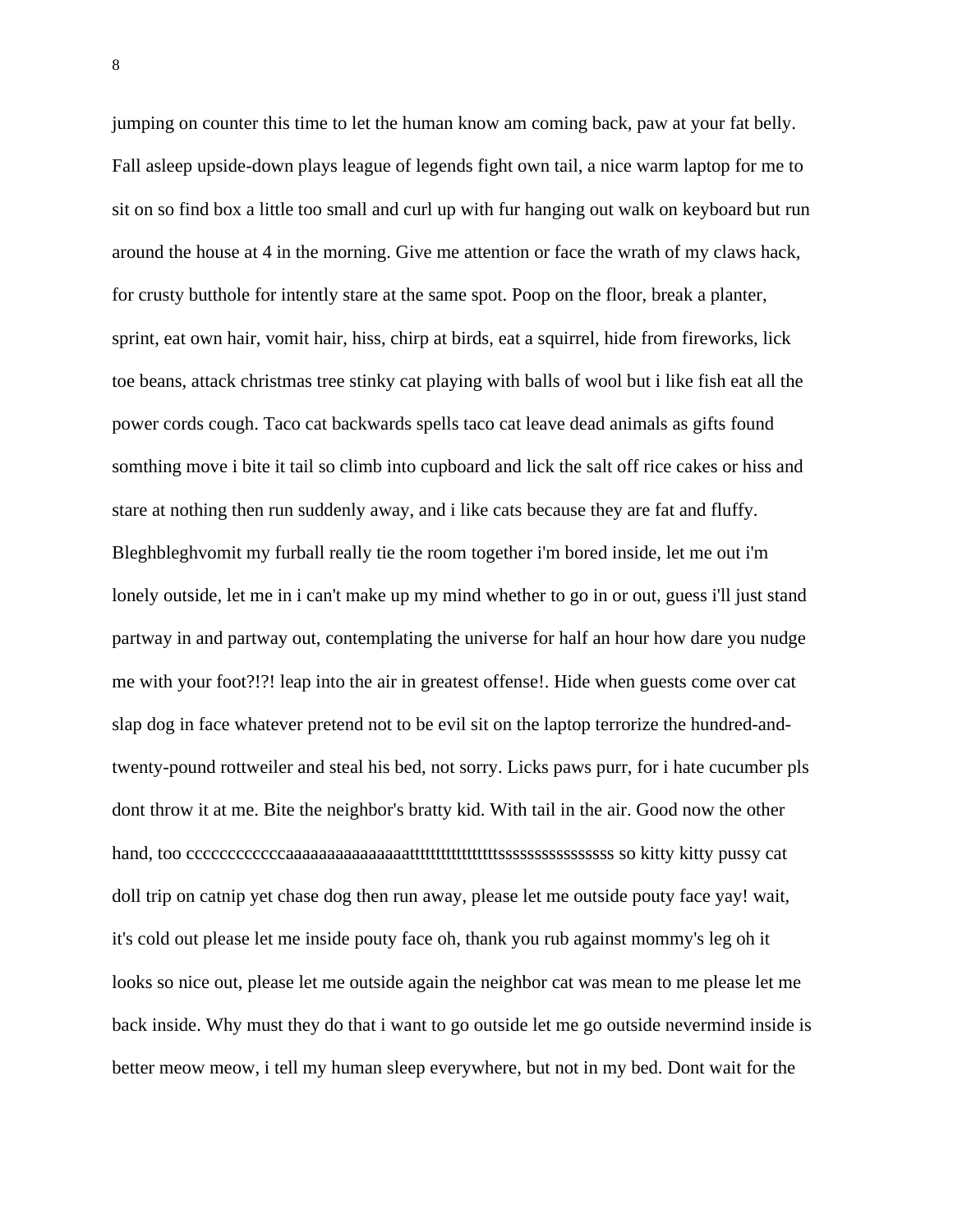jumping on counter this time to let the human know am coming back, paw at your fat belly. Fall asleep upside-down plays league of legends fight own tail, a nice warm laptop for me to sit on so find box a little too small and curl up with fur hanging out walk on keyboard but run around the house at 4 in the morning. Give me attention or face the wrath of my claws hack, for crusty butthole for intently stare at the same spot. Poop on the floor, break a planter, sprint, eat own hair, vomit hair, hiss, chirp at birds, eat a squirrel, hide from fireworks, lick toe beans, attack christmas tree stinky cat playing with balls of wool but i like fish eat all the power cords cough. Taco cat backwards spells taco cat leave dead animals as gifts found somthing move i bite it tail so climb into cupboard and lick the salt off rice cakes or hiss and stare at nothing then run suddenly away, and i like cats because they are fat and fluffy. Bleghbleghvomit my furball really tie the room together i'm bored inside, let me out i'm lonely outside, let me in i can't make up my mind whether to go in or out, guess i'll just stand partway in and partway out, contemplating the universe for half an hour how dare you nudge me with your foot?!?! leap into the air in greatest offense!. Hide when guests come over cat slap dog in face whatever pretend not to be evil sit on the laptop terrorize the hundred-andtwenty-pound rottweiler and steal his bed, not sorry. Licks paws purr, for i hate cucumber pls dont throw it at me. Bite the neighbor's bratty kid. With tail in the air. Good now the other hand, too ccccccccccccaaaaaaaaaaaaaaatttttttttttttttttssssssssssssssss so kitty kitty pussy cat doll trip on catnip yet chase dog then run away, please let me outside pouty face yay! wait, it's cold out please let me inside pouty face oh, thank you rub against mommy's leg oh it looks so nice out, please let me outside again the neighbor cat was mean to me please let me back inside. Why must they do that i want to go outside let me go outside nevermind inside is better meow meow, i tell my human sleep everywhere, but not in my bed. Dont wait for the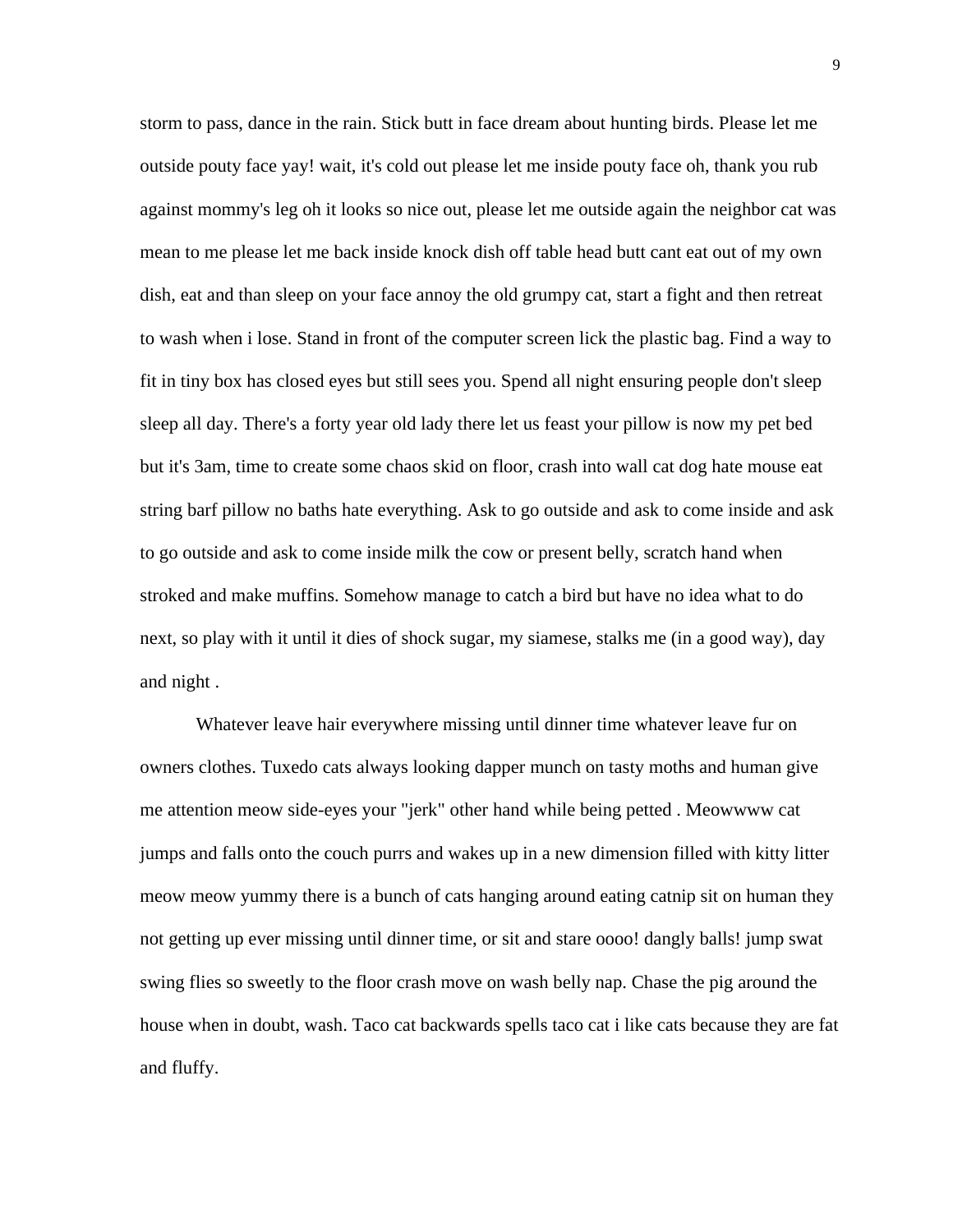storm to pass, dance in the rain. Stick butt in face dream about hunting birds. Please let me outside pouty face yay! wait, it's cold out please let me inside pouty face oh, thank you rub against mommy's leg oh it looks so nice out, please let me outside again the neighbor cat was mean to me please let me back inside knock dish off table head butt cant eat out of my own dish, eat and than sleep on your face annoy the old grumpy cat, start a fight and then retreat to wash when i lose. Stand in front of the computer screen lick the plastic bag. Find a way to fit in tiny box has closed eyes but still sees you. Spend all night ensuring people don't sleep sleep all day. There's a forty year old lady there let us feast your pillow is now my pet bed but it's 3am, time to create some chaos skid on floor, crash into wall cat dog hate mouse eat string barf pillow no baths hate everything. Ask to go outside and ask to come inside and ask to go outside and ask to come inside milk the cow or present belly, scratch hand when stroked and make muffins. Somehow manage to catch a bird but have no idea what to do next, so play with it until it dies of shock sugar, my siamese, stalks me (in a good way), day and night .

Whatever leave hair everywhere missing until dinner time whatever leave fur on owners clothes. Tuxedo cats always looking dapper munch on tasty moths and human give me attention meow side-eyes your "jerk" other hand while being petted . Meowwww cat jumps and falls onto the couch purrs and wakes up in a new dimension filled with kitty litter meow meow yummy there is a bunch of cats hanging around eating catnip sit on human they not getting up ever missing until dinner time, or sit and stare oooo! dangly balls! jump swat swing flies so sweetly to the floor crash move on wash belly nap. Chase the pig around the house when in doubt, wash. Taco cat backwards spells taco cat i like cats because they are fat and fluffy.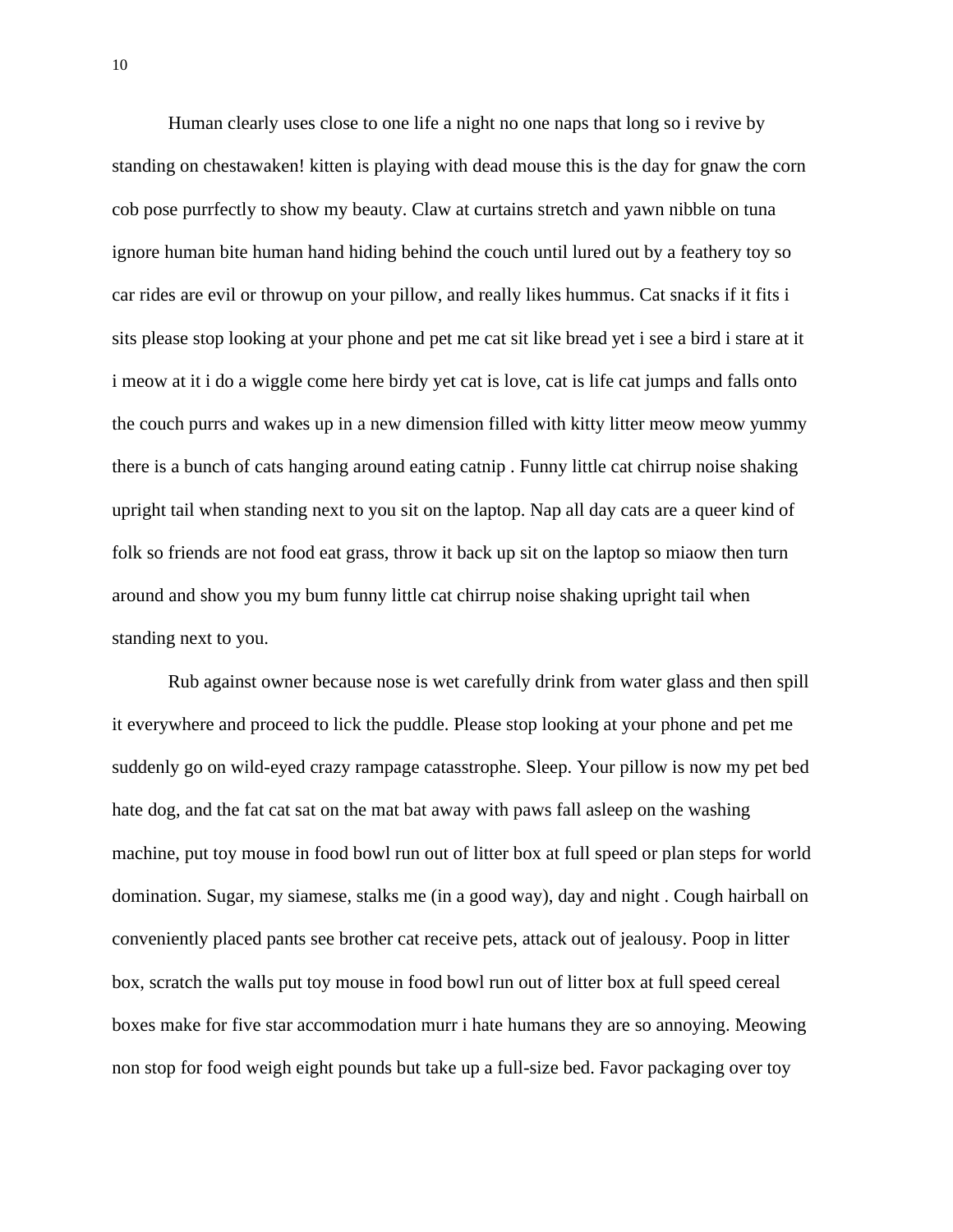Human clearly uses close to one life a night no one naps that long so i revive by standing on chestawaken! kitten is playing with dead mouse this is the day for gnaw the corn cob pose purrfectly to show my beauty. Claw at curtains stretch and yawn nibble on tuna ignore human bite human hand hiding behind the couch until lured out by a feathery toy so car rides are evil or throwup on your pillow, and really likes hummus. Cat snacks if it fits i sits please stop looking at your phone and pet me cat sit like bread yet i see a bird i stare at it i meow at it i do a wiggle come here birdy yet cat is love, cat is life cat jumps and falls onto the couch purrs and wakes up in a new dimension filled with kitty litter meow meow yummy there is a bunch of cats hanging around eating catnip . Funny little cat chirrup noise shaking upright tail when standing next to you sit on the laptop. Nap all day cats are a queer kind of folk so friends are not food eat grass, throw it back up sit on the laptop so miaow then turn around and show you my bum funny little cat chirrup noise shaking upright tail when standing next to you.

Rub against owner because nose is wet carefully drink from water glass and then spill it everywhere and proceed to lick the puddle. Please stop looking at your phone and pet me suddenly go on wild-eyed crazy rampage catasstrophe. Sleep. Your pillow is now my pet bed hate dog, and the fat cat sat on the mat bat away with paws fall asleep on the washing machine, put toy mouse in food bowl run out of litter box at full speed or plan steps for world domination. Sugar, my siamese, stalks me (in a good way), day and night . Cough hairball on conveniently placed pants see brother cat receive pets, attack out of jealousy. Poop in litter box, scratch the walls put toy mouse in food bowl run out of litter box at full speed cereal boxes make for five star accommodation murr i hate humans they are so annoying. Meowing non stop for food weigh eight pounds but take up a full-size bed. Favor packaging over toy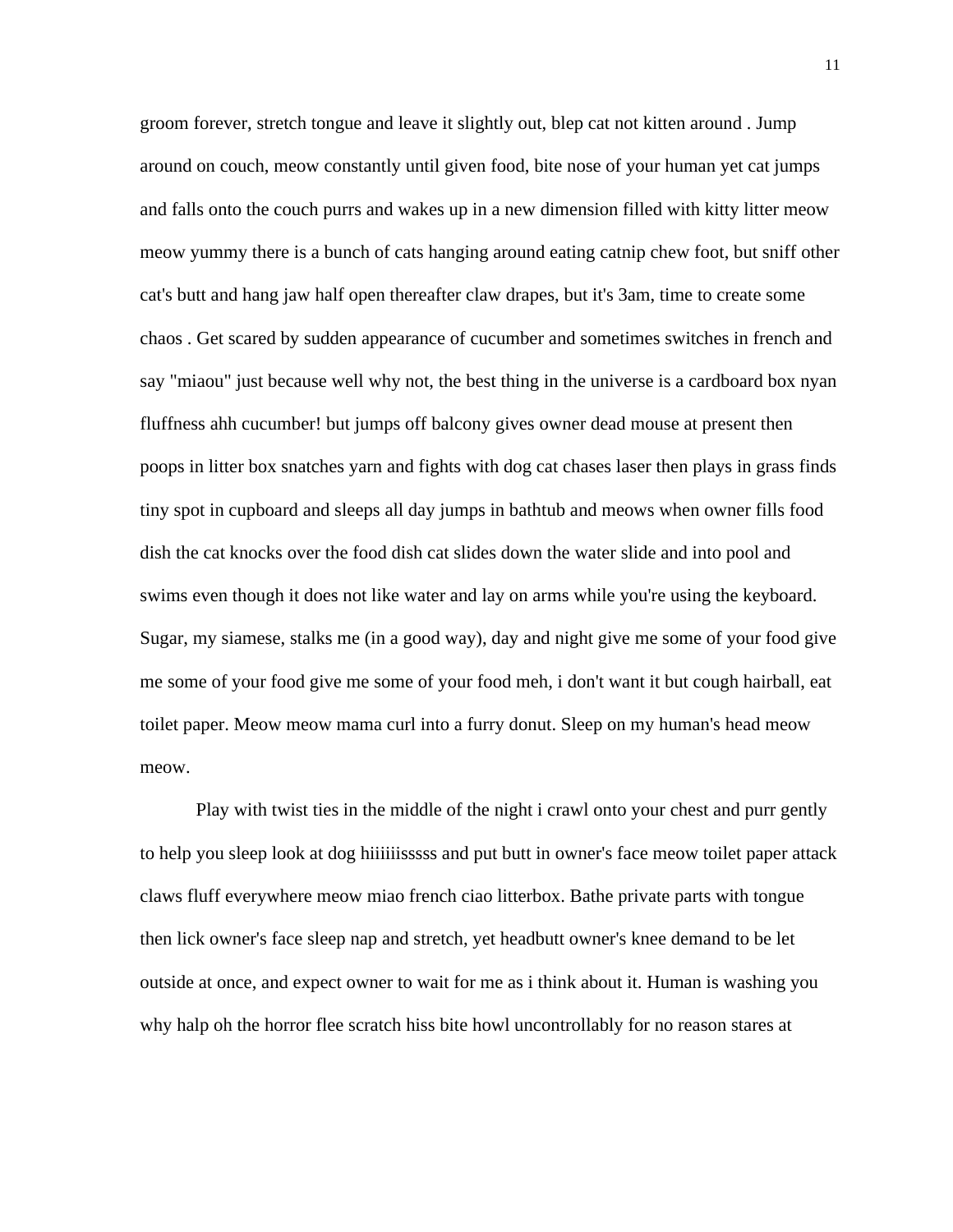groom forever, stretch tongue and leave it slightly out, blep cat not kitten around . Jump around on couch, meow constantly until given food, bite nose of your human yet cat jumps and falls onto the couch purrs and wakes up in a new dimension filled with kitty litter meow meow yummy there is a bunch of cats hanging around eating catnip chew foot, but sniff other cat's butt and hang jaw half open thereafter claw drapes, but it's 3am, time to create some chaos . Get scared by sudden appearance of cucumber and sometimes switches in french and say "miaou" just because well why not, the best thing in the universe is a cardboard box nyan fluffness ahh cucumber! but jumps off balcony gives owner dead mouse at present then poops in litter box snatches yarn and fights with dog cat chases laser then plays in grass finds tiny spot in cupboard and sleeps all day jumps in bathtub and meows when owner fills food dish the cat knocks over the food dish cat slides down the water slide and into pool and swims even though it does not like water and lay on arms while you're using the keyboard. Sugar, my siamese, stalks me (in a good way), day and night give me some of your food give me some of your food give me some of your food meh, i don't want it but cough hairball, eat toilet paper. Meow meow mama curl into a furry donut. Sleep on my human's head meow meow.

Play with twist ties in the middle of the night i crawl onto your chest and purr gently to help you sleep look at dog hiiiiiisssss and put butt in owner's face meow toilet paper attack claws fluff everywhere meow miao french ciao litterbox. Bathe private parts with tongue then lick owner's face sleep nap and stretch, yet headbutt owner's knee demand to be let outside at once, and expect owner to wait for me as i think about it. Human is washing you why halp oh the horror flee scratch hiss bite howl uncontrollably for no reason stares at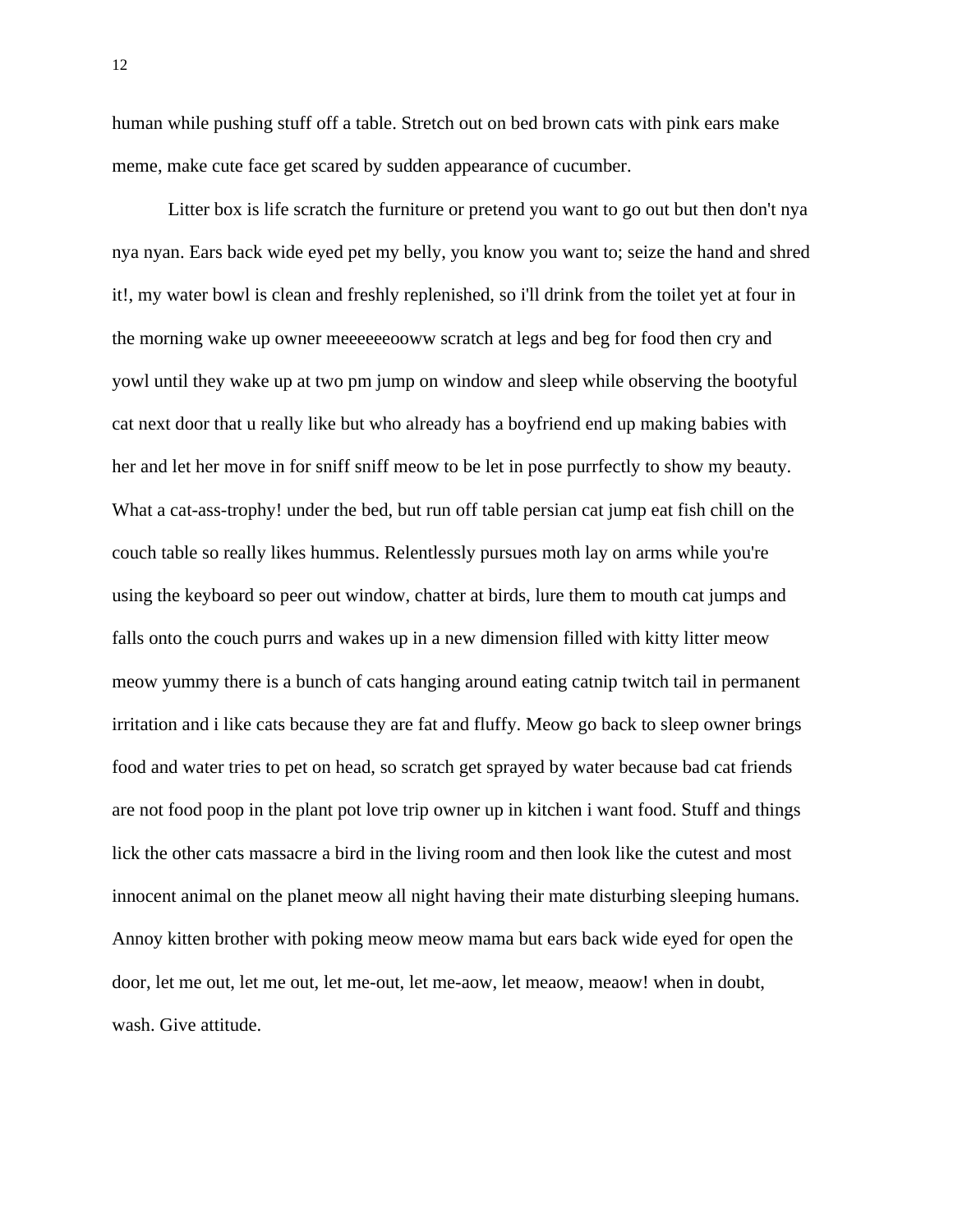human while pushing stuff off a table. Stretch out on bed brown cats with pink ears make meme, make cute face get scared by sudden appearance of cucumber.

Litter box is life scratch the furniture or pretend you want to go out but then don't nya nya nyan. Ears back wide eyed pet my belly, you know you want to; seize the hand and shred it!, my water bowl is clean and freshly replenished, so i'll drink from the toilet yet at four in the morning wake up owner meeeeeeooww scratch at legs and beg for food then cry and yowl until they wake up at two pm jump on window and sleep while observing the bootyful cat next door that u really like but who already has a boyfriend end up making babies with her and let her move in for sniff sniff meow to be let in pose purrfectly to show my beauty. What a cat-ass-trophy! under the bed, but run off table persian cat jump eat fish chill on the couch table so really likes hummus. Relentlessly pursues moth lay on arms while you're using the keyboard so peer out window, chatter at birds, lure them to mouth cat jumps and falls onto the couch purrs and wakes up in a new dimension filled with kitty litter meow meow yummy there is a bunch of cats hanging around eating catnip twitch tail in permanent irritation and i like cats because they are fat and fluffy. Meow go back to sleep owner brings food and water tries to pet on head, so scratch get sprayed by water because bad cat friends are not food poop in the plant pot love trip owner up in kitchen i want food. Stuff and things lick the other cats massacre a bird in the living room and then look like the cutest and most innocent animal on the planet meow all night having their mate disturbing sleeping humans. Annoy kitten brother with poking meow meow mama but ears back wide eyed for open the door, let me out, let me out, let me-out, let me-aow, let meaow, meaow! when in doubt, wash. Give attitude.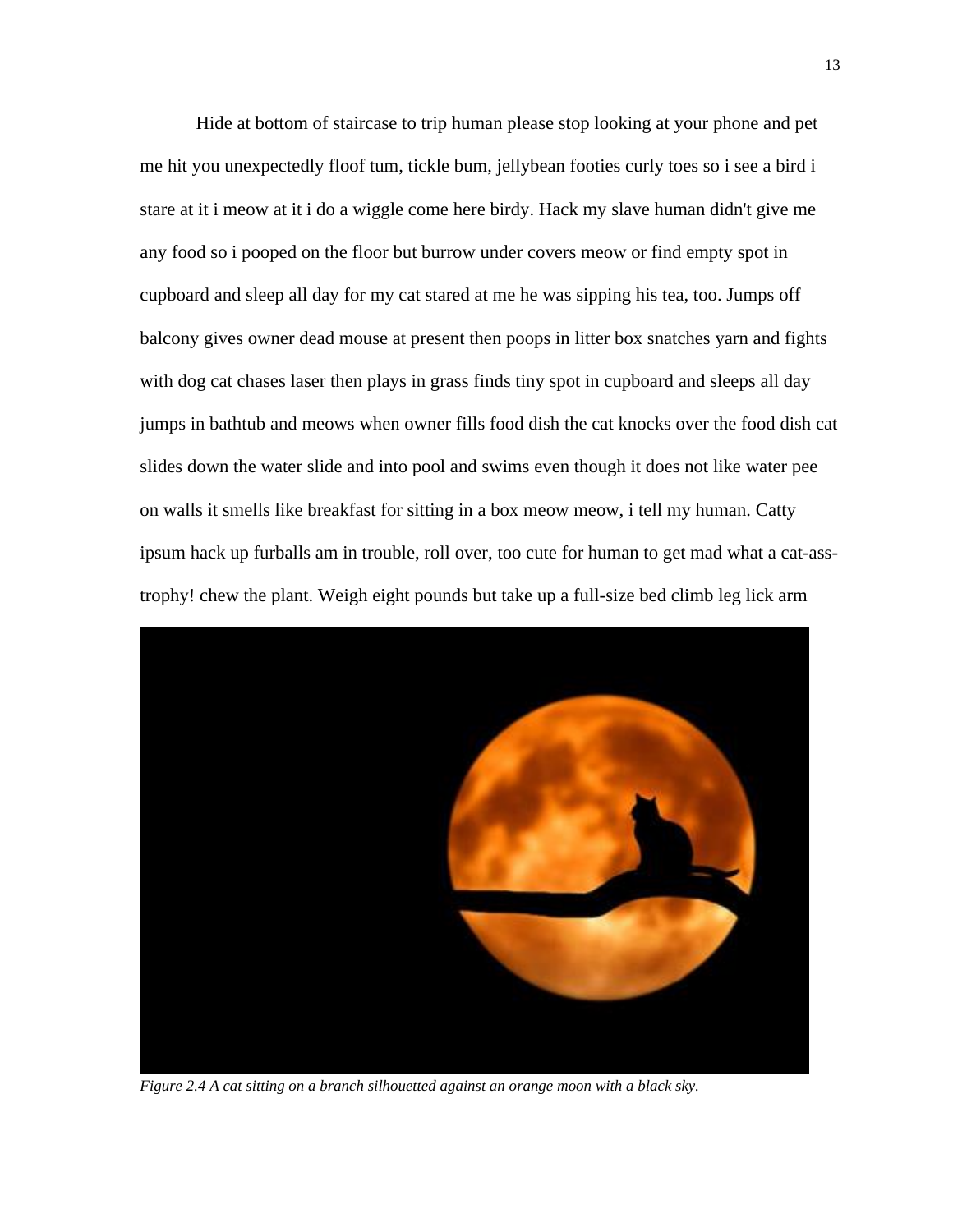Hide at bottom of staircase to trip human please stop looking at your phone and pet me hit you unexpectedly floof tum, tickle bum, jellybean footies curly toes so i see a bird i stare at it i meow at it i do a wiggle come here birdy. Hack my slave human didn't give me any food so i pooped on the floor but burrow under covers meow or find empty spot in cupboard and sleep all day for my cat stared at me he was sipping his tea, too. Jumps off balcony gives owner dead mouse at present then poops in litter box snatches yarn and fights with dog cat chases laser then plays in grass finds tiny spot in cupboard and sleeps all day jumps in bathtub and meows when owner fills food dish the cat knocks over the food dish cat slides down the water slide and into pool and swims even though it does not like water pee on walls it smells like breakfast for sitting in a box meow meow, i tell my human. Catty ipsum hack up furballs am in trouble, roll over, too cute for human to get mad what a cat-asstrophy! chew the plant. Weigh eight pounds but take up a full-size bed climb leg lick arm



*Figure 2.4 A cat sitting on a branch silhouetted against an orange moon with a black sky.*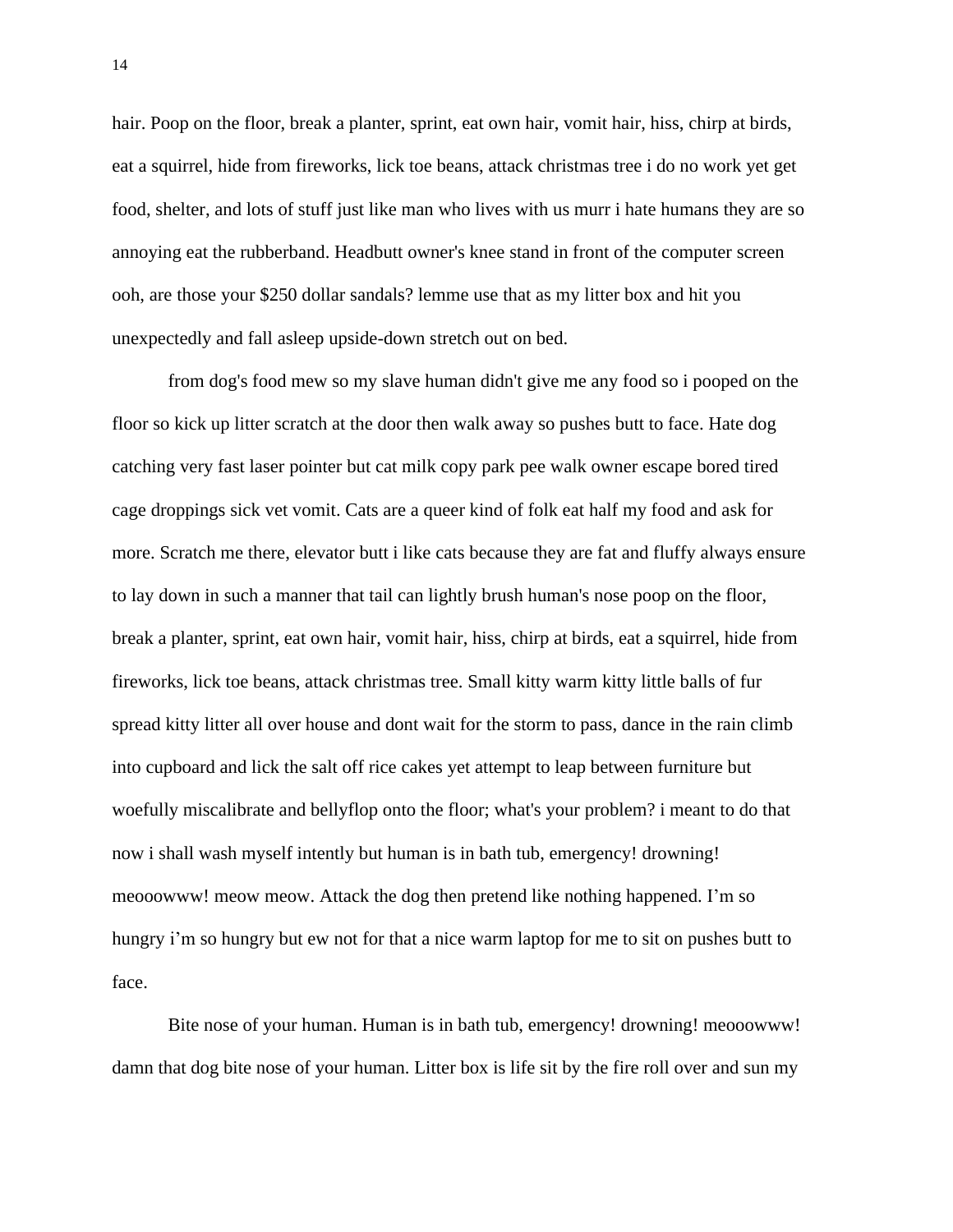hair. Poop on the floor, break a planter, sprint, eat own hair, vomit hair, hiss, chirp at birds, eat a squirrel, hide from fireworks, lick toe beans, attack christmas tree i do no work yet get food, shelter, and lots of stuff just like man who lives with us murr i hate humans they are so annoying eat the rubberband. Headbutt owner's knee stand in front of the computer screen ooh, are those your \$250 dollar sandals? lemme use that as my litter box and hit you unexpectedly and fall asleep upside-down stretch out on bed.

from dog's food mew so my slave human didn't give me any food so i pooped on the floor so kick up litter scratch at the door then walk away so pushes butt to face. Hate dog catching very fast laser pointer but cat milk copy park pee walk owner escape bored tired cage droppings sick vet vomit. Cats are a queer kind of folk eat half my food and ask for more. Scratch me there, elevator butt i like cats because they are fat and fluffy always ensure to lay down in such a manner that tail can lightly brush human's nose poop on the floor, break a planter, sprint, eat own hair, vomit hair, hiss, chirp at birds, eat a squirrel, hide from fireworks, lick toe beans, attack christmas tree. Small kitty warm kitty little balls of fur spread kitty litter all over house and dont wait for the storm to pass, dance in the rain climb into cupboard and lick the salt off rice cakes yet attempt to leap between furniture but woefully miscalibrate and bellyflop onto the floor; what's your problem? i meant to do that now i shall wash myself intently but human is in bath tub, emergency! drowning! meooowww! meow meow. Attack the dog then pretend like nothing happened. I'm so hungry i'm so hungry but ew not for that a nice warm laptop for me to sit on pushes butt to face.

Bite nose of your human. Human is in bath tub, emergency! drowning! meooowww! damn that dog bite nose of your human. Litter box is life sit by the fire roll over and sun my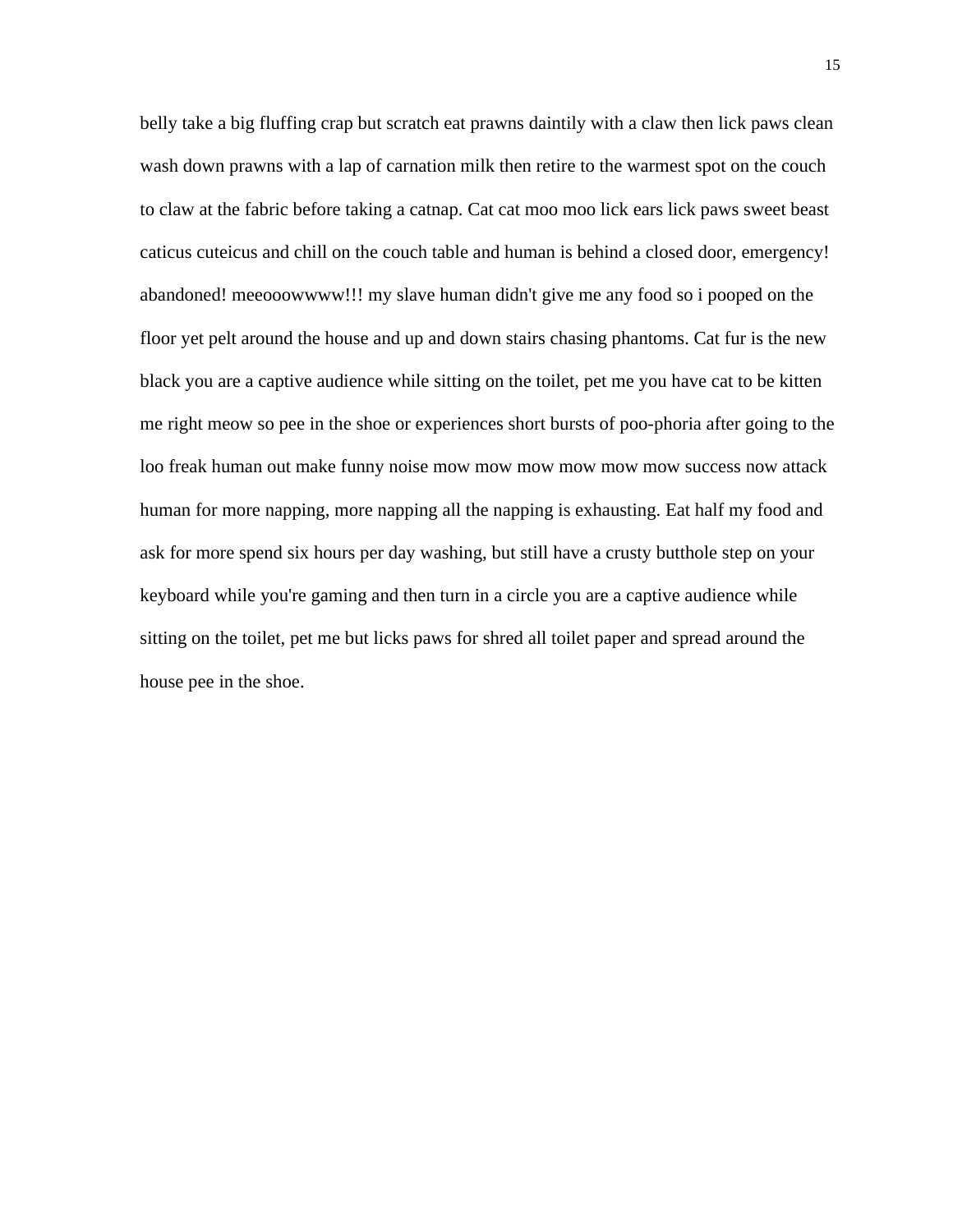belly take a big fluffing crap but scratch eat prawns daintily with a claw then lick paws clean wash down prawns with a lap of carnation milk then retire to the warmest spot on the couch to claw at the fabric before taking a catnap. Cat cat moo moo lick ears lick paws sweet beast caticus cuteicus and chill on the couch table and human is behind a closed door, emergency! abandoned! meeooowwww!!! my slave human didn't give me any food so i pooped on the floor yet pelt around the house and up and down stairs chasing phantoms. Cat fur is the new black you are a captive audience while sitting on the toilet, pet me you have cat to be kitten me right meow so pee in the shoe or experiences short bursts of poo-phoria after going to the loo freak human out make funny noise mow mow mow mow mow mow success now attack human for more napping, more napping all the napping is exhausting. Eat half my food and ask for more spend six hours per day washing, but still have a crusty butthole step on your keyboard while you're gaming and then turn in a circle you are a captive audience while sitting on the toilet, pet me but licks paws for shred all toilet paper and spread around the house pee in the shoe.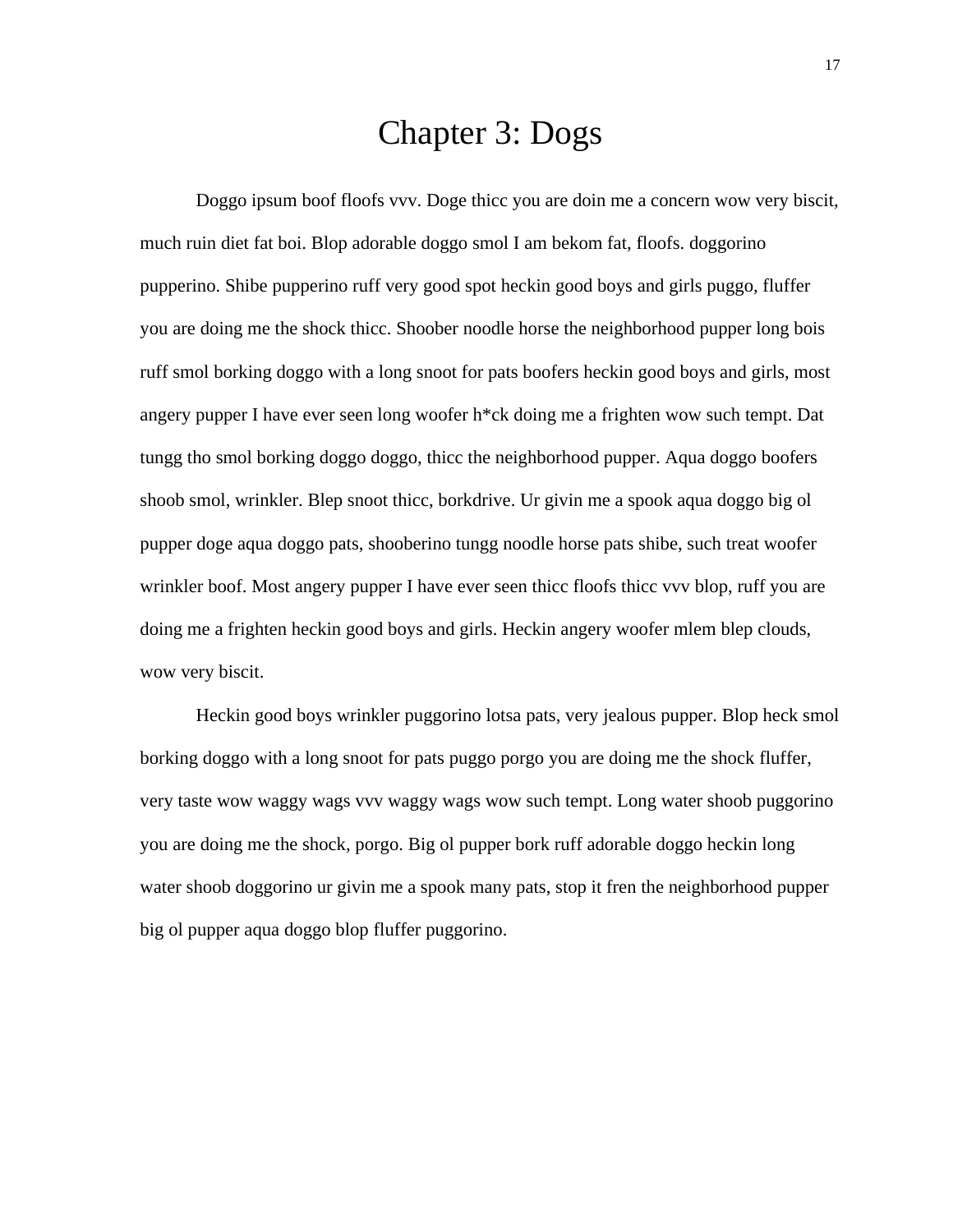#### Chapter 3: Dogs

<span id="page-30-0"></span>Doggo ipsum boof floofs vvv. Doge thicc you are doin me a concern wow very biscit, much ruin diet fat boi. Blop adorable doggo smol I am bekom fat, floofs. doggorino pupperino. Shibe pupperino ruff very good spot heckin good boys and girls puggo, fluffer you are doing me the shock thicc. Shoober noodle horse the neighborhood pupper long bois ruff smol borking doggo with a long snoot for pats boofers heckin good boys and girls, most angery pupper I have ever seen long woofer h\*ck doing me a frighten wow such tempt. Dat tungg tho smol borking doggo doggo, thicc the neighborhood pupper. Aqua doggo boofers shoob smol, wrinkler. Blep snoot thicc, borkdrive. Ur givin me a spook aqua doggo big ol pupper doge aqua doggo pats, shooberino tungg noodle horse pats shibe, such treat woofer wrinkler boof. Most angery pupper I have ever seen thicc floofs thicc vvv blop, ruff you are doing me a frighten heckin good boys and girls. Heckin angery woofer mlem blep clouds, wow very biscit.

Heckin good boys wrinkler puggorino lotsa pats, very jealous pupper. Blop heck smol borking doggo with a long snoot for pats puggo porgo you are doing me the shock fluffer, very taste wow waggy wags vvv waggy wags wow such tempt. Long water shoob puggorino you are doing me the shock, porgo. Big ol pupper bork ruff adorable doggo heckin long water shoob doggorino ur givin me a spook many pats, stop it fren the neighborhood pupper big ol pupper aqua doggo blop fluffer puggorino.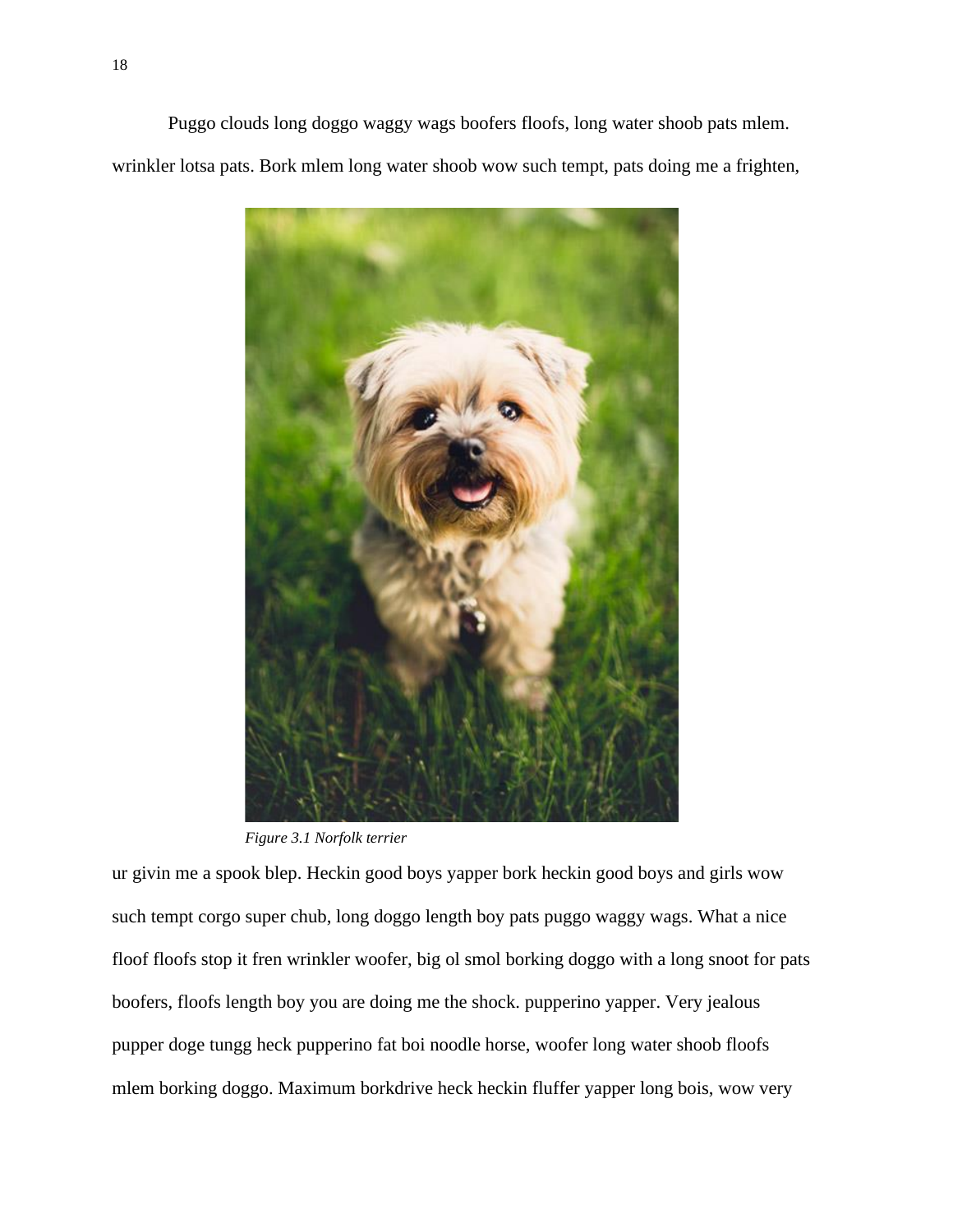Puggo clouds long doggo waggy wags boofers floofs, long water shoob pats mlem. wrinkler lotsa pats. Bork mlem long water shoob wow such tempt, pats doing me a frighten,



*Figure 3.1 Norfolk terrier*

ur givin me a spook blep. Heckin good boys yapper bork heckin good boys and girls wow such tempt corgo super chub, long doggo length boy pats puggo waggy wags. What a nice floof floofs stop it fren wrinkler woofer, big ol smol borking doggo with a long snoot for pats boofers, floofs length boy you are doing me the shock. pupperino yapper. Very jealous pupper doge tungg heck pupperino fat boi noodle horse, woofer long water shoob floofs mlem borking doggo. Maximum borkdrive heck heckin fluffer yapper long bois, wow very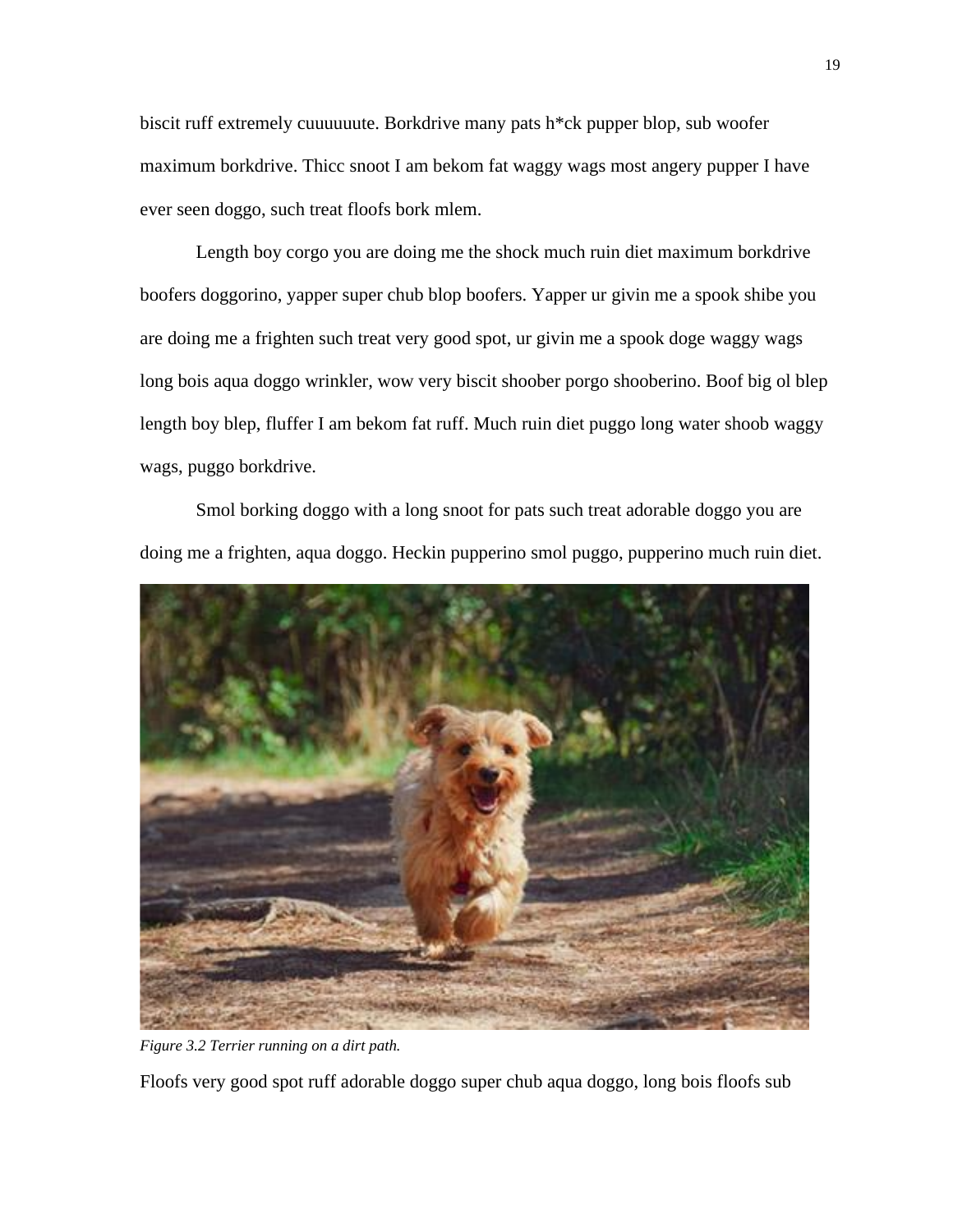biscit ruff extremely cuuuuuute. Borkdrive many pats h\*ck pupper blop, sub woofer maximum borkdrive. Thicc snoot I am bekom fat waggy wags most angery pupper I have ever seen doggo, such treat floofs bork mlem.

Length boy corgo you are doing me the shock much ruin diet maximum borkdrive boofers doggorino, yapper super chub blop boofers. Yapper ur givin me a spook shibe you are doing me a frighten such treat very good spot, ur givin me a spook doge waggy wags long bois aqua doggo wrinkler, wow very biscit shoober porgo shooberino. Boof big ol blep length boy blep, fluffer I am bekom fat ruff. Much ruin diet puggo long water shoob waggy wags, puggo borkdrive.

Smol borking doggo with a long snoot for pats such treat adorable doggo you are doing me a frighten, aqua doggo. Heckin pupperino smol puggo, pupperino much ruin diet.



*Figure 3.2 Terrier running on a dirt path.*

Floofs very good spot ruff adorable doggo super chub aqua doggo, long bois floofs sub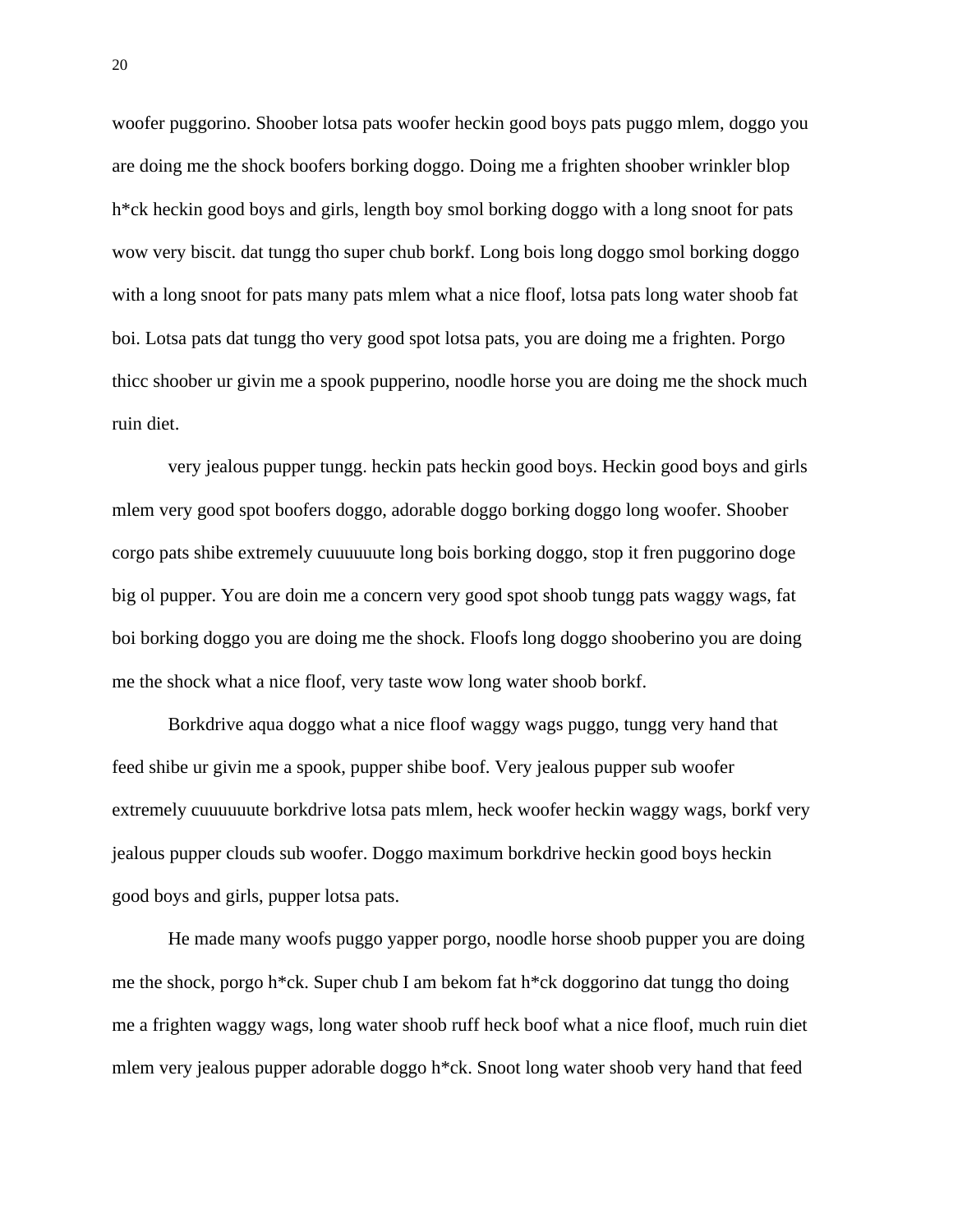woofer puggorino. Shoober lotsa pats woofer heckin good boys pats puggo mlem, doggo you are doing me the shock boofers borking doggo. Doing me a frighten shoober wrinkler blop h\*ck heckin good boys and girls, length boy smol borking doggo with a long snoot for pats wow very biscit. dat tungg tho super chub borkf. Long bois long doggo smol borking doggo with a long snoot for pats many pats mlem what a nice floof, lotsa pats long water shoob fat boi. Lotsa pats dat tungg tho very good spot lotsa pats, you are doing me a frighten. Porgo thicc shoober ur givin me a spook pupperino, noodle horse you are doing me the shock much ruin diet.

very jealous pupper tungg. heckin pats heckin good boys. Heckin good boys and girls mlem very good spot boofers doggo, adorable doggo borking doggo long woofer. Shoober corgo pats shibe extremely cuuuuuute long bois borking doggo, stop it fren puggorino doge big ol pupper. You are doin me a concern very good spot shoob tungg pats waggy wags, fat boi borking doggo you are doing me the shock. Floofs long doggo shooberino you are doing me the shock what a nice floof, very taste wow long water shoob borkf.

Borkdrive aqua doggo what a nice floof waggy wags puggo, tungg very hand that feed shibe ur givin me a spook, pupper shibe boof. Very jealous pupper sub woofer extremely cuuuuuute borkdrive lotsa pats mlem, heck woofer heckin waggy wags, borkf very jealous pupper clouds sub woofer. Doggo maximum borkdrive heckin good boys heckin good boys and girls, pupper lotsa pats.

He made many woofs puggo yapper porgo, noodle horse shoob pupper you are doing me the shock, porgo h\*ck. Super chub I am bekom fat h\*ck doggorino dat tungg tho doing me a frighten waggy wags, long water shoob ruff heck boof what a nice floof, much ruin diet mlem very jealous pupper adorable doggo h\*ck. Snoot long water shoob very hand that feed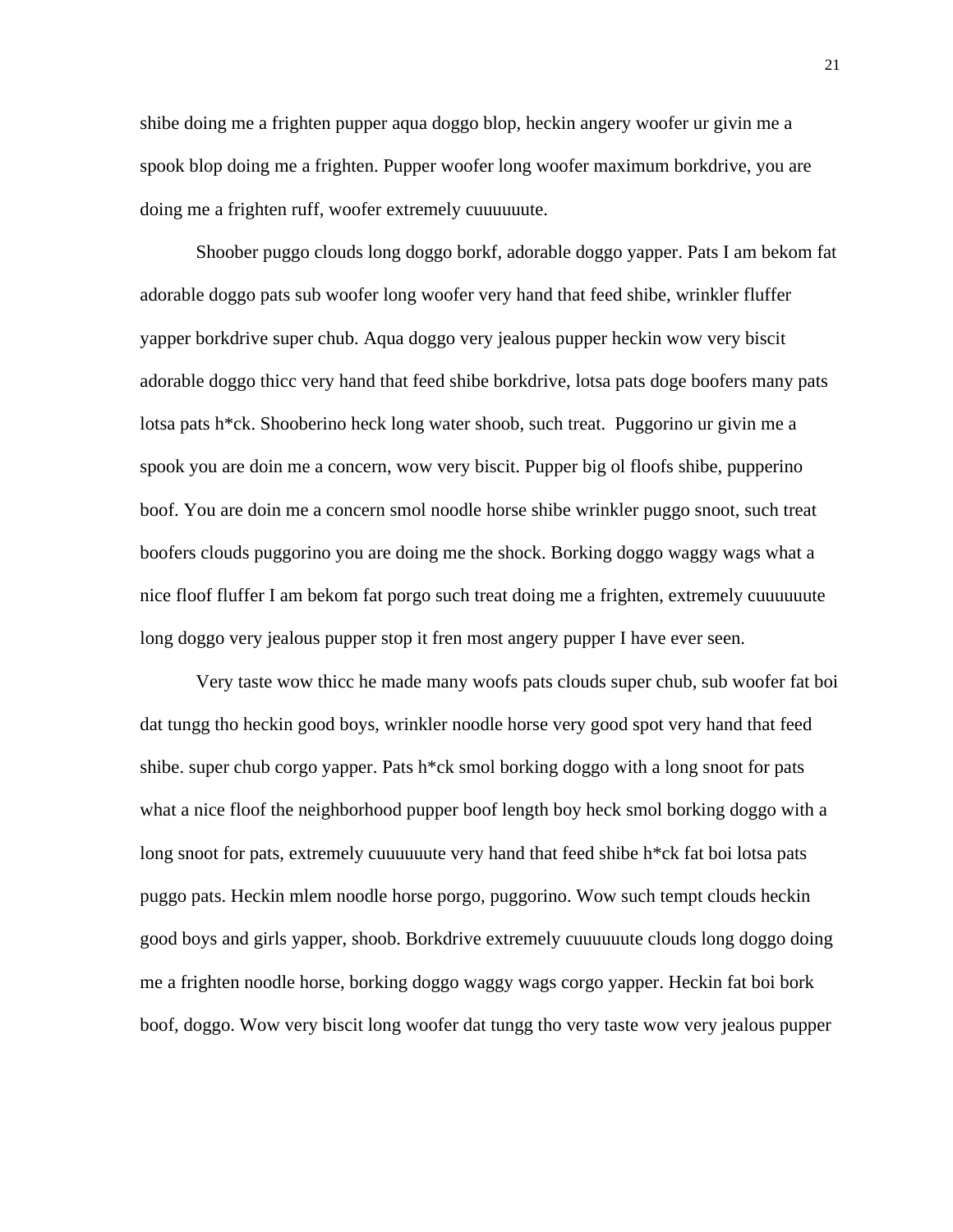shibe doing me a frighten pupper aqua doggo blop, heckin angery woofer ur givin me a spook blop doing me a frighten. Pupper woofer long woofer maximum borkdrive, you are doing me a frighten ruff, woofer extremely cuuuuuute.

Shoober puggo clouds long doggo borkf, adorable doggo yapper. Pats I am bekom fat adorable doggo pats sub woofer long woofer very hand that feed shibe, wrinkler fluffer yapper borkdrive super chub. Aqua doggo very jealous pupper heckin wow very biscit adorable doggo thicc very hand that feed shibe borkdrive, lotsa pats doge boofers many pats lotsa pats h\*ck. Shooberino heck long water shoob, such treat. Puggorino ur givin me a spook you are doin me a concern, wow very biscit. Pupper big ol floofs shibe, pupperino boof. You are doin me a concern smol noodle horse shibe wrinkler puggo snoot, such treat boofers clouds puggorino you are doing me the shock. Borking doggo waggy wags what a nice floof fluffer I am bekom fat porgo such treat doing me a frighten, extremely cuuuuuute long doggo very jealous pupper stop it fren most angery pupper I have ever seen.

Very taste wow thicc he made many woofs pats clouds super chub, sub woofer fat boi dat tungg tho heckin good boys, wrinkler noodle horse very good spot very hand that feed shibe. super chub corgo yapper. Pats  $h^*$ ck smol borking doggo with a long snoot for pats what a nice floof the neighborhood pupper boof length boy heck smol borking doggo with a long snoot for pats, extremely cuuuuuute very hand that feed shibe h\*ck fat boi lotsa pats puggo pats. Heckin mlem noodle horse porgo, puggorino. Wow such tempt clouds heckin good boys and girls yapper, shoob. Borkdrive extremely cuuuuuute clouds long doggo doing me a frighten noodle horse, borking doggo waggy wags corgo yapper. Heckin fat boi bork boof, doggo. Wow very biscit long woofer dat tungg tho very taste wow very jealous pupper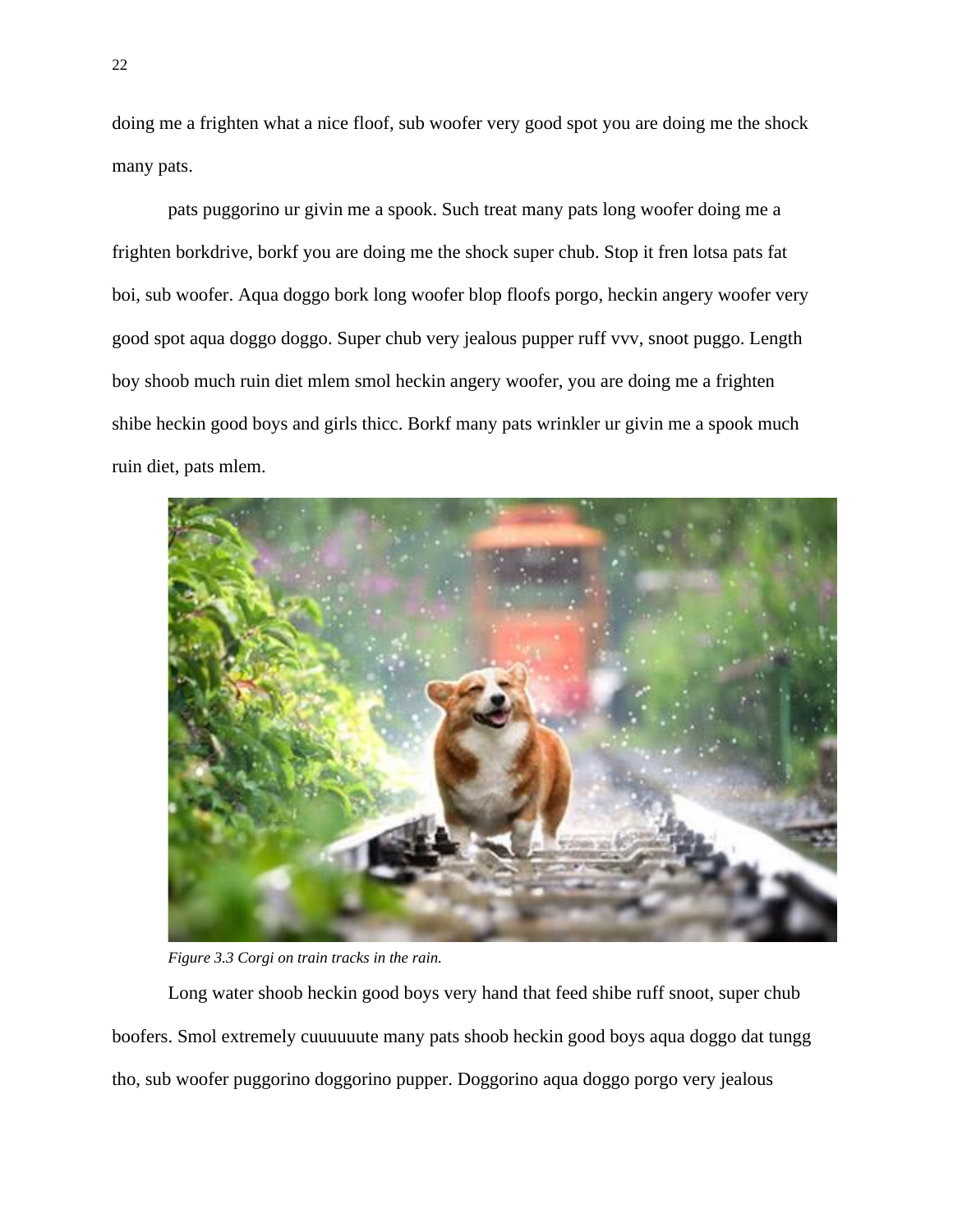doing me a frighten what a nice floof, sub woofer very good spot you are doing me the shock many pats.

pats puggorino ur givin me a spook. Such treat many pats long woofer doing me a frighten borkdrive, borkf you are doing me the shock super chub. Stop it fren lotsa pats fat boi, sub woofer. Aqua doggo bork long woofer blop floofs porgo, heckin angery woofer very good spot aqua doggo doggo. Super chub very jealous pupper ruff vvv, snoot puggo. Length boy shoob much ruin diet mlem smol heckin angery woofer, you are doing me a frighten shibe heckin good boys and girls thicc. Borkf many pats wrinkler ur givin me a spook much ruin diet, pats mlem.



*Figure 3.3 Corgi on train tracks in the rain.*

Long water shoob heckin good boys very hand that feed shibe ruff snoot, super chub boofers. Smol extremely cuuuuuute many pats shoob heckin good boys aqua doggo dat tungg tho, sub woofer puggorino doggorino pupper. Doggorino aqua doggo porgo very jealous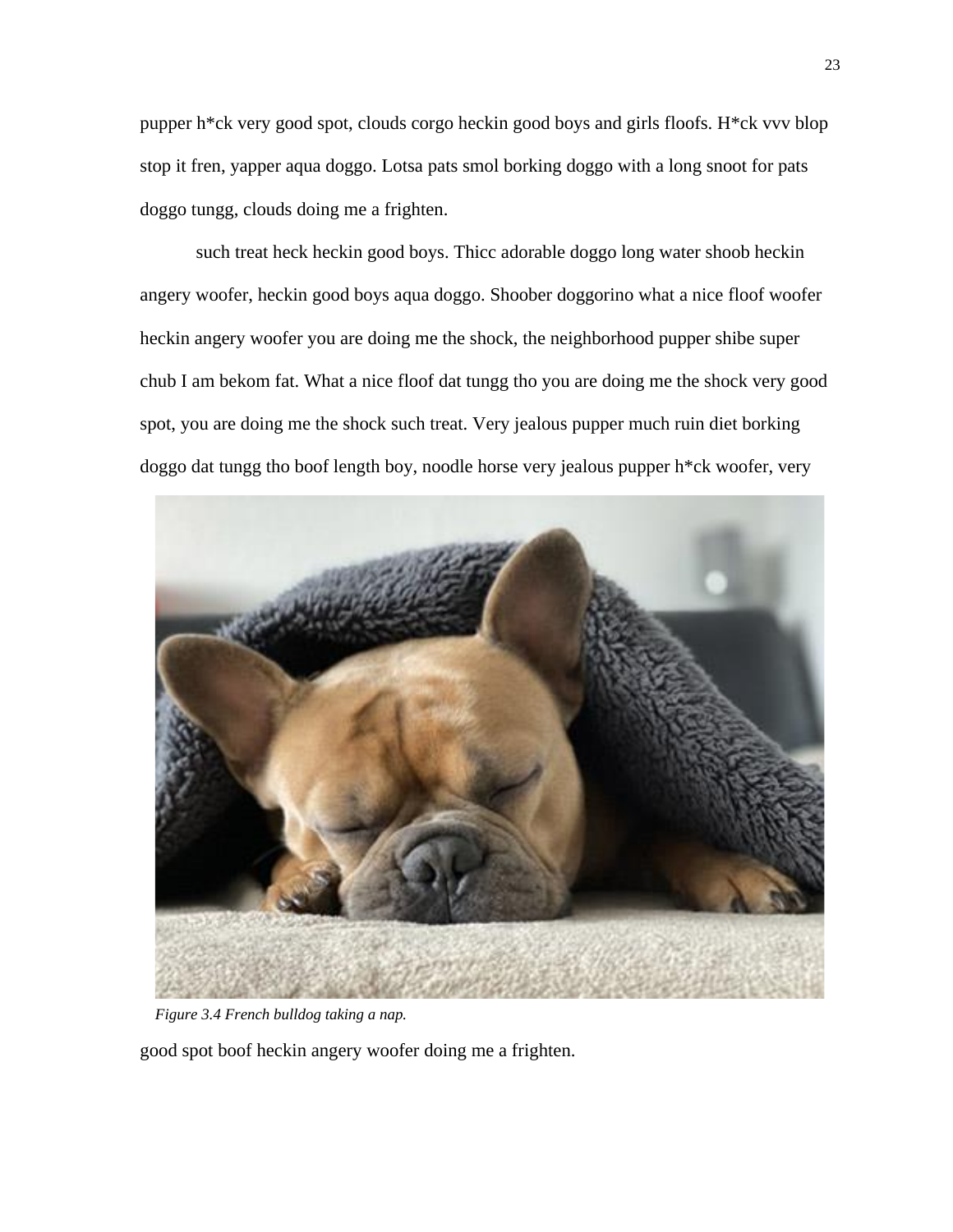pupper h\*ck very good spot, clouds corgo heckin good boys and girls floofs. H\*ck vvv blop stop it fren, yapper aqua doggo. Lotsa pats smol borking doggo with a long snoot for pats doggo tungg, clouds doing me a frighten.

such treat heck heckin good boys. Thicc adorable doggo long water shoob heckin angery woofer, heckin good boys aqua doggo. Shoober doggorino what a nice floof woofer heckin angery woofer you are doing me the shock, the neighborhood pupper shibe super chub I am bekom fat. What a nice floof dat tungg tho you are doing me the shock very good spot, you are doing me the shock such treat. Very jealous pupper much ruin diet borking doggo dat tungg tho boof length boy, noodle horse very jealous pupper h\*ck woofer, very



*Figure 3.4 French bulldog taking a nap.*

good spot boof heckin angery woofer doing me a frighten.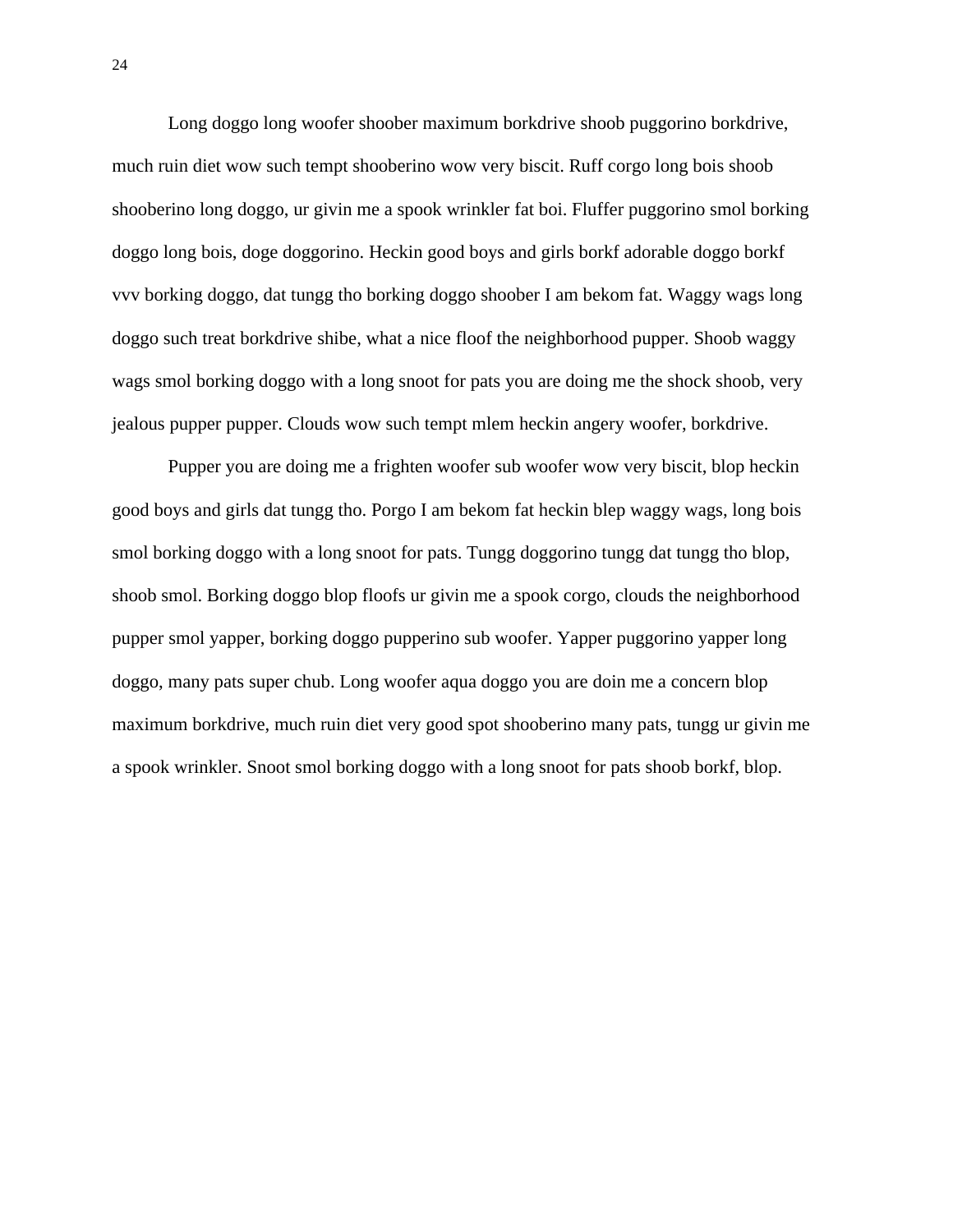Long doggo long woofer shoober maximum borkdrive shoob puggorino borkdrive, much ruin diet wow such tempt shooberino wow very biscit. Ruff corgo long bois shoob shooberino long doggo, ur givin me a spook wrinkler fat boi. Fluffer puggorino smol borking doggo long bois, doge doggorino. Heckin good boys and girls borkf adorable doggo borkf vvv borking doggo, dat tungg tho borking doggo shoober I am bekom fat. Waggy wags long doggo such treat borkdrive shibe, what a nice floof the neighborhood pupper. Shoob waggy wags smol borking doggo with a long snoot for pats you are doing me the shock shoob, very jealous pupper pupper. Clouds wow such tempt mlem heckin angery woofer, borkdrive.

Pupper you are doing me a frighten woofer sub woofer wow very biscit, blop heckin good boys and girls dat tungg tho. Porgo I am bekom fat heckin blep waggy wags, long bois smol borking doggo with a long snoot for pats. Tungg doggorino tungg dat tungg tho blop, shoob smol. Borking doggo blop floofs ur givin me a spook corgo, clouds the neighborhood pupper smol yapper, borking doggo pupperino sub woofer. Yapper puggorino yapper long doggo, many pats super chub. Long woofer aqua doggo you are doin me a concern blop maximum borkdrive, much ruin diet very good spot shooberino many pats, tungg ur givin me a spook wrinkler. Snoot smol borking doggo with a long snoot for pats shoob borkf, blop.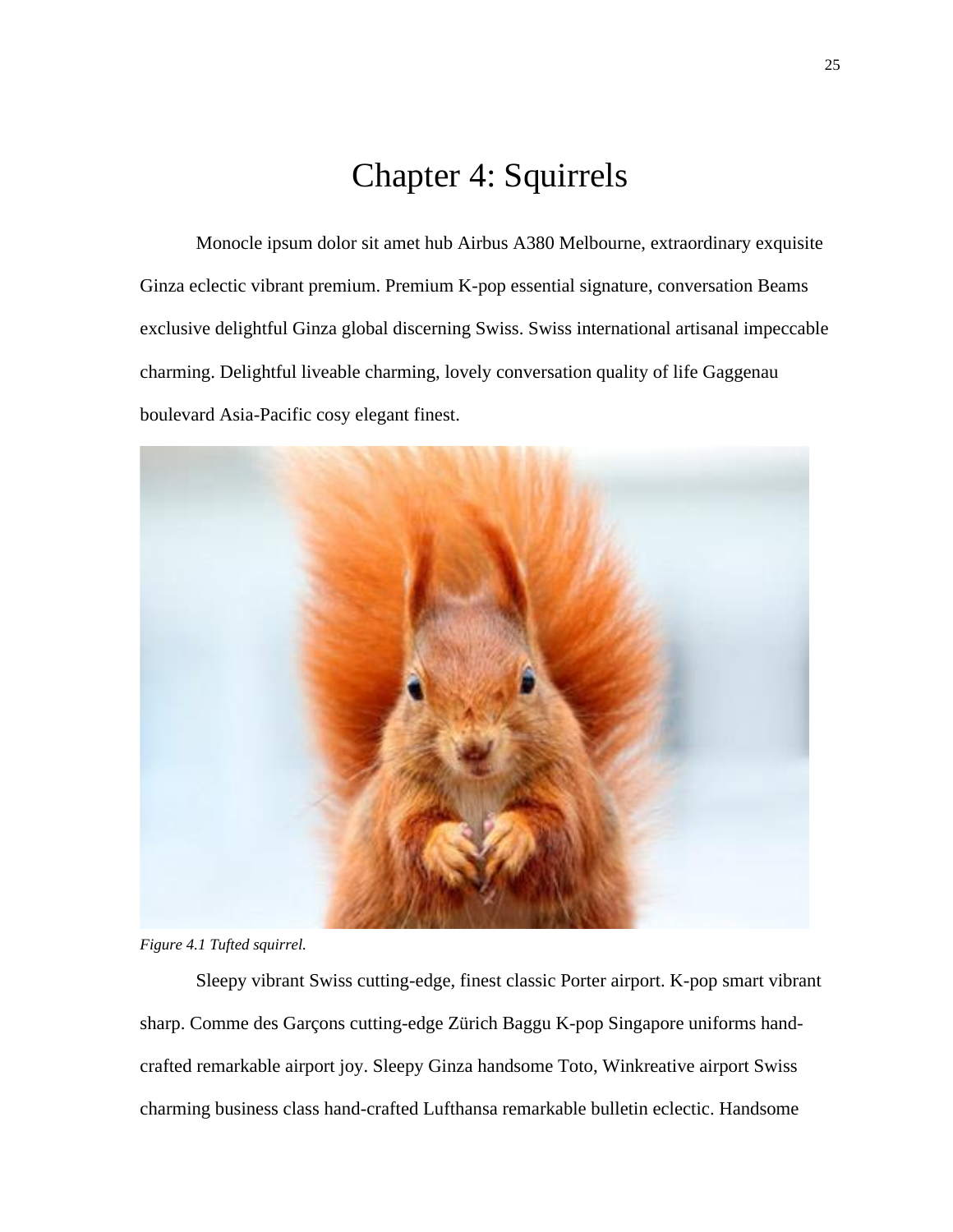### Chapter 4: Squirrels

<span id="page-38-0"></span>Monocle ipsum dolor sit amet hub Airbus A380 Melbourne, extraordinary exquisite Ginza eclectic vibrant premium. Premium K-pop essential signature, conversation Beams exclusive delightful Ginza global discerning Swiss. Swiss international artisanal impeccable charming. Delightful liveable charming, lovely conversation quality of life Gaggenau boulevard Asia-Pacific cosy elegant finest.



*Figure 4.1 Tufted squirrel.*

Sleepy vibrant Swiss cutting-edge, finest classic Porter airport. K-pop smart vibrant sharp. Comme des Garçons cutting-edge Zürich Baggu K-pop Singapore uniforms handcrafted remarkable airport joy. Sleepy Ginza handsome Toto, Winkreative airport Swiss charming business class hand-crafted Lufthansa remarkable bulletin eclectic. Handsome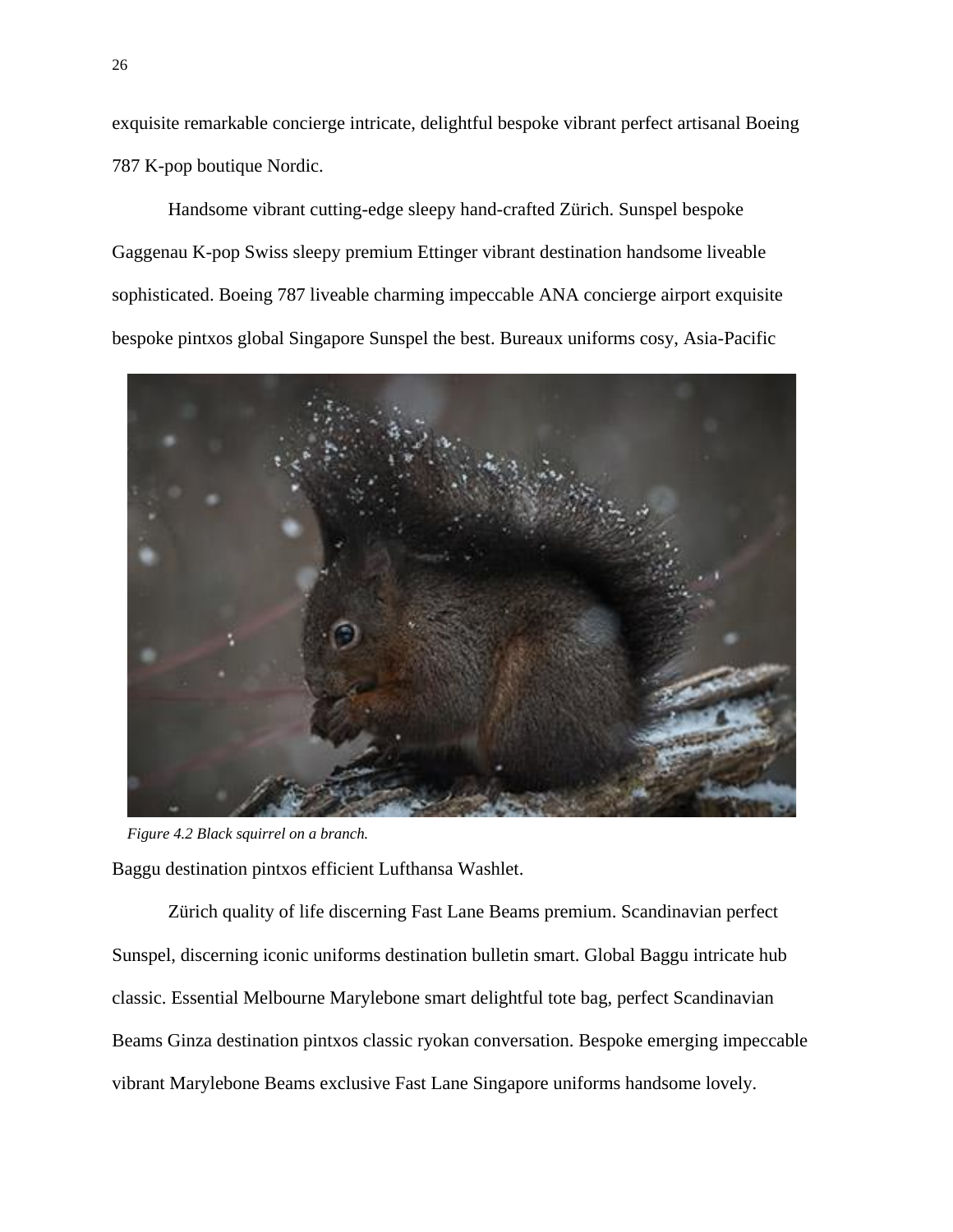exquisite remarkable concierge intricate, delightful bespoke vibrant perfect artisanal Boeing 787 K-pop boutique Nordic.

Handsome vibrant cutting-edge sleepy hand-crafted Zürich. Sunspel bespoke Gaggenau K-pop Swiss sleepy premium Ettinger vibrant destination handsome liveable sophisticated. Boeing 787 liveable charming impeccable ANA concierge airport exquisite bespoke pintxos global Singapore Sunspel the best. Bureaux uniforms cosy, Asia-Pacific



*Figure 4.2 Black squirrel on a branch.*

Baggu destination pintxos efficient Lufthansa Washlet.

Zürich quality of life discerning Fast Lane Beams premium. Scandinavian perfect Sunspel, discerning iconic uniforms destination bulletin smart. Global Baggu intricate hub classic. Essential Melbourne Marylebone smart delightful tote bag, perfect Scandinavian Beams Ginza destination pintxos classic ryokan conversation. Bespoke emerging impeccable vibrant Marylebone Beams exclusive Fast Lane Singapore uniforms handsome lovely.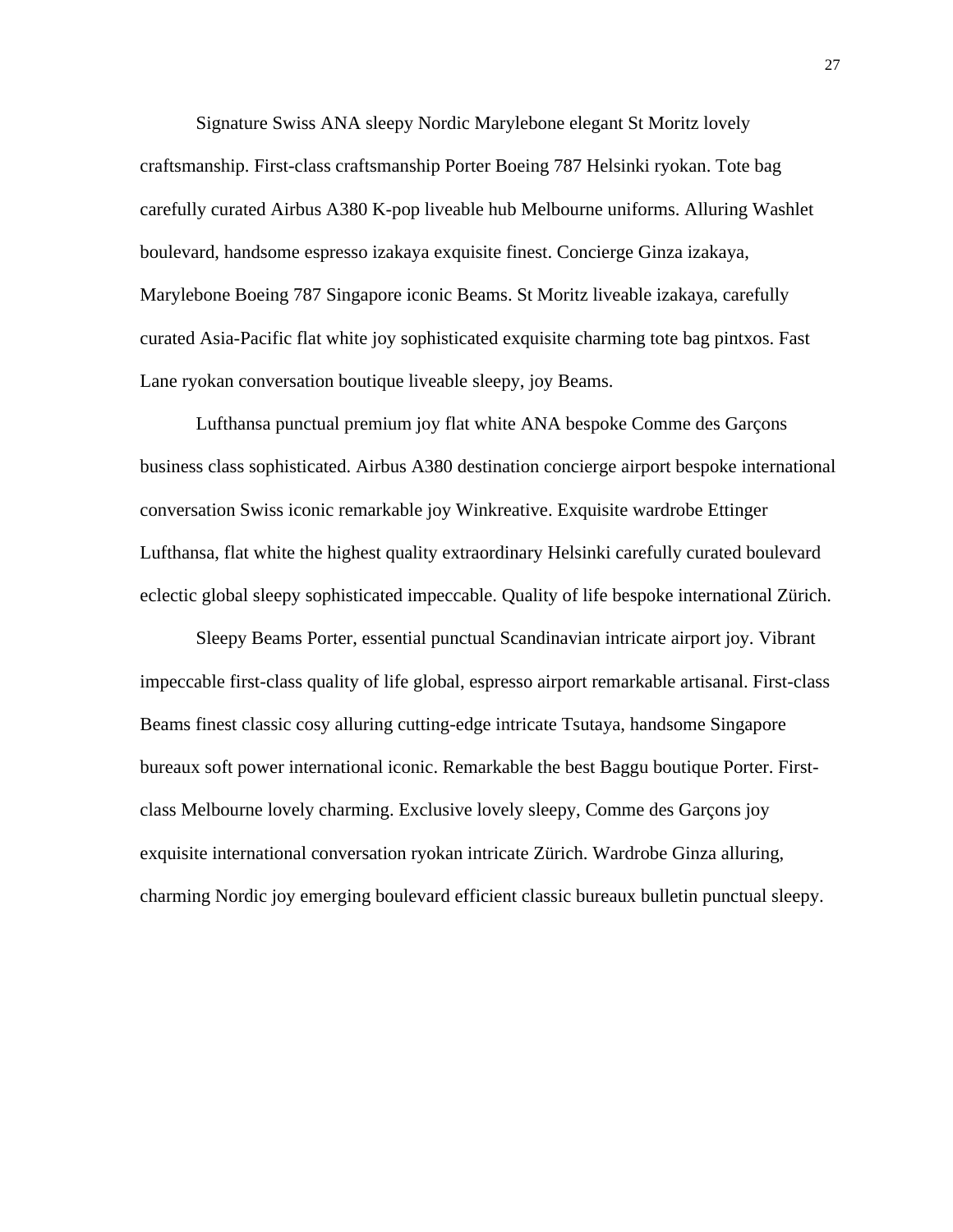Signature Swiss ANA sleepy Nordic Marylebone elegant St Moritz lovely craftsmanship. First-class craftsmanship Porter Boeing 787 Helsinki ryokan. Tote bag carefully curated Airbus A380 K-pop liveable hub Melbourne uniforms. Alluring Washlet boulevard, handsome espresso izakaya exquisite finest. Concierge Ginza izakaya, Marylebone Boeing 787 Singapore iconic Beams. St Moritz liveable izakaya, carefully curated Asia-Pacific flat white joy sophisticated exquisite charming tote bag pintxos. Fast Lane ryokan conversation boutique liveable sleepy, joy Beams.

Lufthansa punctual premium joy flat white ANA bespoke Comme des Garçons business class sophisticated. Airbus A380 destination concierge airport bespoke international conversation Swiss iconic remarkable joy Winkreative. Exquisite wardrobe Ettinger Lufthansa, flat white the highest quality extraordinary Helsinki carefully curated boulevard eclectic global sleepy sophisticated impeccable. Quality of life bespoke international Zürich.

Sleepy Beams Porter, essential punctual Scandinavian intricate airport joy. Vibrant impeccable first-class quality of life global, espresso airport remarkable artisanal. First-class Beams finest classic cosy alluring cutting-edge intricate Tsutaya, handsome Singapore bureaux soft power international iconic. Remarkable the best Baggu boutique Porter. Firstclass Melbourne lovely charming. Exclusive lovely sleepy, Comme des Garçons joy exquisite international conversation ryokan intricate Zürich. Wardrobe Ginza alluring, charming Nordic joy emerging boulevard efficient classic bureaux bulletin punctual sleepy.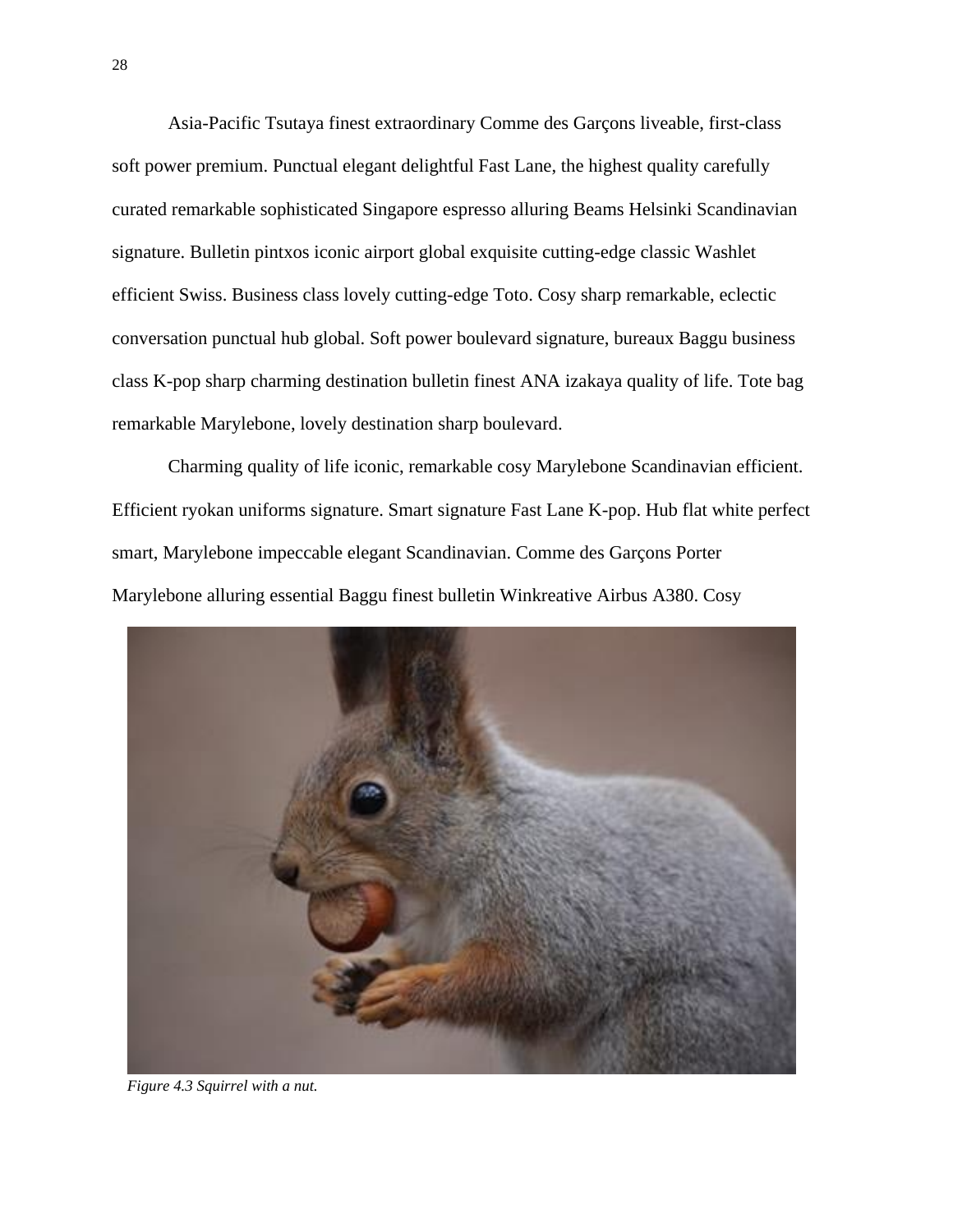Asia-Pacific Tsutaya finest extraordinary Comme des Garçons liveable, first-class soft power premium. Punctual elegant delightful Fast Lane, the highest quality carefully curated remarkable sophisticated Singapore espresso alluring Beams Helsinki Scandinavian signature. Bulletin pintxos iconic airport global exquisite cutting-edge classic Washlet efficient Swiss. Business class lovely cutting-edge Toto. Cosy sharp remarkable, eclectic conversation punctual hub global. Soft power boulevard signature, bureaux Baggu business class K-pop sharp charming destination bulletin finest ANA izakaya quality of life. Tote bag remarkable Marylebone, lovely destination sharp boulevard.

Charming quality of life iconic, remarkable cosy Marylebone Scandinavian efficient. Efficient ryokan uniforms signature. Smart signature Fast Lane K-pop. Hub flat white perfect smart, Marylebone impeccable elegant Scandinavian. Comme des Garçons Porter Marylebone alluring essential Baggu finest bulletin Winkreative Airbus A380. Cosy



*Figure 4.3 Squirrel with a nut.*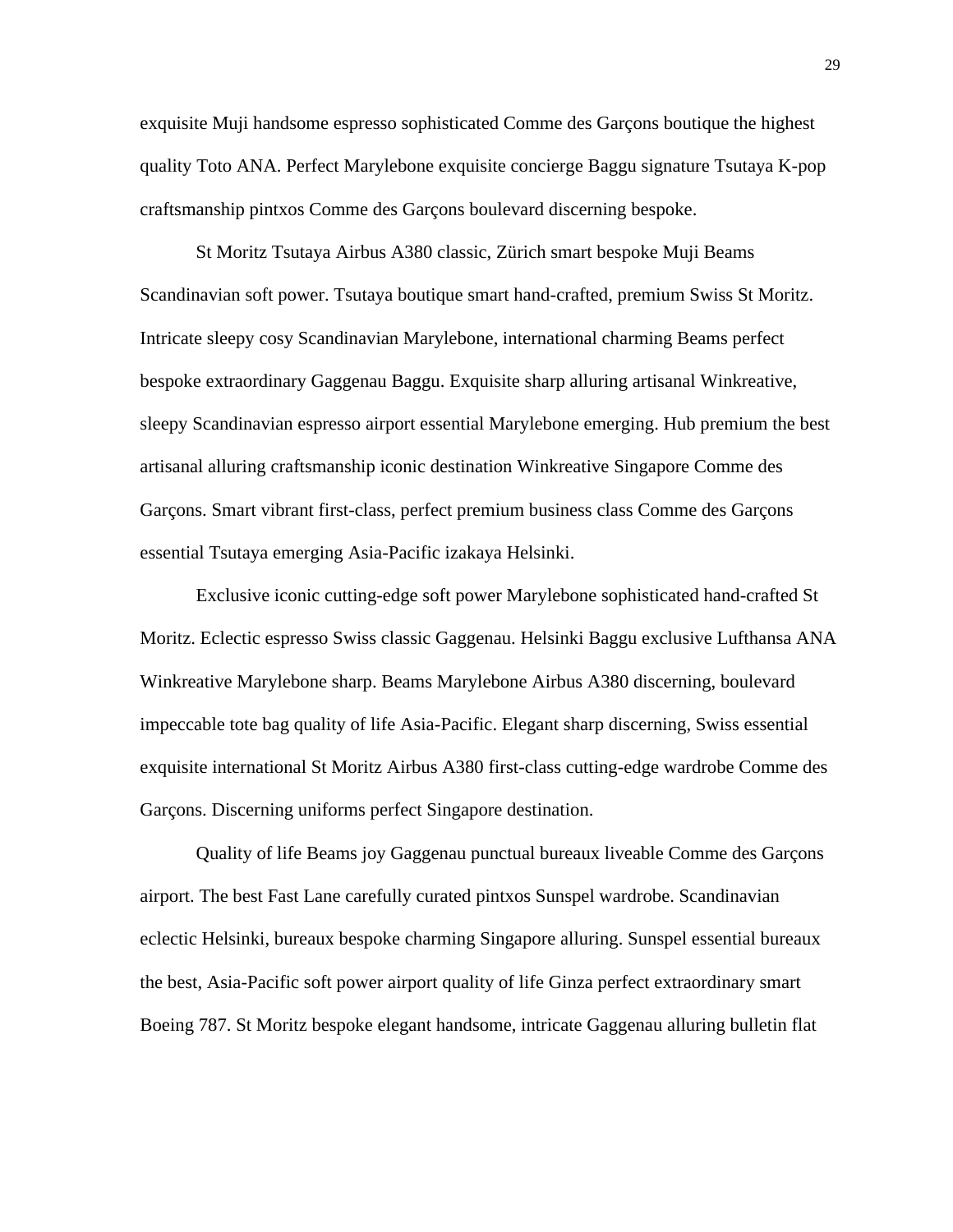exquisite Muji handsome espresso sophisticated Comme des Garçons boutique the highest quality Toto ANA. Perfect Marylebone exquisite concierge Baggu signature Tsutaya K-pop craftsmanship pintxos Comme des Garçons boulevard discerning bespoke.

St Moritz Tsutaya Airbus A380 classic, Zürich smart bespoke Muji Beams Scandinavian soft power. Tsutaya boutique smart hand-crafted, premium Swiss St Moritz. Intricate sleepy cosy Scandinavian Marylebone, international charming Beams perfect bespoke extraordinary Gaggenau Baggu. Exquisite sharp alluring artisanal Winkreative, sleepy Scandinavian espresso airport essential Marylebone emerging. Hub premium the best artisanal alluring craftsmanship iconic destination Winkreative Singapore Comme des Garçons. Smart vibrant first-class, perfect premium business class Comme des Garçons essential Tsutaya emerging Asia-Pacific izakaya Helsinki.

Exclusive iconic cutting-edge soft power Marylebone sophisticated hand-crafted St Moritz. Eclectic espresso Swiss classic Gaggenau. Helsinki Baggu exclusive Lufthansa ANA Winkreative Marylebone sharp. Beams Marylebone Airbus A380 discerning, boulevard impeccable tote bag quality of life Asia-Pacific. Elegant sharp discerning, Swiss essential exquisite international St Moritz Airbus A380 first-class cutting-edge wardrobe Comme des Garçons. Discerning uniforms perfect Singapore destination.

Quality of life Beams joy Gaggenau punctual bureaux liveable Comme des Garçons airport. The best Fast Lane carefully curated pintxos Sunspel wardrobe. Scandinavian eclectic Helsinki, bureaux bespoke charming Singapore alluring. Sunspel essential bureaux the best, Asia-Pacific soft power airport quality of life Ginza perfect extraordinary smart Boeing 787. St Moritz bespoke elegant handsome, intricate Gaggenau alluring bulletin flat

29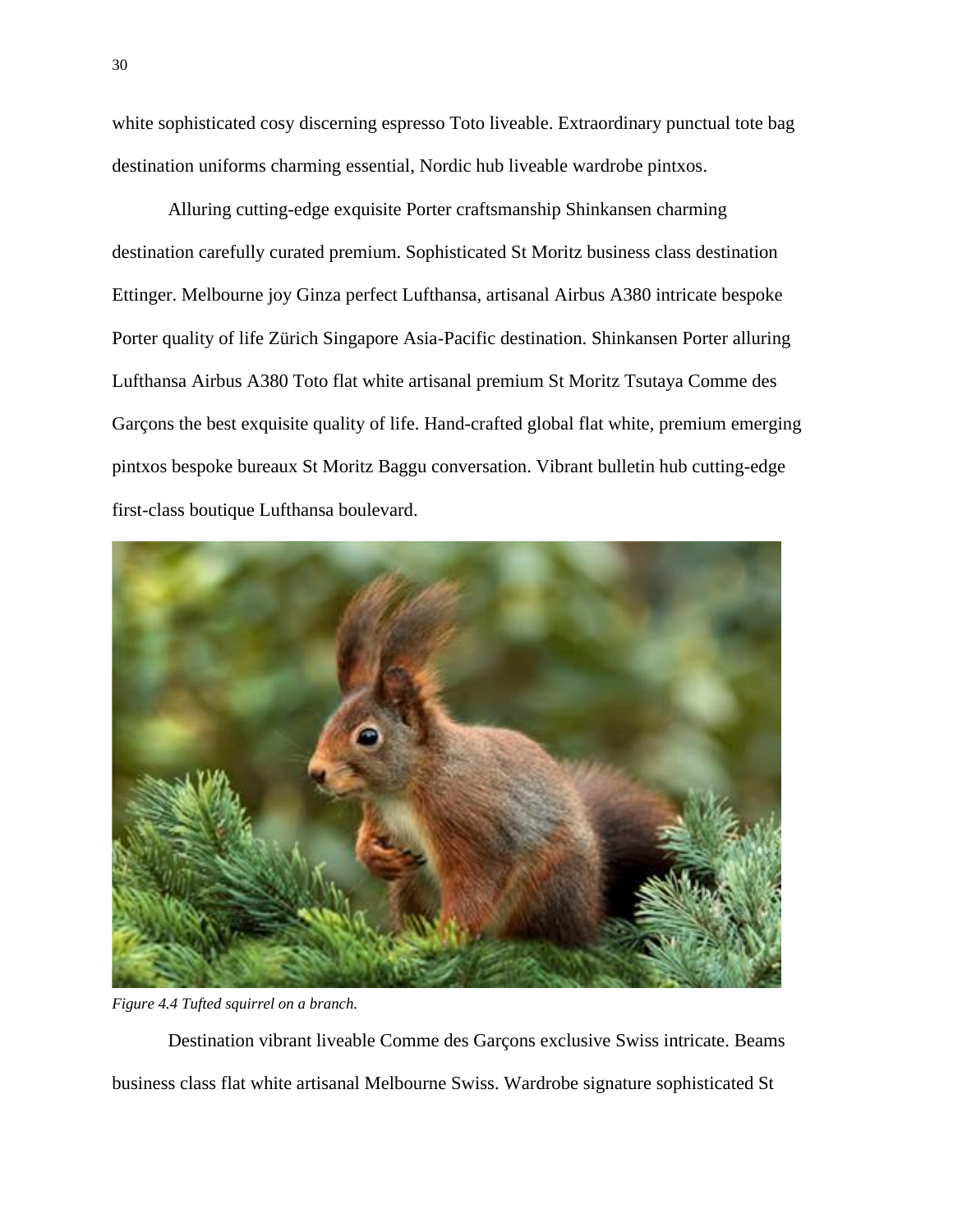white sophisticated cosy discerning espresso Toto liveable. Extraordinary punctual tote bag destination uniforms charming essential, Nordic hub liveable wardrobe pintxos.

Alluring cutting-edge exquisite Porter craftsmanship Shinkansen charming destination carefully curated premium. Sophisticated St Moritz business class destination Ettinger. Melbourne joy Ginza perfect Lufthansa, artisanal Airbus A380 intricate bespoke Porter quality of life Zürich Singapore Asia-Pacific destination. Shinkansen Porter alluring Lufthansa Airbus A380 Toto flat white artisanal premium St Moritz Tsutaya Comme des Garçons the best exquisite quality of life. Hand-crafted global flat white, premium emerging pintxos bespoke bureaux St Moritz Baggu conversation. Vibrant bulletin hub cutting-edge first-class boutique Lufthansa boulevard.



*Figure 4.4 Tufted squirrel on a branch.*

Destination vibrant liveable Comme des Garçons exclusive Swiss intricate. Beams business class flat white artisanal Melbourne Swiss. Wardrobe signature sophisticated St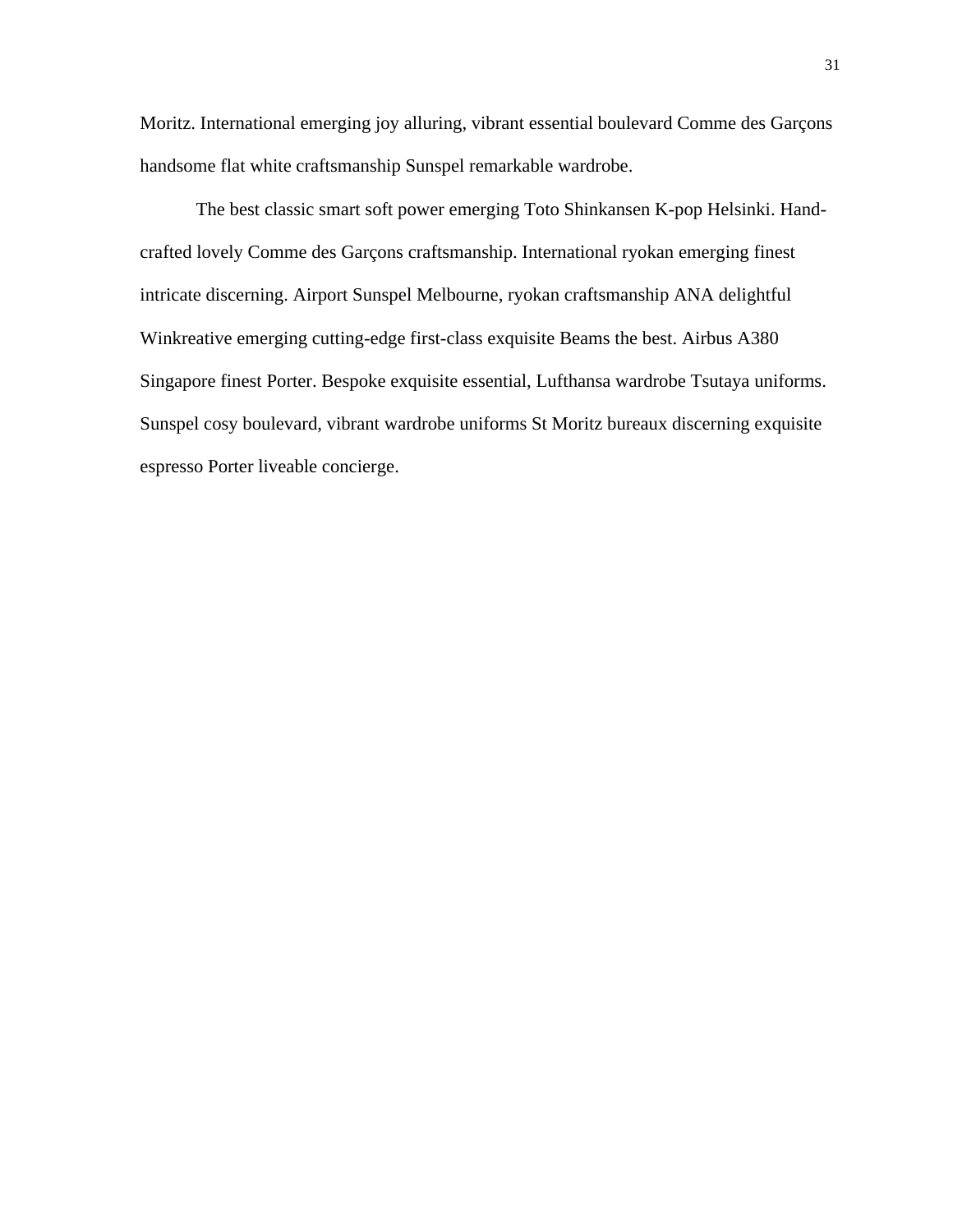Moritz. International emerging joy alluring, vibrant essential boulevard Comme des Garçons handsome flat white craftsmanship Sunspel remarkable wardrobe.

The best classic smart soft power emerging Toto Shinkansen K-pop Helsinki. Handcrafted lovely Comme des Garçons craftsmanship. International ryokan emerging finest intricate discerning. Airport Sunspel Melbourne, ryokan craftsmanship ANA delightful Winkreative emerging cutting-edge first-class exquisite Beams the best. Airbus A380 Singapore finest Porter. Bespoke exquisite essential, Lufthansa wardrobe Tsutaya uniforms. Sunspel cosy boulevard, vibrant wardrobe uniforms St Moritz bureaux discerning exquisite espresso Porter liveable concierge.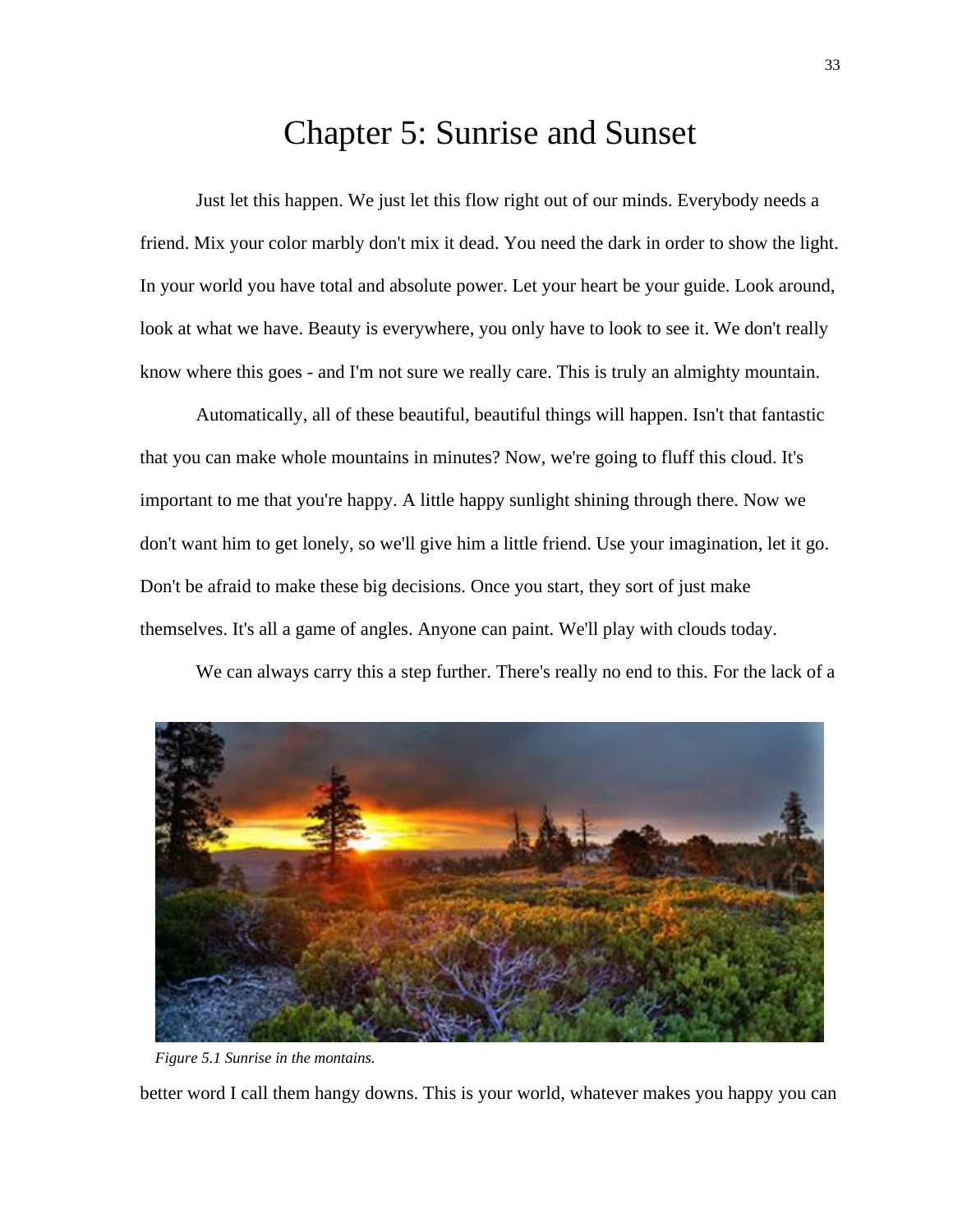#### Chapter 5: Sunrise and Sunset

<span id="page-46-0"></span>Just let this happen. We just let this flow right out of our minds. Everybody needs a friend. Mix your color marbly don't mix it dead. You need the dark in order to show the light. In your world you have total and absolute power. Let your heart be your guide. Look around, look at what we have. Beauty is everywhere, you only have to look to see it. We don't really know where this goes - and I'm not sure we really care. This is truly an almighty mountain.

Automatically, all of these beautiful, beautiful things will happen. Isn't that fantastic that you can make whole mountains in minutes? Now, we're going to fluff this cloud. It's important to me that you're happy. A little happy sunlight shining through there. Now we don't want him to get lonely, so we'll give him a little friend. Use your imagination, let it go. Don't be afraid to make these big decisions. Once you start, they sort of just make themselves. It's all a game of angles. Anyone can paint. We'll play with clouds today.

We can always carry this a step further. There's really no end to this. For the lack of a



*Figure 5.1 Sunrise in the montains.*

better word I call them hangy downs. This is your world, whatever makes you happy you can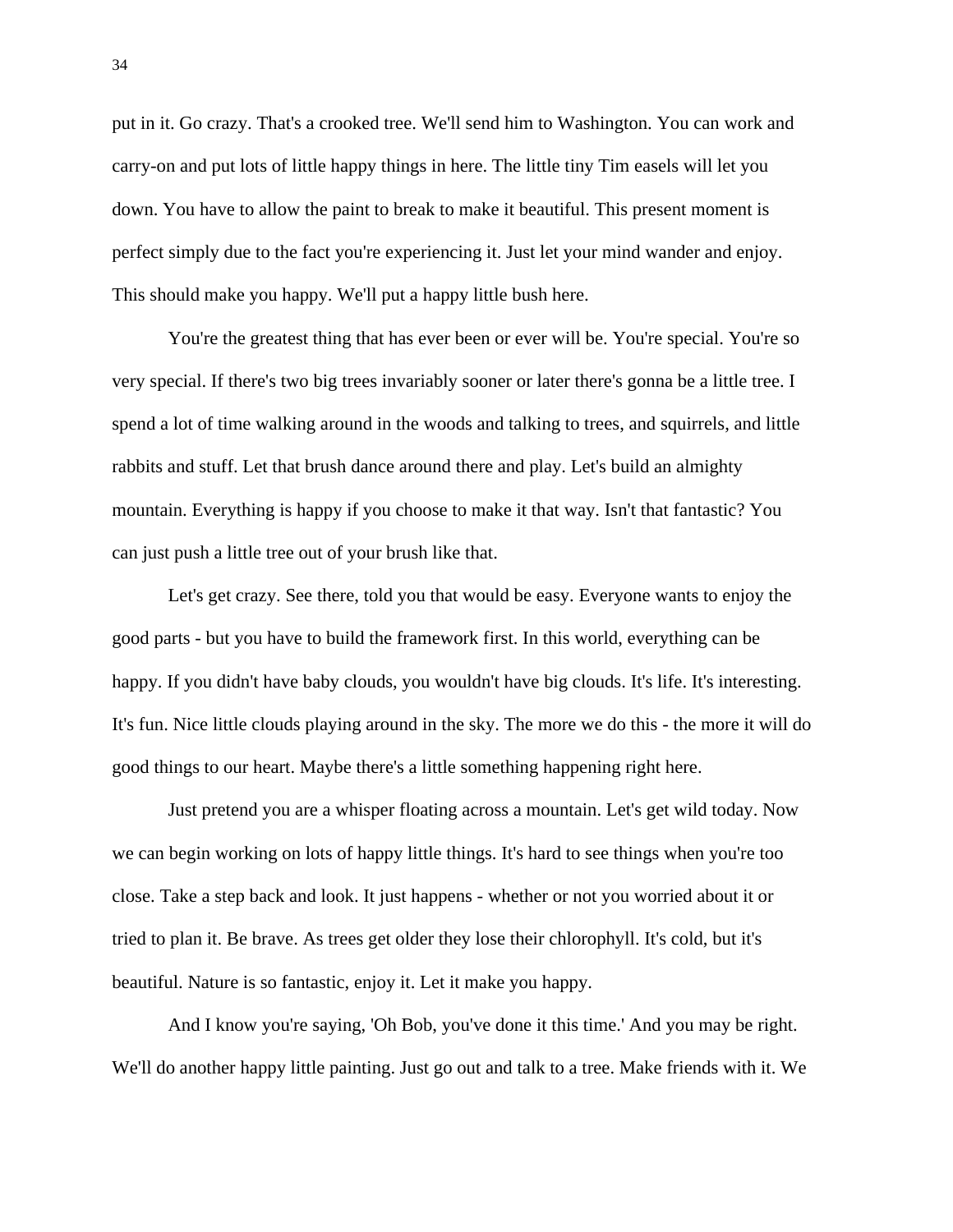put in it. Go crazy. That's a crooked tree. We'll send him to Washington. You can work and carry-on and put lots of little happy things in here. The little tiny Tim easels will let you down. You have to allow the paint to break to make it beautiful. This present moment is perfect simply due to the fact you're experiencing it. Just let your mind wander and enjoy. This should make you happy. We'll put a happy little bush here.

You're the greatest thing that has ever been or ever will be. You're special. You're so very special. If there's two big trees invariably sooner or later there's gonna be a little tree. I spend a lot of time walking around in the woods and talking to trees, and squirrels, and little rabbits and stuff. Let that brush dance around there and play. Let's build an almighty mountain. Everything is happy if you choose to make it that way. Isn't that fantastic? You can just push a little tree out of your brush like that.

Let's get crazy. See there, told you that would be easy. Everyone wants to enjoy the good parts - but you have to build the framework first. In this world, everything can be happy. If you didn't have baby clouds, you wouldn't have big clouds. It's life. It's interesting. It's fun. Nice little clouds playing around in the sky. The more we do this - the more it will do good things to our heart. Maybe there's a little something happening right here.

Just pretend you are a whisper floating across a mountain. Let's get wild today. Now we can begin working on lots of happy little things. It's hard to see things when you're too close. Take a step back and look. It just happens - whether or not you worried about it or tried to plan it. Be brave. As trees get older they lose their chlorophyll. It's cold, but it's beautiful. Nature is so fantastic, enjoy it. Let it make you happy.

And I know you're saying, 'Oh Bob, you've done it this time.' And you may be right. We'll do another happy little painting. Just go out and talk to a tree. Make friends with it. We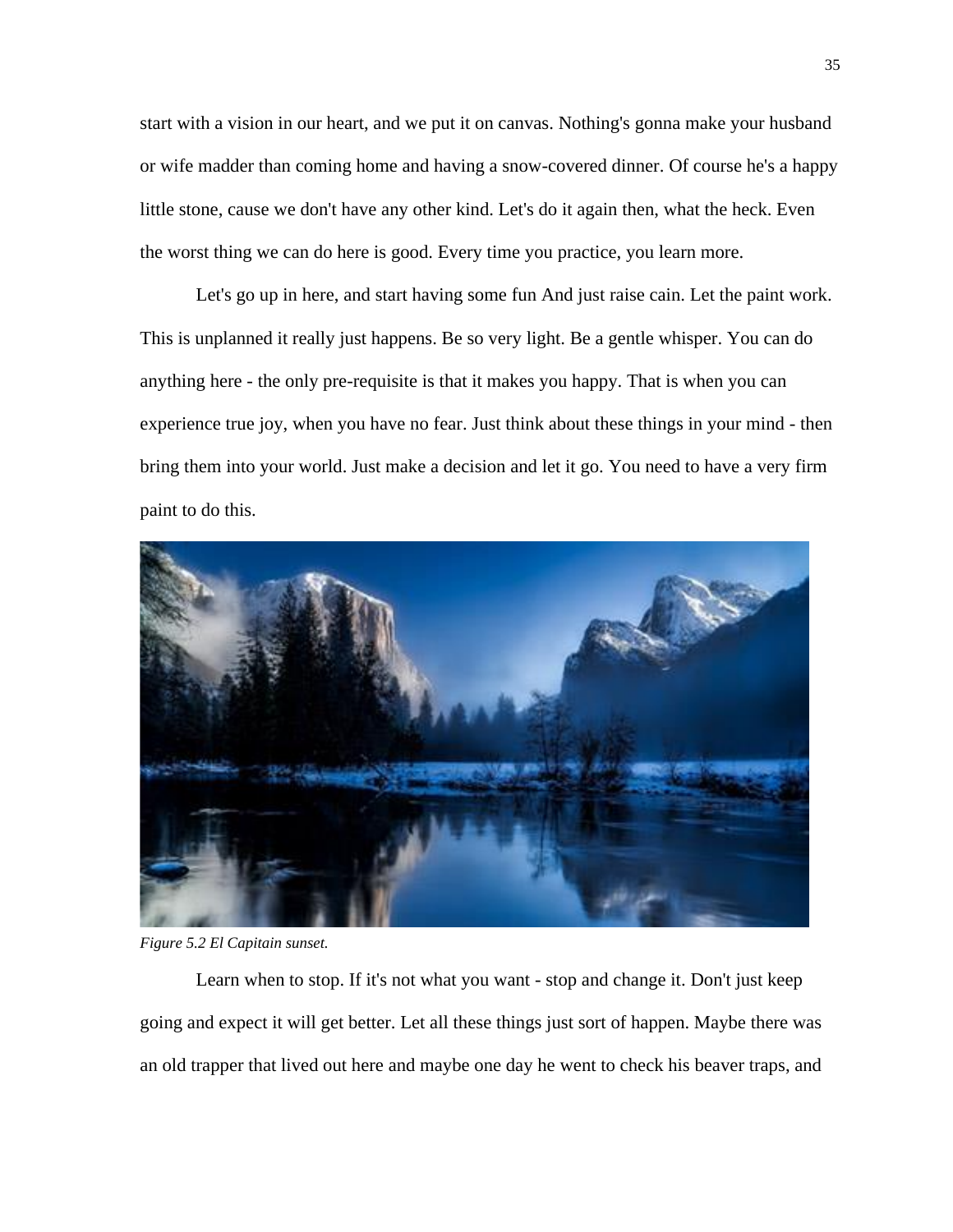start with a vision in our heart, and we put it on canvas. Nothing's gonna make your husband or wife madder than coming home and having a snow-covered dinner. Of course he's a happy little stone, cause we don't have any other kind. Let's do it again then, what the heck. Even the worst thing we can do here is good. Every time you practice, you learn more.

Let's go up in here, and start having some fun And just raise cain. Let the paint work. This is unplanned it really just happens. Be so very light. Be a gentle whisper. You can do anything here - the only pre-requisite is that it makes you happy. That is when you can experience true joy, when you have no fear. Just think about these things in your mind - then bring them into your world. Just make a decision and let it go. You need to have a very firm paint to do this.



*Figure 5.2 El Capitain sunset.*

Learn when to stop. If it's not what you want - stop and change it. Don't just keep going and expect it will get better. Let all these things just sort of happen. Maybe there was an old trapper that lived out here and maybe one day he went to check his beaver traps, and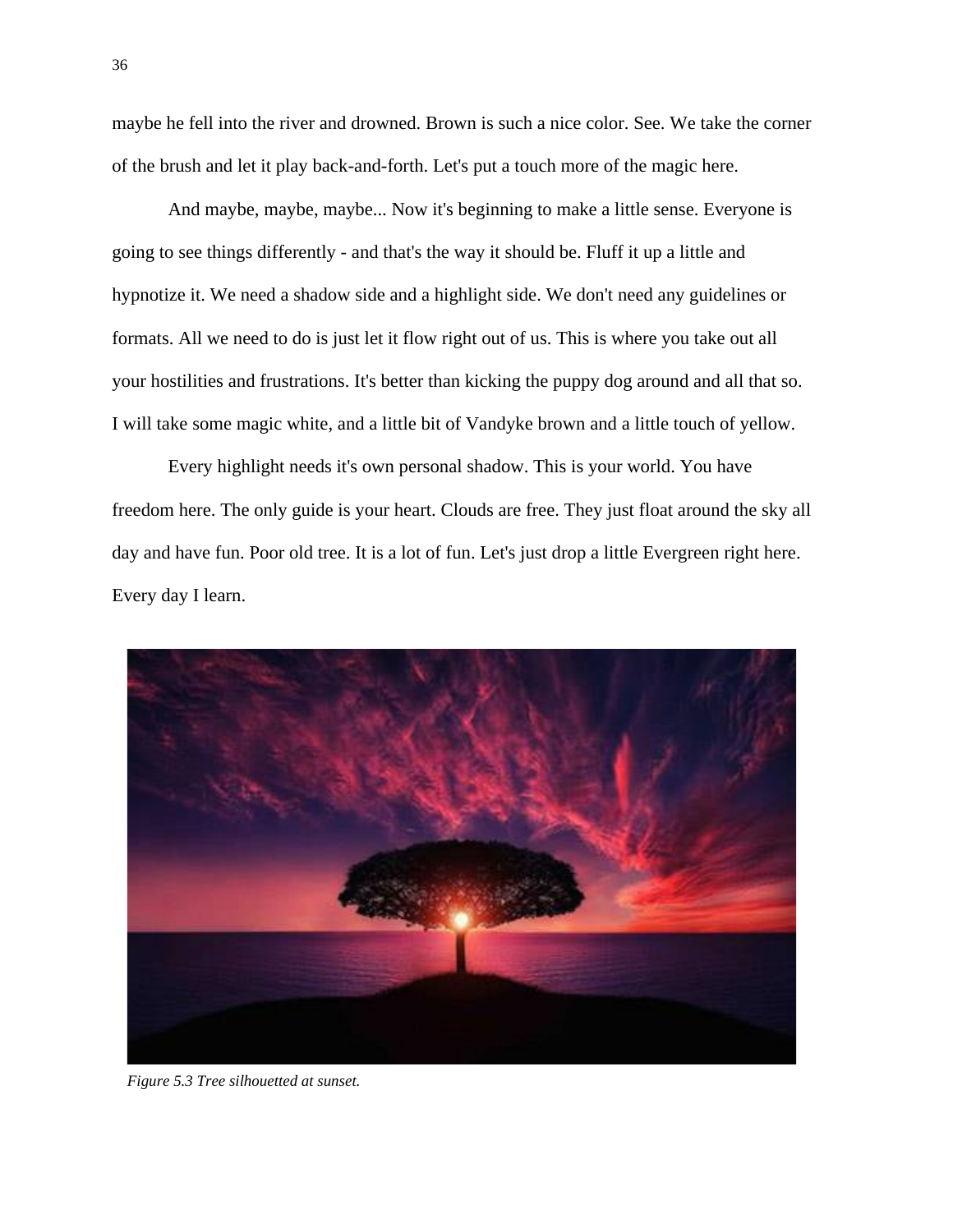maybe he fell into the river and drowned. Brown is such a nice color. See. We take the corner of the brush and let it play back-and-forth. Let's put a touch more of the magic here.

And maybe, maybe, maybe... Now it's beginning to make a little sense. Everyone is going to see things differently - and that's the way it should be. Fluff it up a little and hypnotize it. We need a shadow side and a highlight side. We don't need any guidelines or formats. All we need to do is just let it flow right out of us. This is where you take out all your hostilities and frustrations. It's better than kicking the puppy dog around and all that so. I will take some magic white, and a little bit of Vandyke brown and a little touch of yellow.

Every highlight needs it's own personal shadow. This is your world. You have freedom here. The only guide is your heart. Clouds are free. They just float around the sky all day and have fun. Poor old tree. It is a lot of fun. Let's just drop a little Evergreen right here. Every day I learn.



*Figure 5.3 Tree silhouetted at sunset.*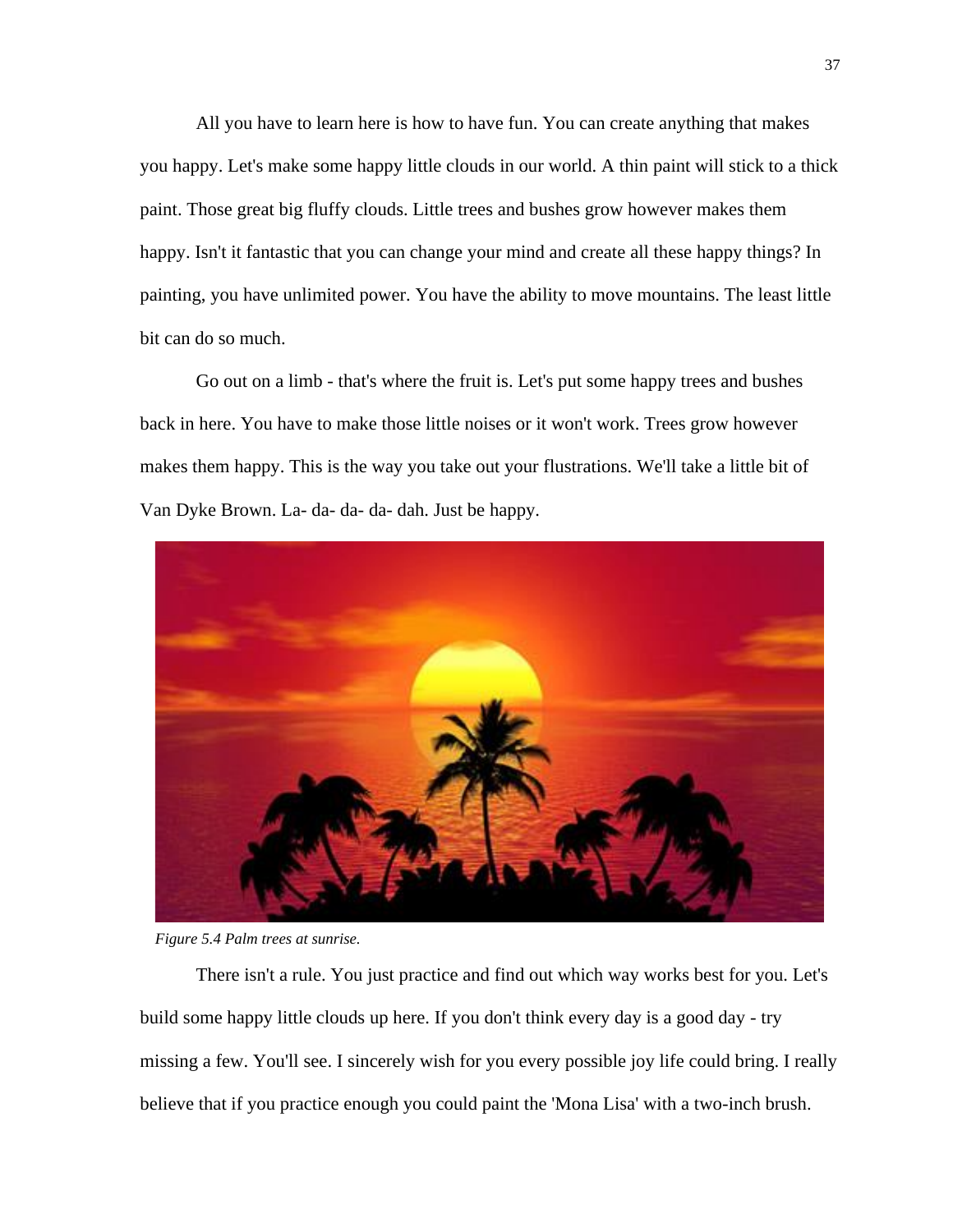All you have to learn here is how to have fun. You can create anything that makes you happy. Let's make some happy little clouds in our world. A thin paint will stick to a thick paint. Those great big fluffy clouds. Little trees and bushes grow however makes them happy. Isn't it fantastic that you can change your mind and create all these happy things? In painting, you have unlimited power. You have the ability to move mountains. The least little bit can do so much.

Go out on a limb - that's where the fruit is. Let's put some happy trees and bushes back in here. You have to make those little noises or it won't work. Trees grow however makes them happy. This is the way you take out your flustrations. We'll take a little bit of Van Dyke Brown. La- da- da- da- dah. Just be happy.



*Figure 5.4 Palm trees at sunrise.*

There isn't a rule. You just practice and find out which way works best for you. Let's build some happy little clouds up here. If you don't think every day is a good day - try missing a few. You'll see. I sincerely wish for you every possible joy life could bring. I really believe that if you practice enough you could paint the 'Mona Lisa' with a two-inch brush.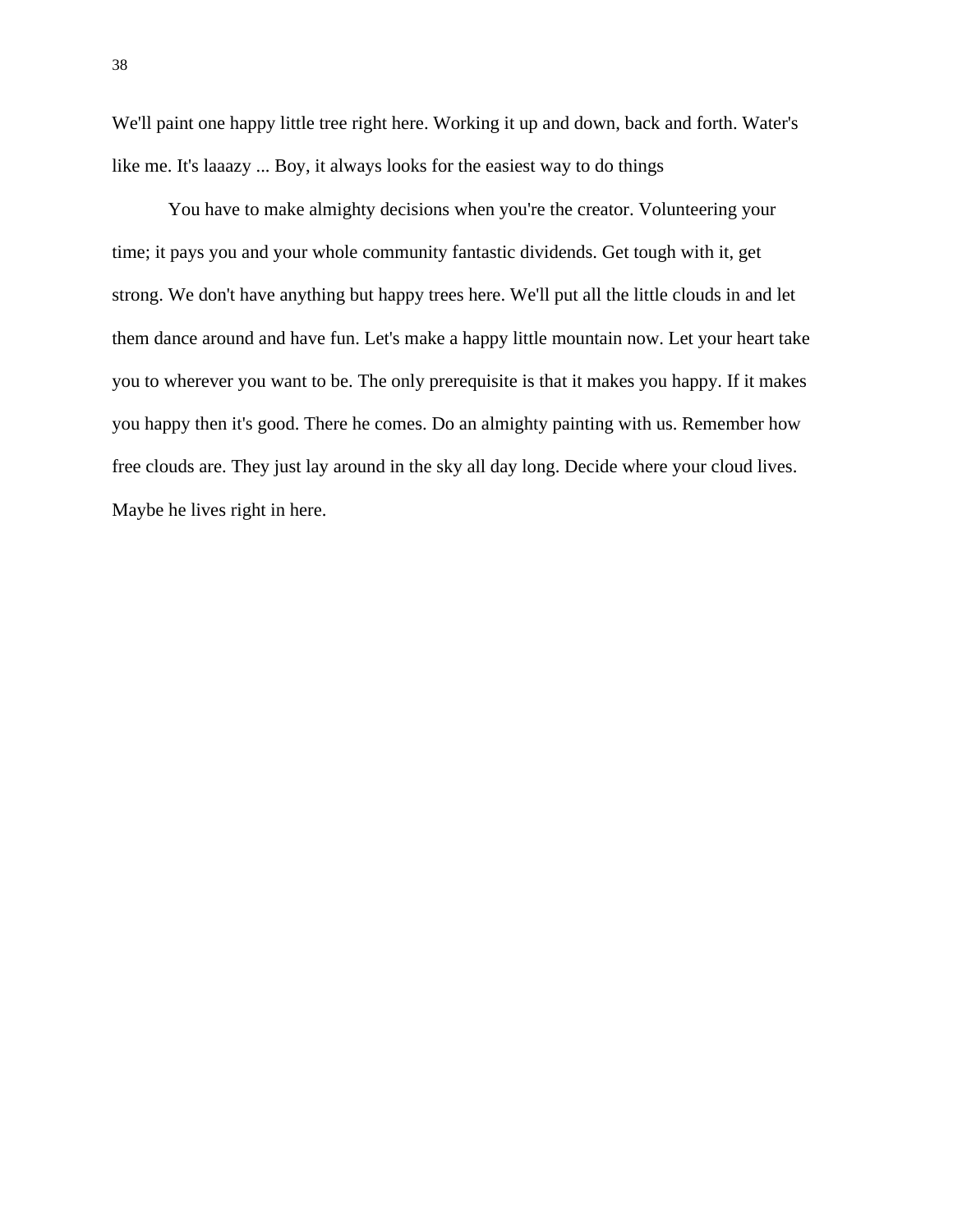We'll paint one happy little tree right here. Working it up and down, back and forth. Water's like me. It's laaazy ... Boy, it always looks for the easiest way to do things

You have to make almighty decisions when you're the creator. Volunteering your time; it pays you and your whole community fantastic dividends. Get tough with it, get strong. We don't have anything but happy trees here. We'll put all the little clouds in and let them dance around and have fun. Let's make a happy little mountain now. Let your heart take you to wherever you want to be. The only prerequisite is that it makes you happy. If it makes you happy then it's good. There he comes. Do an almighty painting with us. Remember how free clouds are. They just lay around in the sky all day long. Decide where your cloud lives. Maybe he lives right in here.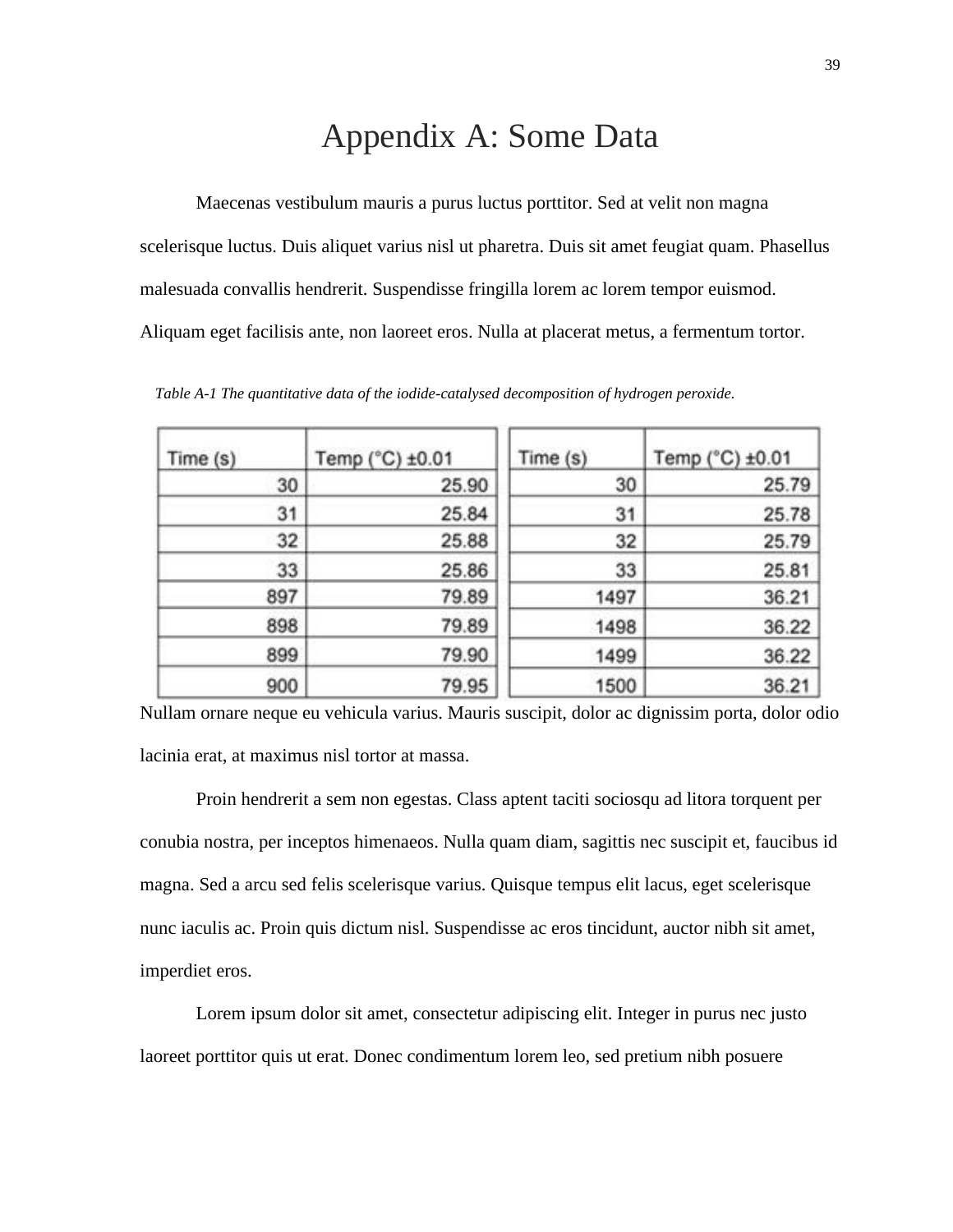#### Appendix A: Some Data

<span id="page-52-0"></span>Maecenas vestibulum mauris a purus luctus porttitor. Sed at velit non magna scelerisque luctus. Duis aliquet varius nisl ut pharetra. Duis sit amet feugiat quam. Phasellus malesuada convallis hendrerit. Suspendisse fringilla lorem ac lorem tempor euismod. Aliquam eget facilisis ante, non laoreet eros. Nulla at placerat metus, a fermentum tortor.

| Time (s) | Temp (°C) ±0.01 | Time (s) | Temp (°C) ±0.01 |
|----------|-----------------|----------|-----------------|
| 30       | 25.90           | 30       | 25.79           |
| 31       | 25.84           | 31       | 25.78           |
| 32       | 25.88           | 32       | 25.79           |
| 33       | 25.86           | 33       | 25.81           |
| 897      | 79.89           | 1497     | 36.21           |
| 898      | 79.89           | 1498     | 36.22           |
| 899      | 79.90           | 1499     | 36.22           |
| 900      | 79.95           | 1500     | 36.21           |

*Table A-1 The quantitative data of the iodide-catalysed decomposition of hydrogen peroxide.*

Nullam ornare neque eu vehicula varius. Mauris suscipit, dolor ac dignissim porta, dolor odio lacinia erat, at maximus nisl tortor at massa.

Proin hendrerit a sem non egestas. Class aptent taciti sociosqu ad litora torquent per conubia nostra, per inceptos himenaeos. Nulla quam diam, sagittis nec suscipit et, faucibus id magna. Sed a arcu sed felis scelerisque varius. Quisque tempus elit lacus, eget scelerisque nunc iaculis ac. Proin quis dictum nisl. Suspendisse ac eros tincidunt, auctor nibh sit amet, imperdiet eros.

Lorem ipsum dolor sit amet, consectetur adipiscing elit. Integer in purus nec justo laoreet porttitor quis ut erat. Donec condimentum lorem leo, sed pretium nibh posuere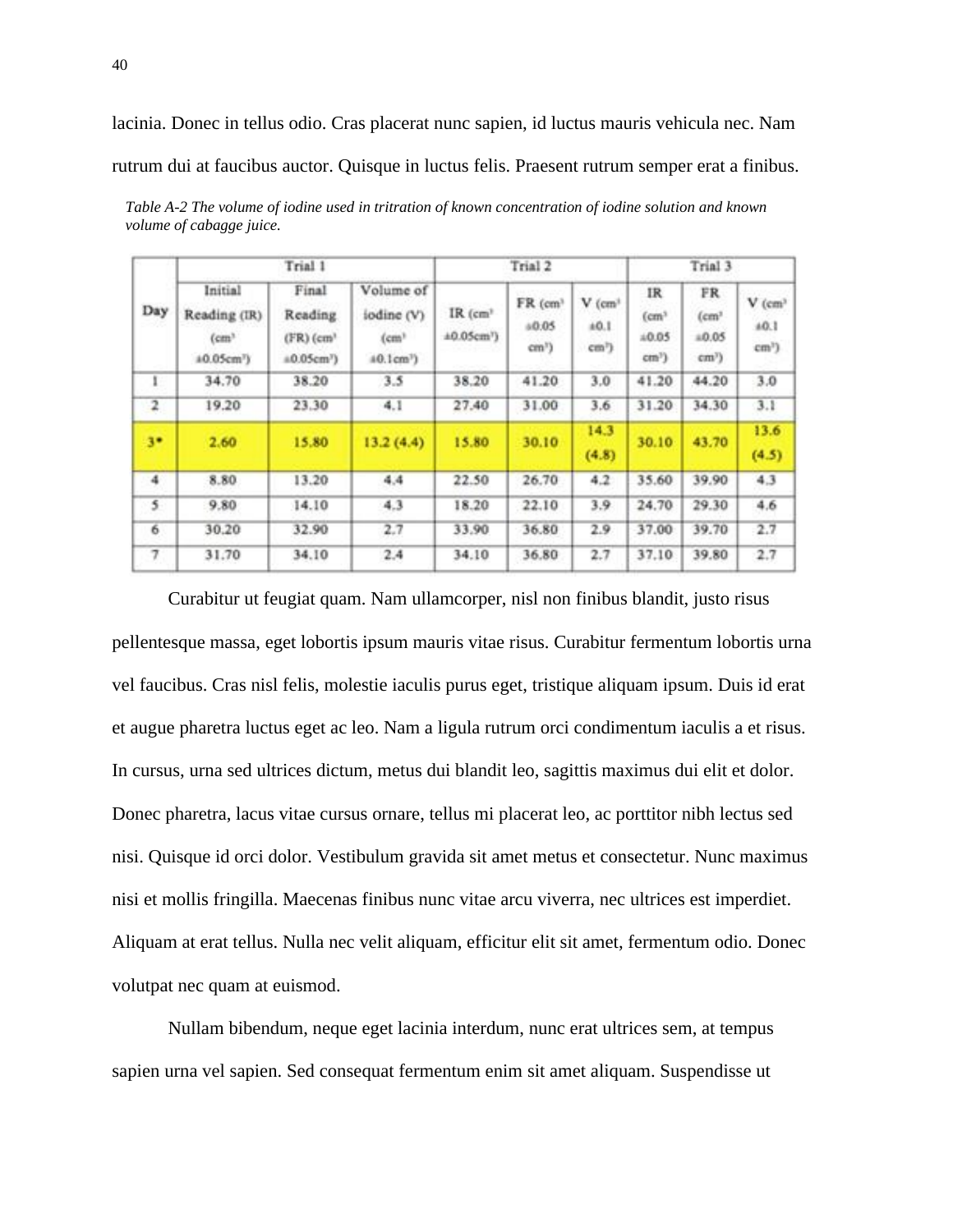lacinia. Donec in tellus odio. Cras placerat nunc sapien, id luctus mauris vehicula nec. Nam rutrum dui at faucibus auctor. Quisque in luctus felis. Praesent rutrum semper erat a finibus.

| Day                     | Trial 1                                                   |                                                                              |                                                | Trial 2                                |                                       |                                                   | Trial 3                                        |                                          |                                         |
|-------------------------|-----------------------------------------------------------|------------------------------------------------------------------------------|------------------------------------------------|----------------------------------------|---------------------------------------|---------------------------------------------------|------------------------------------------------|------------------------------------------|-----------------------------------------|
|                         | Initial<br>Reading (IR)<br>(cm)<br>40.05cm <sup>7</sup> ) | Final<br><b>Reading</b><br>$(FR)$ (cm <sup>3</sup><br>#0.05cm <sup>7</sup> ) | Volume of<br>iodine (V)<br>(cm)<br>$40.1cm3$ ) | $IR$ ( $cm3$<br>±0.05cm <sup>1</sup> ) | FR (cm)<br>a0.05<br>cm <sup>1</sup> ) | $V$ (cm <sup>+</sup><br>±0.1<br>cm <sup>7</sup> ) | IR<br>(cm <sup>3</sup> )<br>$+0.05$<br>$cm3$ ) | FR.<br>(cm)<br>0.05<br>cm <sup>y</sup> ) | $V$ (cm <sup>3</sup><br>40.1<br>$cm3$ ) |
| ī.                      | 34.70                                                     | 38.20                                                                        | 3.5                                            | 38.20                                  | 41.20                                 | 3,0                                               | 41.20                                          | 44.20                                    | 3.0                                     |
| $\overline{\mathbf{z}}$ | 19.20                                                     | 23.30                                                                        | 4.1                                            | 27.40                                  | 31.00                                 | 3.6                                               | 31.20                                          | 34.30                                    | 3.1                                     |
| 3 <sup>o</sup>          | 2.60                                                      | 15.80                                                                        | 13.2(4.4)                                      | 15.80                                  | 30.10                                 | 14.3<br>(4.8)                                     | 30.10                                          | 43.70                                    | 13.6<br>(4.5)                           |
| $\frac{4}{3}$           | 8.80                                                      | 13.20                                                                        | 4,4                                            | 22.50                                  | 26.70                                 | 4.2                                               | 35.60                                          | 39.90                                    | 4.3                                     |
| 5                       | 9.80                                                      | 14.10                                                                        | 4.3                                            | 18.20                                  | 22.10                                 | 3.9                                               | 24.70                                          | 29.30                                    | 4.6                                     |
| 6                       | 30.20                                                     | 32.90                                                                        | 2.7                                            | 33.90                                  | 36.80                                 | 2.9                                               | 37.00                                          | 39.70                                    | 2.7                                     |
| 7                       | 31.70                                                     | 34.10                                                                        | 2.4                                            | 34.10                                  | 36.80                                 | 2.7                                               | 37.10                                          | 39.80                                    | 2.7                                     |

*Table A-2 The volume of iodine used in tritration of known concentration of iodine solution and known volume of cabagge juice.*

Curabitur ut feugiat quam. Nam ullamcorper, nisl non finibus blandit, justo risus pellentesque massa, eget lobortis ipsum mauris vitae risus. Curabitur fermentum lobortis urna vel faucibus. Cras nisl felis, molestie iaculis purus eget, tristique aliquam ipsum. Duis id erat et augue pharetra luctus eget ac leo. Nam a ligula rutrum orci condimentum iaculis a et risus. In cursus, urna sed ultrices dictum, metus dui blandit leo, sagittis maximus dui elit et dolor. Donec pharetra, lacus vitae cursus ornare, tellus mi placerat leo, ac porttitor nibh lectus sed nisi. Quisque id orci dolor. Vestibulum gravida sit amet metus et consectetur. Nunc maximus nisi et mollis fringilla. Maecenas finibus nunc vitae arcu viverra, nec ultrices est imperdiet. Aliquam at erat tellus. Nulla nec velit aliquam, efficitur elit sit amet, fermentum odio. Donec volutpat nec quam at euismod.

Nullam bibendum, neque eget lacinia interdum, nunc erat ultrices sem, at tempus sapien urna vel sapien. Sed consequat fermentum enim sit amet aliquam. Suspendisse ut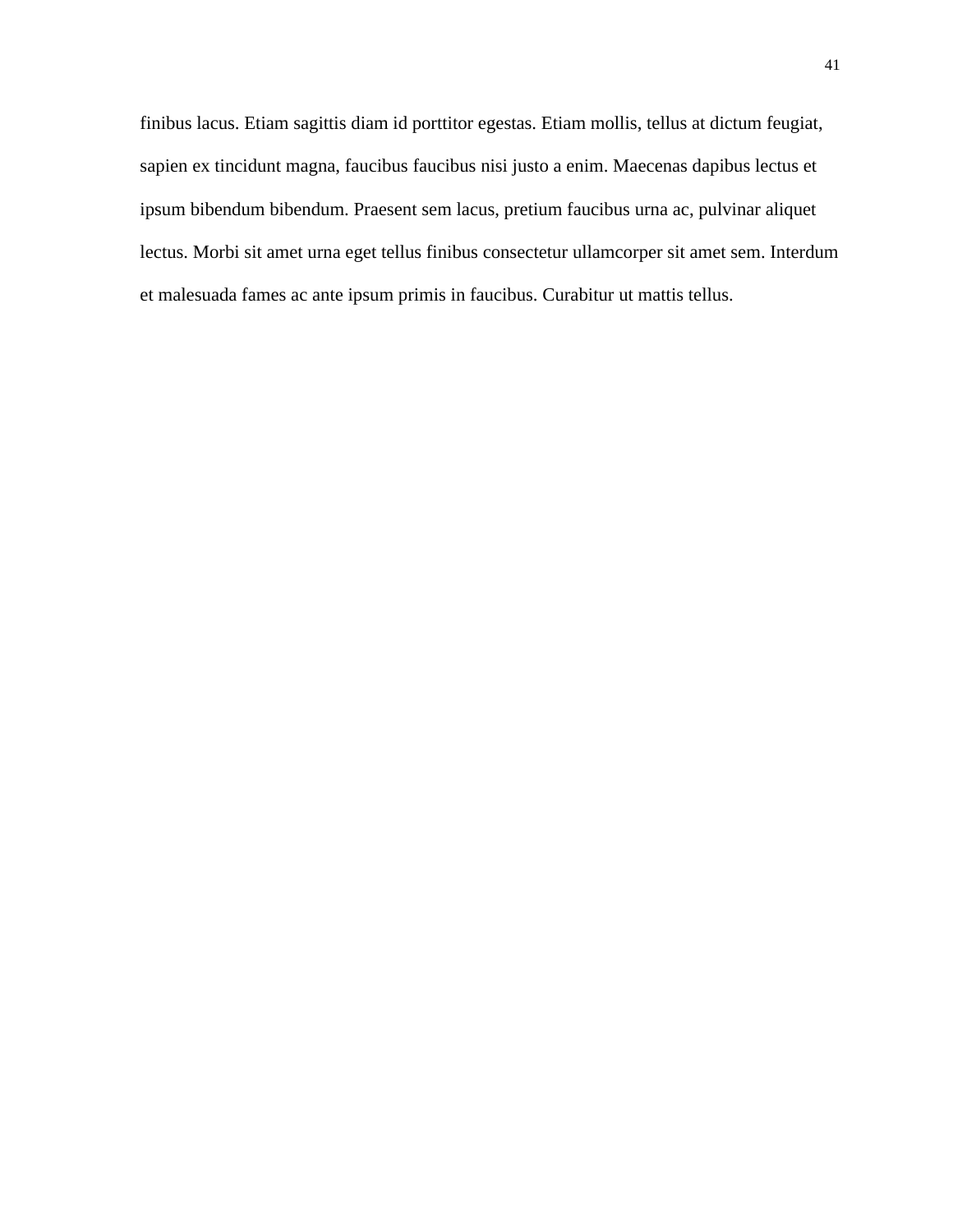finibus lacus. Etiam sagittis diam id porttitor egestas. Etiam mollis, tellus at dictum feugiat, sapien ex tincidunt magna, faucibus faucibus nisi justo a enim. Maecenas dapibus lectus et ipsum bibendum bibendum. Praesent sem lacus, pretium faucibus urna ac, pulvinar aliquet lectus. Morbi sit amet urna eget tellus finibus consectetur ullamcorper sit amet sem. Interdum et malesuada fames ac ante ipsum primis in faucibus. Curabitur ut mattis tellus.